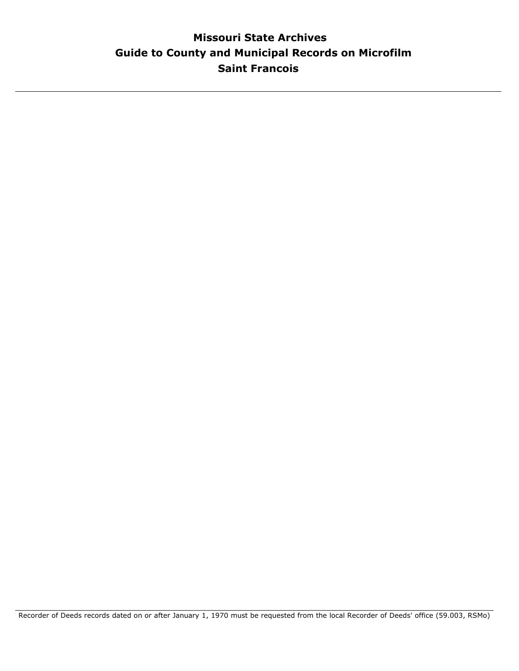# **Guide to County and Municipal Records on Microfilm Missouri State Archives Saint Francois**

Recorder of Deeds records dated on or after January 1, 1970 must be requested from the local Recorder of Deeds' office (59.003, RSMo)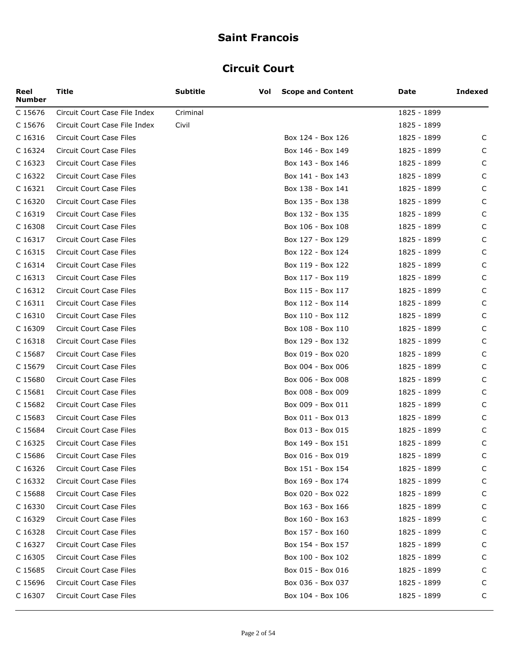#### **Circuit Court**

| Reel<br><b>Number</b> | Title                           | <b>Subtitle</b> | Vol | <b>Scope and Content</b> | Date        | <b>Indexed</b> |
|-----------------------|---------------------------------|-----------------|-----|--------------------------|-------------|----------------|
| C 15676               | Circuit Court Case File Index   | Criminal        |     |                          | 1825 - 1899 |                |
| C 15676               | Circuit Court Case File Index   | Civil           |     |                          | 1825 - 1899 |                |
| C 16316               | Circuit Court Case Files        |                 |     | Box 124 - Box 126        | 1825 - 1899 | C              |
| C 16324               | Circuit Court Case Files        |                 |     | Box 146 - Box 149        | 1825 - 1899 | C              |
| C 16323               | Circuit Court Case Files        |                 |     | Box 143 - Box 146        | 1825 - 1899 | C              |
| C 16322               | Circuit Court Case Files        |                 |     | Box 141 - Box 143        | 1825 - 1899 | C              |
| C 16321               | Circuit Court Case Files        |                 |     | Box 138 - Box 141        | 1825 - 1899 | C              |
| C 16320               | Circuit Court Case Files        |                 |     | Box 135 - Box 138        | 1825 - 1899 | C              |
| C 16319               | Circuit Court Case Files        |                 |     | Box 132 - Box 135        | 1825 - 1899 | C              |
| C 16308               | Circuit Court Case Files        |                 |     | Box 106 - Box 108        | 1825 - 1899 | C              |
| C 16317               | Circuit Court Case Files        |                 |     | Box 127 - Box 129        | 1825 - 1899 | C              |
| C 16315               | <b>Circuit Court Case Files</b> |                 |     | Box 122 - Box 124        | 1825 - 1899 | C              |
| C 16314               | Circuit Court Case Files        |                 |     | Box 119 - Box 122        | 1825 - 1899 | C              |
| C 16313               | Circuit Court Case Files        |                 |     | Box 117 - Box 119        | 1825 - 1899 | C              |
| C 16312               | Circuit Court Case Files        |                 |     | Box 115 - Box 117        | 1825 - 1899 | C              |
| C 16311               | Circuit Court Case Files        |                 |     | Box 112 - Box 114        | 1825 - 1899 | C              |
| C 16310               | Circuit Court Case Files        |                 |     | Box 110 - Box 112        | 1825 - 1899 | C              |
| C 16309               | Circuit Court Case Files        |                 |     | Box 108 - Box 110        | 1825 - 1899 | C              |
| C 16318               | Circuit Court Case Files        |                 |     | Box 129 - Box 132        | 1825 - 1899 | C              |
| C 15687               | Circuit Court Case Files        |                 |     | Box 019 - Box 020        | 1825 - 1899 | C              |
| C 15679               | Circuit Court Case Files        |                 |     | Box 004 - Box 006        | 1825 - 1899 | C              |
| C 15680               | Circuit Court Case Files        |                 |     | Box 006 - Box 008        | 1825 - 1899 | C              |
| C 15681               | Circuit Court Case Files        |                 |     | Box 008 - Box 009        | 1825 - 1899 | C              |
| C 15682               | Circuit Court Case Files        |                 |     | Box 009 - Box 011        | 1825 - 1899 | C              |
| C 15683               | Circuit Court Case Files        |                 |     | Box 011 - Box 013        | 1825 - 1899 | C              |
| C 15684               | Circuit Court Case Files        |                 |     | Box 013 - Box 015        | 1825 - 1899 | C              |
| C 16325               | Circuit Court Case Files        |                 |     | Box 149 - Box 151        | 1825 - 1899 | C              |
| C 15686               | <b>Circuit Court Case Files</b> |                 |     | Box 016 - Box 019        | 1825 - 1899 | C              |
| C 16326               | Circuit Court Case Files        |                 |     | Box 151 - Box 154        | 1825 - 1899 | C              |
| C 16332               | Circuit Court Case Files        |                 |     | Box 169 - Box 174        | 1825 - 1899 | C              |
| C 15688               | Circuit Court Case Files        |                 |     | Box 020 - Box 022        | 1825 - 1899 | C              |
| C 16330               | Circuit Court Case Files        |                 |     | Box 163 - Box 166        | 1825 - 1899 | C              |
| C 16329               | Circuit Court Case Files        |                 |     | Box 160 - Box 163        | 1825 - 1899 | C              |
| C 16328               | Circuit Court Case Files        |                 |     | Box 157 - Box 160        | 1825 - 1899 | C              |
| C 16327               | Circuit Court Case Files        |                 |     | Box 154 - Box 157        | 1825 - 1899 | C              |
| C 16305               | Circuit Court Case Files        |                 |     | Box 100 - Box 102        | 1825 - 1899 | C              |
| C 15685               | Circuit Court Case Files        |                 |     | Box 015 - Box 016        | 1825 - 1899 | C              |
| C 15696               | Circuit Court Case Files        |                 |     | Box 036 - Box 037        | 1825 - 1899 | C              |
| C 16307               | Circuit Court Case Files        |                 |     | Box 104 - Box 106        | 1825 - 1899 | C              |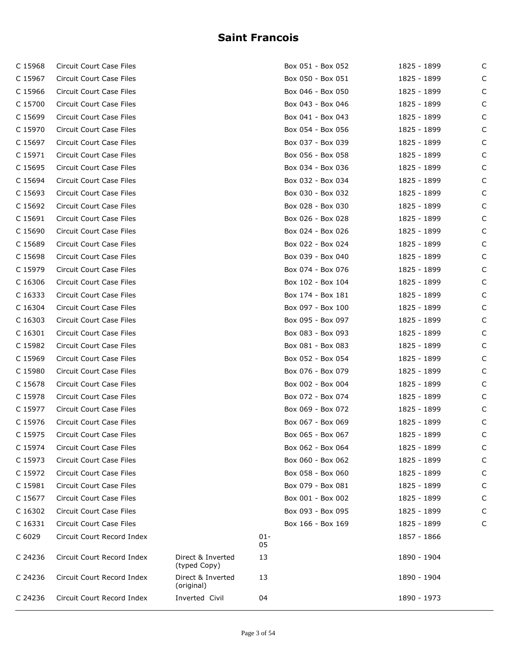| C 15968 | Circuit Court Case Files        |                                   |              | Box 051 - Box 052 | 1825 - 1899 | C |
|---------|---------------------------------|-----------------------------------|--------------|-------------------|-------------|---|
| C 15967 | Circuit Court Case Files        |                                   |              | Box 050 - Box 051 | 1825 - 1899 | C |
| C 15966 | Circuit Court Case Files        |                                   |              | Box 046 - Box 050 | 1825 - 1899 | C |
| C 15700 | Circuit Court Case Files        |                                   |              | Box 043 - Box 046 | 1825 - 1899 | C |
| C 15699 | Circuit Court Case Files        |                                   |              | Box 041 - Box 043 | 1825 - 1899 | C |
| C 15970 | Circuit Court Case Files        |                                   |              | Box 054 - Box 056 | 1825 - 1899 | C |
| C 15697 | Circuit Court Case Files        |                                   |              | Box 037 - Box 039 | 1825 - 1899 | C |
| C 15971 | Circuit Court Case Files        |                                   |              | Box 056 - Box 058 | 1825 - 1899 | C |
| C 15695 | Circuit Court Case Files        |                                   |              | Box 034 - Box 036 | 1825 - 1899 | С |
| C 15694 | Circuit Court Case Files        |                                   |              | Box 032 - Box 034 | 1825 - 1899 | C |
| C 15693 | Circuit Court Case Files        |                                   |              | Box 030 - Box 032 | 1825 - 1899 | C |
| C 15692 | Circuit Court Case Files        |                                   |              | Box 028 - Box 030 | 1825 - 1899 | C |
| C 15691 | Circuit Court Case Files        |                                   |              | Box 026 - Box 028 | 1825 - 1899 | С |
| C 15690 | Circuit Court Case Files        |                                   |              | Box 024 - Box 026 | 1825 - 1899 | C |
| C 15689 | Circuit Court Case Files        |                                   |              | Box 022 - Box 024 | 1825 - 1899 | С |
| C 15698 | Circuit Court Case Files        |                                   |              | Box 039 - Box 040 | 1825 - 1899 | C |
| C 15979 | Circuit Court Case Files        |                                   |              | Box 074 - Box 076 | 1825 - 1899 | C |
| C 16306 | Circuit Court Case Files        |                                   |              | Box 102 - Box 104 | 1825 - 1899 | C |
| C 16333 | Circuit Court Case Files        |                                   |              | Box 174 - Box 181 | 1825 - 1899 | С |
| C 16304 | Circuit Court Case Files        |                                   |              | Box 097 - Box 100 | 1825 - 1899 | C |
| C 16303 | Circuit Court Case Files        |                                   |              | Box 095 - Box 097 | 1825 - 1899 | C |
| C 16301 | Circuit Court Case Files        |                                   |              | Box 083 - Box 093 | 1825 - 1899 | C |
| C 15982 | Circuit Court Case Files        |                                   |              | Box 081 - Box 083 | 1825 - 1899 | С |
| C 15969 | Circuit Court Case Files        |                                   |              | Box 052 - Box 054 | 1825 - 1899 | С |
| C 15980 | Circuit Court Case Files        |                                   |              | Box 076 - Box 079 | 1825 - 1899 | C |
| C 15678 | Circuit Court Case Files        |                                   |              | Box 002 - Box 004 | 1825 - 1899 | C |
| C 15978 | Circuit Court Case Files        |                                   |              | Box 072 - Box 074 | 1825 - 1899 | С |
| C 15977 | Circuit Court Case Files        |                                   |              | Box 069 - Box 072 | 1825 - 1899 | С |
| C 15976 | Circuit Court Case Files        |                                   |              | Box 067 - Box 069 | 1825 - 1899 | С |
| C 15975 | Circuit Court Case Files        |                                   |              | Box 065 - Box 067 | 1825 - 1899 | C |
| C 15974 | Circuit Court Case Files        |                                   |              | Box 062 - Box 064 | 1825 - 1899 | C |
| C 15973 | Circuit Court Case Files        |                                   |              | Box 060 - Box 062 | 1825 - 1899 | C |
| C 15972 | Circuit Court Case Files        |                                   |              | Box 058 - Box 060 | 1825 - 1899 | С |
| C 15981 | Circuit Court Case Files        |                                   |              | Box 079 - Box 081 | 1825 - 1899 | С |
| C 15677 | <b>Circuit Court Case Files</b> |                                   |              | Box 001 - Box 002 | 1825 - 1899 | C |
| C 16302 | Circuit Court Case Files        |                                   |              | Box 093 - Box 095 | 1825 - 1899 | С |
| C 16331 | Circuit Court Case Files        |                                   |              | Box 166 - Box 169 | 1825 - 1899 | С |
| C 6029  | Circuit Court Record Index      |                                   | $01 -$<br>05 |                   | 1857 - 1866 |   |
| C 24236 | Circuit Court Record Index      | Direct & Inverted<br>(typed Copy) | 13           |                   | 1890 - 1904 |   |
| C 24236 | Circuit Court Record Index      | Direct & Inverted<br>(original)   | 13           |                   | 1890 - 1904 |   |
| C 24236 | Circuit Court Record Index      | Inverted Civil                    | 04           |                   | 1890 - 1973 |   |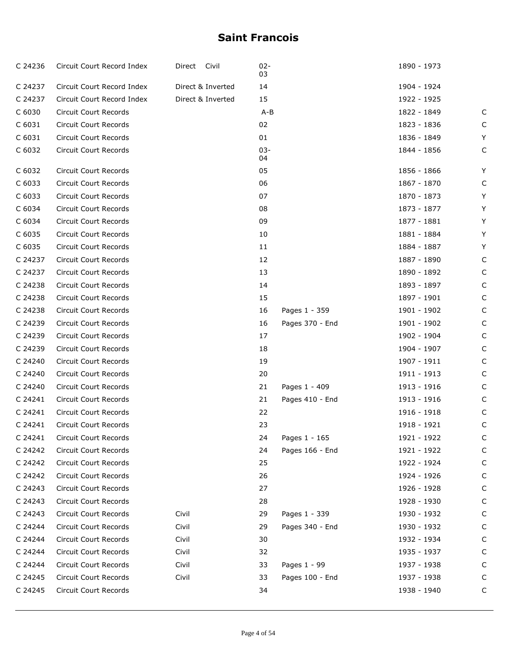| C 24236 | Circuit Court Record Index   | Direct Civil      | $02 -$<br>03 |                 | 1890 - 1973 |   |
|---------|------------------------------|-------------------|--------------|-----------------|-------------|---|
| C 24237 | Circuit Court Record Index   | Direct & Inverted | 14           |                 | 1904 - 1924 |   |
| C 24237 | Circuit Court Record Index   | Direct & Inverted | 15           |                 | 1922 - 1925 |   |
| C 6030  | <b>Circuit Court Records</b> |                   | $A - B$      |                 | 1822 - 1849 | C |
| C 6031  | Circuit Court Records        |                   | 02           |                 | 1823 - 1836 | C |
| C 6031  | Circuit Court Records        |                   | 01           |                 | 1836 - 1849 | Y |
| C 6032  | Circuit Court Records        |                   | $03 -$<br>04 |                 | 1844 - 1856 | C |
| C 6032  | Circuit Court Records        |                   | 05           |                 | 1856 - 1866 | Y |
| C 6033  | <b>Circuit Court Records</b> |                   | 06           |                 | 1867 - 1870 | C |
| C 6033  | <b>Circuit Court Records</b> |                   | 07           |                 | 1870 - 1873 | Y |
| C 6034  | Circuit Court Records        |                   | 08           |                 | 1873 - 1877 | Y |
| C 6034  | <b>Circuit Court Records</b> |                   | 09           |                 | 1877 - 1881 | Y |
| C 6035  | <b>Circuit Court Records</b> |                   | 10           |                 | 1881 - 1884 | Y |
| C 6035  | Circuit Court Records        |                   | 11           |                 | 1884 - 1887 | Y |
| C 24237 | <b>Circuit Court Records</b> |                   | 12           |                 | 1887 - 1890 | C |
| C 24237 | Circuit Court Records        |                   | 13           |                 | 1890 - 1892 | C |
| C 24238 | Circuit Court Records        |                   | 14           |                 | 1893 - 1897 | C |
| C 24238 | <b>Circuit Court Records</b> |                   | 15           |                 | 1897 - 1901 | C |
| C 24238 | Circuit Court Records        |                   | 16           | Pages 1 - 359   | 1901 - 1902 | C |
| C 24239 | <b>Circuit Court Records</b> |                   | 16           | Pages 370 - End | 1901 - 1902 | C |
| C 24239 | Circuit Court Records        |                   | 17           |                 | 1902 - 1904 | C |
| C 24239 | Circuit Court Records        |                   | 18           |                 | 1904 - 1907 | C |
| C 24240 | Circuit Court Records        |                   | 19           |                 | 1907 - 1911 | C |
| C 24240 | Circuit Court Records        |                   | 20           |                 | 1911 - 1913 | C |
| C 24240 | Circuit Court Records        |                   | 21           | Pages 1 - 409   | 1913 - 1916 | C |
| C 24241 | Circuit Court Records        |                   | 21           | Pages 410 - End | 1913 - 1916 | C |
| C 24241 | Circuit Court Records        |                   | 22           |                 | 1916 - 1918 | C |
| C 24241 | Circuit Court Records        |                   | 23           |                 | 1918 - 1921 | C |
| C 24241 | Circuit Court Records        |                   | 24           | Pages 1 - 165   | 1921 - 1922 | C |
| C 24242 | Circuit Court Records        |                   | 24           | Pages 166 - End | 1921 - 1922 | C |
| C 24242 | Circuit Court Records        |                   | 25           |                 | 1922 - 1924 | С |
| C 24242 | Circuit Court Records        |                   | 26           |                 | 1924 - 1926 | C |
| C 24243 | Circuit Court Records        |                   | 27           |                 | 1926 - 1928 | C |
| C 24243 | Circuit Court Records        |                   | 28           |                 | 1928 - 1930 | C |
| C 24243 | Circuit Court Records        | Civil             | 29           | Pages 1 - 339   | 1930 - 1932 | C |
| C 24244 | Circuit Court Records        | Civil             | 29           | Pages 340 - End | 1930 - 1932 | C |
| C 24244 | Circuit Court Records        | Civil             | 30           |                 | 1932 - 1934 | C |
| C 24244 | Circuit Court Records        | Civil             | 32           |                 | 1935 - 1937 | С |
| C 24244 | Circuit Court Records        | Civil             | 33           | Pages 1 - 99    | 1937 - 1938 | C |
| C 24245 | Circuit Court Records        | Civil             | 33           | Pages 100 - End | 1937 - 1938 | C |
| C 24245 | Circuit Court Records        |                   | 34           |                 | 1938 - 1940 | C |
|         |                              |                   |              |                 |             |   |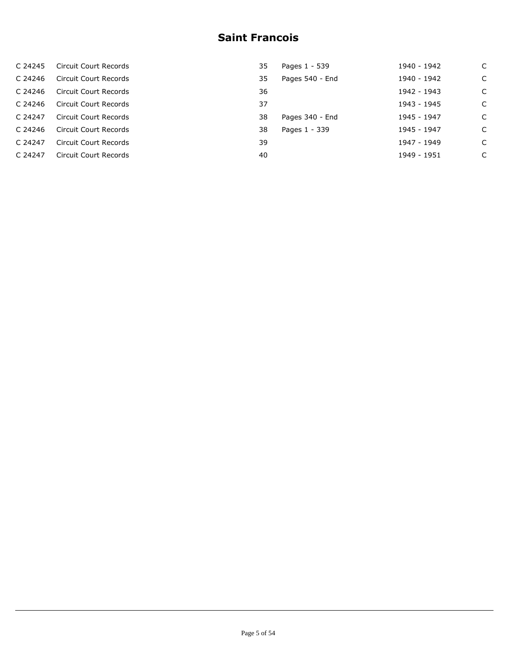| C 24245 | Circuit Court Records | 35 | Pages 1 - 539   | 1940 - 1942 | C |
|---------|-----------------------|----|-----------------|-------------|---|
| C 24246 | Circuit Court Records | 35 | Pages 540 - End | 1940 - 1942 | C |
| C 24246 | Circuit Court Records | 36 |                 | 1942 - 1943 | C |
| C 24246 | Circuit Court Records | 37 |                 | 1943 - 1945 | C |
| C 24247 | Circuit Court Records | 38 | Pages 340 - End | 1945 - 1947 | C |
| C 24246 | Circuit Court Records | 38 | Pages 1 - 339   | 1945 - 1947 | C |
| C 24247 | Circuit Court Records | 39 |                 | 1947 - 1949 | C |
| C 24247 | Circuit Court Records | 40 |                 | 1949 - 1951 | C |
|         |                       |    |                 |             |   |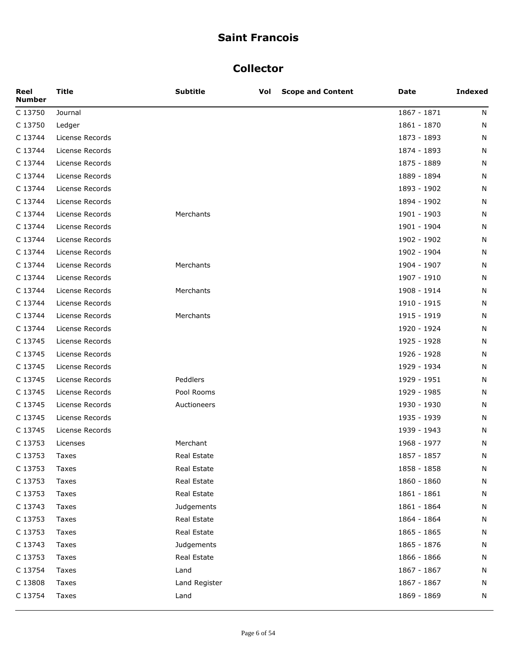#### **Collector**

| Reel<br><b>Number</b> | <b>Title</b>    | <b>Subtitle</b> | Vol | <b>Scope and Content</b> | Date        | <b>Indexed</b> |
|-----------------------|-----------------|-----------------|-----|--------------------------|-------------|----------------|
| C 13750               | Journal         |                 |     |                          | 1867 - 1871 | N              |
| C 13750               | Ledger          |                 |     |                          | 1861 - 1870 | N              |
| C 13744               | License Records |                 |     |                          | 1873 - 1893 | N              |
| C 13744               | License Records |                 |     |                          | 1874 - 1893 | N              |
| C 13744               | License Records |                 |     |                          | 1875 - 1889 | N              |
| C 13744               | License Records |                 |     |                          | 1889 - 1894 | N              |
| C 13744               | License Records |                 |     |                          | 1893 - 1902 | N              |
| C 13744               | License Records |                 |     |                          | 1894 - 1902 | N              |
| C 13744               | License Records | Merchants       |     |                          | 1901 - 1903 | N              |
| C 13744               | License Records |                 |     |                          | 1901 - 1904 | N              |
| C 13744               | License Records |                 |     |                          | 1902 - 1902 | N              |
| C 13744               | License Records |                 |     |                          | 1902 - 1904 | N              |
| C 13744               | License Records | Merchants       |     |                          | 1904 - 1907 | N              |
| C 13744               | License Records |                 |     |                          | 1907 - 1910 | N              |
| C 13744               | License Records | Merchants       |     |                          | 1908 - 1914 | N              |
| C 13744               | License Records |                 |     |                          | 1910 - 1915 | N              |
| C 13744               | License Records | Merchants       |     |                          | 1915 - 1919 | N              |
| C 13744               | License Records |                 |     |                          | 1920 - 1924 | N              |
| C 13745               | License Records |                 |     |                          | 1925 - 1928 | N              |
| C 13745               | License Records |                 |     |                          | 1926 - 1928 | N              |
| C 13745               | License Records |                 |     |                          | 1929 - 1934 | N              |
| C 13745               | License Records | Peddlers        |     |                          | 1929 - 1951 | N              |
| C 13745               | License Records | Pool Rooms      |     |                          | 1929 - 1985 | N              |
| C 13745               | License Records | Auctioneers     |     |                          | 1930 - 1930 | N              |
| C 13745               | License Records |                 |     |                          | 1935 - 1939 | N              |
| C 13745               | License Records |                 |     |                          | 1939 - 1943 | N              |
| C 13753               | Licenses        | Merchant        |     |                          | 1968 - 1977 | N              |
| C 13753               | Taxes           | Real Estate     |     |                          | 1857 - 1857 | N              |
| C 13753               | Taxes           | Real Estate     |     |                          | 1858 - 1858 | N              |
| C 13753               | Taxes           | Real Estate     |     |                          | 1860 - 1860 | N              |
| C 13753               | Taxes           | Real Estate     |     |                          | 1861 - 1861 | N              |
| C 13743               | Taxes           | Judgements      |     |                          | 1861 - 1864 | N              |
| C 13753               | Taxes           | Real Estate     |     |                          | 1864 - 1864 | N              |
| C 13753               | Taxes           | Real Estate     |     |                          | 1865 - 1865 | N              |
| C 13743               | Taxes           | Judgements      |     |                          | 1865 - 1876 | N              |
| C 13753               | Taxes           | Real Estate     |     |                          | 1866 - 1866 | N              |
| C 13754               | Taxes           | Land            |     |                          | 1867 - 1867 | N              |
| C 13808               | Taxes           | Land Register   |     |                          | 1867 - 1867 | N              |
| C 13754               | Taxes           | Land            |     |                          | 1869 - 1869 | N              |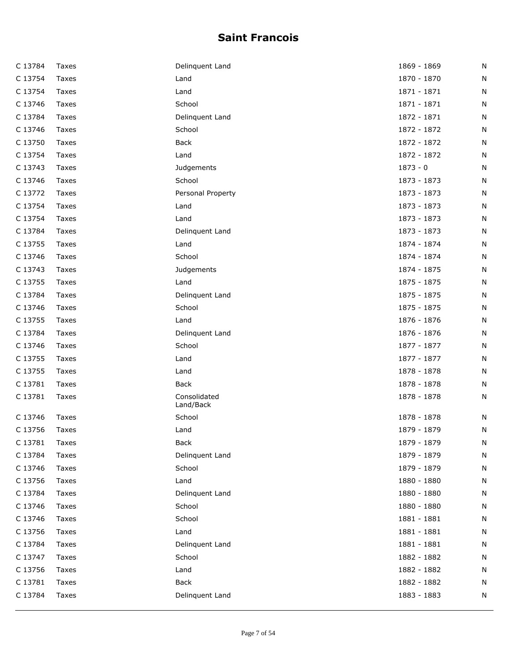| C 13784 | Taxes | Delinquent Land           | 1869 - 1869 | Ν |
|---------|-------|---------------------------|-------------|---|
| C 13754 | Taxes | Land                      | 1870 - 1870 | N |
| C 13754 | Taxes | Land                      | 1871 - 1871 | N |
| C 13746 | Taxes | School                    | 1871 - 1871 | Ν |
| C 13784 | Taxes | Delinquent Land           | 1872 - 1871 | N |
| C 13746 | Taxes | School                    | 1872 - 1872 | N |
| C 13750 | Taxes | <b>Back</b>               | 1872 - 1872 | N |
| C 13754 | Taxes | Land                      | 1872 - 1872 | Ν |
| C 13743 | Taxes | Judgements                | $1873 - 0$  | N |
| C 13746 | Taxes | School                    | 1873 - 1873 | N |
| C 13772 | Taxes | Personal Property         | 1873 - 1873 | N |
| C 13754 | Taxes | Land                      | 1873 - 1873 | N |
| C 13754 | Taxes | Land                      | 1873 - 1873 | N |
| C 13784 | Taxes | Delinquent Land           | 1873 - 1873 | N |
| C 13755 | Taxes | Land                      | 1874 - 1874 | N |
| C 13746 | Taxes | School                    | 1874 - 1874 | N |
| C 13743 | Taxes | Judgements                | 1874 - 1875 | N |
| C 13755 | Taxes | Land                      | 1875 - 1875 | N |
| C 13784 | Taxes | Delinquent Land           | 1875 - 1875 | N |
| C 13746 | Taxes | School                    | 1875 - 1875 | N |
| C 13755 | Taxes | Land                      | 1876 - 1876 | N |
| C 13784 | Taxes | Delinquent Land           | 1876 - 1876 | N |
| C 13746 | Taxes | School                    | 1877 - 1877 | N |
| C 13755 | Taxes | Land                      | 1877 - 1877 | Ν |
| C 13755 | Taxes | Land                      | 1878 - 1878 | N |
| C 13781 | Taxes | <b>Back</b>               | 1878 - 1878 | N |
| C 13781 | Taxes | Consolidated<br>Land/Back | 1878 - 1878 | N |
| C 13746 | Taxes | School                    | 1878 - 1878 | N |
| C 13756 | Taxes | Land                      | 1879 - 1879 | N |
| C 13781 | Taxes | <b>Back</b>               | 1879 - 1879 | N |
| C 13784 | Taxes | Delinquent Land           | 1879 - 1879 | N |
| C 13746 | Taxes | School                    | 1879 - 1879 | N |
| C 13756 | Taxes | Land                      | 1880 - 1880 | Ν |
| C 13784 | Taxes | Delinquent Land           | 1880 - 1880 | Ν |
| C 13746 | Taxes | School                    | 1880 - 1880 | Ν |
| C 13746 | Taxes | School                    | 1881 - 1881 | N |
| C 13756 | Taxes | Land                      | 1881 - 1881 | Ν |
| C 13784 | Taxes | Delinquent Land           | 1881 - 1881 | N |
| C 13747 | Taxes | School                    | 1882 - 1882 | N |
| C 13756 | Taxes | Land                      | 1882 - 1882 | N |
| C 13781 | Taxes | <b>Back</b>               | 1882 - 1882 | Ν |
| C 13784 | Taxes | Delinquent Land           | 1883 - 1883 | Ν |
|         |       |                           |             |   |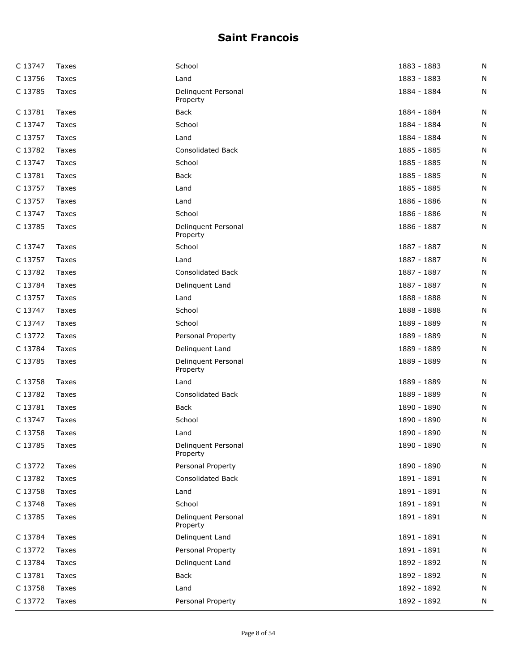| C 13747 | Taxes | School                          | 1883 - 1883 | N |
|---------|-------|---------------------------------|-------------|---|
| C 13756 | Taxes | Land                            | 1883 - 1883 | N |
| C 13785 | Taxes | Delinquent Personal<br>Property | 1884 - 1884 | N |
| C 13781 | Taxes | Back                            | 1884 - 1884 | N |
| C 13747 | Taxes | School                          | 1884 - 1884 | N |
| C 13757 | Taxes | Land                            | 1884 - 1884 | N |
| C 13782 | Taxes | <b>Consolidated Back</b>        | 1885 - 1885 | N |
| C 13747 | Taxes | School                          | 1885 - 1885 | N |
| C 13781 | Taxes | <b>Back</b>                     | 1885 - 1885 | N |
| C 13757 | Taxes | Land                            | 1885 - 1885 | N |
| C 13757 | Taxes | Land                            | 1886 - 1886 | N |
| C 13747 | Taxes | School                          | 1886 - 1886 | N |
| C 13785 | Taxes | Delinquent Personal<br>Property | 1886 - 1887 | N |
| C 13747 | Taxes | School                          | 1887 - 1887 | N |
| C 13757 | Taxes | Land                            | 1887 - 1887 | N |
| C 13782 | Taxes | <b>Consolidated Back</b>        | 1887 - 1887 | N |
| C 13784 | Taxes | Delinquent Land                 | 1887 - 1887 | N |
| C 13757 | Taxes | Land                            | 1888 - 1888 | N |
| C 13747 | Taxes | School                          | 1888 - 1888 | N |
| C 13747 | Taxes | School                          | 1889 - 1889 | N |
| C 13772 | Taxes | Personal Property               | 1889 - 1889 | N |
| C 13784 | Taxes | Delinquent Land                 | 1889 - 1889 | N |
| C 13785 | Taxes | Delinquent Personal<br>Property | 1889 - 1889 | N |
| C 13758 | Taxes | Land                            | 1889 - 1889 | N |
| C 13782 | Taxes | <b>Consolidated Back</b>        | 1889 - 1889 | N |
| C 13781 | Taxes | Back                            | 1890 - 1890 | N |
| C 13747 | Taxes | School                          | 1890 - 1890 | N |
| C 13758 | Taxes | Land                            | 1890 - 1890 | N |
| C 13785 | Taxes | Delinquent Personal<br>Property | 1890 - 1890 | N |
| C 13772 | Taxes | Personal Property               | 1890 - 1890 | N |
| C 13782 | Taxes | Consolidated Back               | 1891 - 1891 | N |
| C 13758 | Taxes | Land                            | 1891 - 1891 | N |
| C 13748 | Taxes | School                          | 1891 - 1891 | N |
| C 13785 | Taxes | Delinquent Personal<br>Property | 1891 - 1891 | N |
| C 13784 | Taxes | Delinquent Land                 | 1891 - 1891 | N |
| C 13772 | Taxes | Personal Property               | 1891 - 1891 | N |
| C 13784 | Taxes | Delinquent Land                 | 1892 - 1892 | N |
| C 13781 | Taxes | <b>Back</b>                     | 1892 - 1892 | N |
| C 13758 | Taxes | Land                            | 1892 - 1892 | N |
| C 13772 | Taxes | Personal Property               | 1892 - 1892 | N |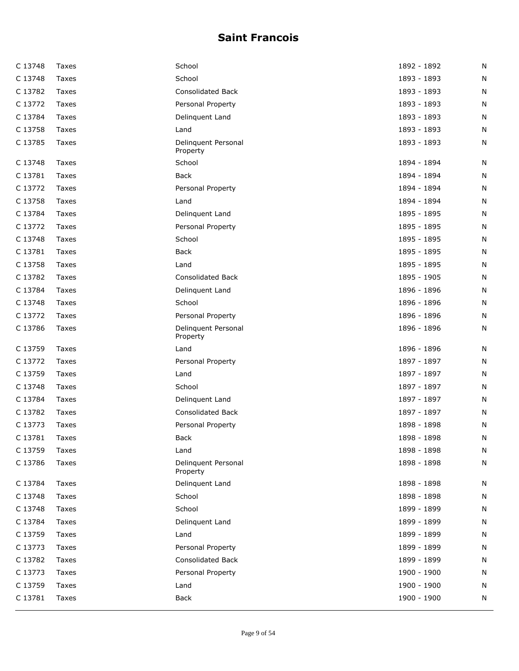| C 13748 | Taxes | School                          | 1892 - 1892 | N |
|---------|-------|---------------------------------|-------------|---|
| C 13748 | Taxes | School                          | 1893 - 1893 | N |
| C 13782 | Taxes | <b>Consolidated Back</b>        | 1893 - 1893 | N |
| C 13772 | Taxes | Personal Property               | 1893 - 1893 | N |
| C 13784 | Taxes | Delinquent Land                 | 1893 - 1893 | N |
| C 13758 | Taxes | Land                            | 1893 - 1893 | N |
| C 13785 | Taxes | Delinquent Personal<br>Property | 1893 - 1893 | N |
| C 13748 | Taxes | School                          | 1894 - 1894 | N |
| C 13781 | Taxes | <b>Back</b>                     | 1894 - 1894 | N |
| C 13772 | Taxes | Personal Property               | 1894 - 1894 | N |
| C 13758 | Taxes | Land                            | 1894 - 1894 | N |
| C 13784 | Taxes | Delinquent Land                 | 1895 - 1895 | N |
| C 13772 | Taxes | Personal Property               | 1895 - 1895 | N |
| C 13748 | Taxes | School                          | 1895 - 1895 | N |
| C 13781 | Taxes | <b>Back</b>                     | 1895 - 1895 | N |
| C 13758 | Taxes | Land                            | 1895 - 1895 | N |
| C 13782 | Taxes | <b>Consolidated Back</b>        | 1895 - 1905 | N |
| C 13784 | Taxes | Delinquent Land                 | 1896 - 1896 | N |
| C 13748 | Taxes | School                          | 1896 - 1896 | N |
| C 13772 | Taxes | Personal Property               | 1896 - 1896 | N |
| C 13786 | Taxes | Delinquent Personal<br>Property | 1896 - 1896 | N |
| C 13759 | Taxes | Land                            | 1896 - 1896 | N |
| C 13772 | Taxes | Personal Property               | 1897 - 1897 | N |
| C 13759 | Taxes | Land                            | 1897 - 1897 | N |
| C 13748 | Taxes | School                          | 1897 - 1897 | N |
| C 13784 | Taxes | Delinquent Land                 | 1897 - 1897 | N |
| C 13782 | Taxes | <b>Consolidated Back</b>        | 1897 - 1897 | N |
| C 13773 | Taxes | Personal Property               | 1898 - 1898 | N |
| C 13781 | Taxes | <b>Back</b>                     | 1898 - 1898 | N |
| C 13759 | Taxes | Land                            | 1898 - 1898 | N |
| C 13786 | Taxes | Delinquent Personal<br>Property | 1898 - 1898 | N |
| C 13784 | Taxes | Delinquent Land                 | 1898 - 1898 | N |
| C 13748 | Taxes | School                          | 1898 - 1898 | N |
| C 13748 | Taxes | School                          | 1899 - 1899 | N |
| C 13784 | Taxes | Delinquent Land                 | 1899 - 1899 | N |
| C 13759 | Taxes | Land                            | 1899 - 1899 | N |
| C 13773 | Taxes | Personal Property               | 1899 - 1899 | N |
| C 13782 | Taxes | Consolidated Back               | 1899 - 1899 | N |
| C 13773 | Taxes | Personal Property               | 1900 - 1900 | N |
| C 13759 | Taxes | Land                            | 1900 - 1900 | N |
| C 13781 | Taxes | <b>Back</b>                     | 1900 - 1900 | N |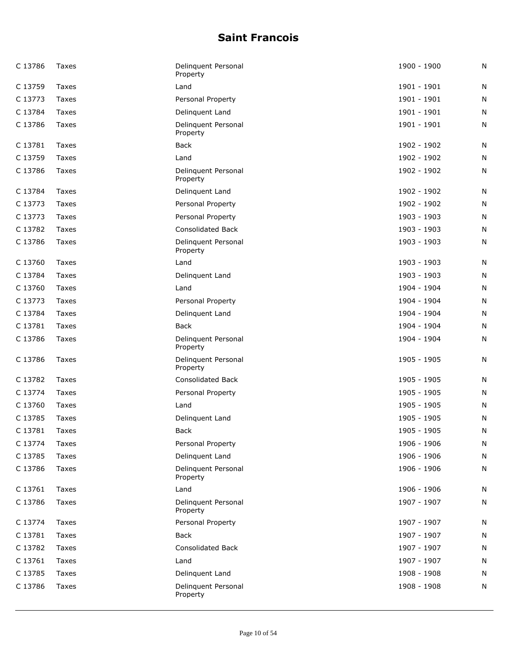| C 13786 | Taxes | Delinquent Personal<br>Property | 1900 - 1900   | N |
|---------|-------|---------------------------------|---------------|---|
| C 13759 | Taxes | Land                            | 1901 - 1901   | N |
| C 13773 | Taxes | Personal Property               | 1901 - 1901   | N |
| C 13784 | Taxes | Delinquent Land                 | $1901 - 1901$ | Ν |
| C 13786 | Taxes | Delinquent Personal<br>Property | 1901 - 1901   | Ν |
| C 13781 | Taxes | <b>Back</b>                     | 1902 - 1902   | N |
| C 13759 | Taxes | Land                            | 1902 - 1902   | N |
| C 13786 | Taxes | Delinquent Personal<br>Property | 1902 - 1902   | N |
| C 13784 | Taxes | Delinquent Land                 | 1902 - 1902   | N |
| C 13773 | Taxes | Personal Property               | 1902 - 1902   | N |
| C 13773 | Taxes | Personal Property               | 1903 - 1903   | N |
| C 13782 | Taxes | <b>Consolidated Back</b>        | 1903 - 1903   | N |
| C 13786 | Taxes | Delinquent Personal<br>Property | 1903 - 1903   | Ν |
| C 13760 | Taxes | Land                            | 1903 - 1903   | N |
| C 13784 | Taxes | Delinquent Land                 | 1903 - 1903   | N |
| C 13760 | Taxes | Land                            | 1904 - 1904   | N |
| C 13773 | Taxes | Personal Property               | 1904 - 1904   | Ν |
| C 13784 | Taxes | Delinquent Land                 | 1904 - 1904   | N |
| C 13781 | Taxes | Back                            | 1904 - 1904   | N |
| C 13786 | Taxes | Delinquent Personal<br>Property | 1904 - 1904   | N |
| C 13786 | Taxes | Delinquent Personal<br>Property | 1905 - 1905   | Ν |
| C 13782 | Taxes | <b>Consolidated Back</b>        | 1905 - 1905   | N |
| C 13774 | Taxes | Personal Property               | 1905 - 1905   | N |
| C 13760 | Taxes | Land                            | 1905 - 1905   | Ν |
| C 13785 | Taxes | Delinquent Land                 | 1905 - 1905   | N |
| C 13781 | Taxes | Back                            | 1905 - 1905   | N |
| C 13774 | Taxes | Personal Property               | 1906 - 1906   | N |
| C 13785 | Taxes | Delinquent Land                 | 1906 - 1906   | Ν |
| C 13786 | Taxes | Delinquent Personal<br>Property | 1906 - 1906   | N |
| C 13761 | Taxes | Land                            | 1906 - 1906   | Ν |
| C 13786 | Taxes | Delinguent Personal<br>Property | 1907 - 1907   | N |
| C 13774 | Taxes | Personal Property               | 1907 - 1907   | Ν |
| C 13781 | Taxes | <b>Back</b>                     | 1907 - 1907   | Ν |
| C 13782 | Taxes | <b>Consolidated Back</b>        | 1907 - 1907   | N |
| C 13761 | Taxes | Land                            | 1907 - 1907   | Ν |
| C 13785 | Taxes | Delinquent Land                 | 1908 - 1908   | N |
| C 13786 | Taxes | Delinquent Personal<br>Property | 1908 - 1908   | Ν |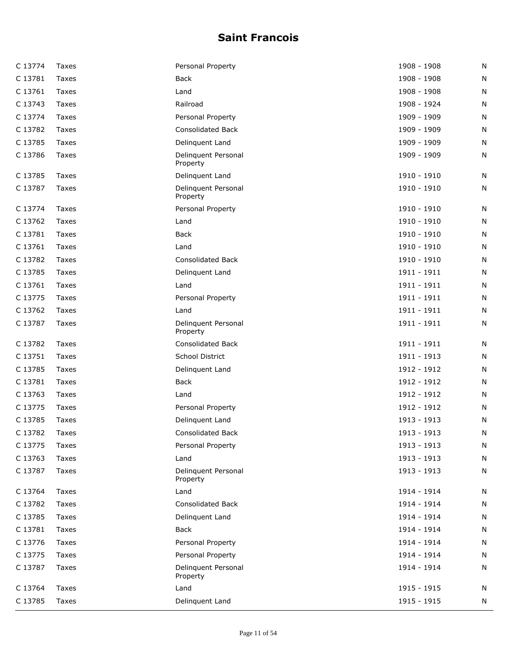| C 13774 | Taxes | Personal Property               | 1908 - 1908 | N |
|---------|-------|---------------------------------|-------------|---|
| C 13781 | Taxes | <b>Back</b>                     | 1908 - 1908 | N |
| C 13761 | Taxes | Land                            | 1908 - 1908 | N |
| C 13743 | Taxes | Railroad                        | 1908 - 1924 | N |
| C 13774 | Taxes | Personal Property               | 1909 - 1909 | N |
| C 13782 | Taxes | <b>Consolidated Back</b>        | 1909 - 1909 | N |
| C 13785 | Taxes | Delinquent Land                 | 1909 - 1909 | N |
| C 13786 | Taxes | Delinquent Personal<br>Property | 1909 - 1909 | N |
| C 13785 | Taxes | Delinquent Land                 | 1910 - 1910 | N |
| C 13787 | Taxes | Delinquent Personal<br>Property | 1910 - 1910 | N |
| C 13774 | Taxes | Personal Property               | 1910 - 1910 | N |
| C 13762 | Taxes | Land                            | 1910 - 1910 | N |
| C 13781 | Taxes | Back                            | 1910 - 1910 | N |
| C 13761 | Taxes | Land                            | 1910 - 1910 | N |
| C 13782 | Taxes | <b>Consolidated Back</b>        | 1910 - 1910 | N |
| C 13785 | Taxes | Delinquent Land                 | 1911 - 1911 | N |
| C 13761 | Taxes | Land                            | 1911 - 1911 | N |
| C 13775 | Taxes | Personal Property               | 1911 - 1911 | N |
| C 13762 | Taxes | Land                            | 1911 - 1911 | N |
| C 13787 | Taxes | Delinquent Personal<br>Property | 1911 - 1911 | N |
| C 13782 | Taxes | <b>Consolidated Back</b>        | 1911 - 1911 | N |
| C 13751 | Taxes | School District                 | 1911 - 1913 | N |
| C 13785 | Taxes | Delinquent Land                 | 1912 - 1912 | N |
| C 13781 | Taxes | Back                            | 1912 - 1912 | N |
| C 13763 | Taxes | Land                            | 1912 - 1912 | N |
| C 13775 | Taxes | Personal Property               | 1912 - 1912 | N |
| C 13785 | Taxes | Delinquent Land                 | 1913 - 1913 | N |
| C 13782 | Taxes | <b>Consolidated Back</b>        | 1913 - 1913 | N |
| C 13775 | Taxes | Personal Property               | 1913 - 1913 | N |
| C 13763 | Taxes | Land                            | 1913 - 1913 | N |
| C 13787 | Taxes | Delinquent Personal<br>Property | 1913 - 1913 | N |
| C 13764 | Taxes | Land                            | 1914 - 1914 | N |
| C 13782 | Taxes | <b>Consolidated Back</b>        | 1914 - 1914 | N |
| C 13785 | Taxes | Delinquent Land                 | 1914 - 1914 | N |
| C 13781 | Taxes | <b>Back</b>                     | 1914 - 1914 | N |
| C 13776 | Taxes | Personal Property               | 1914 - 1914 | N |
| C 13775 | Taxes | Personal Property               | 1914 - 1914 | N |
| C 13787 | Taxes | Delinquent Personal<br>Property | 1914 - 1914 | N |
| C 13764 | Taxes | Land                            | 1915 - 1915 | N |
| C 13785 | Taxes | Delinquent Land                 | 1915 - 1915 | N |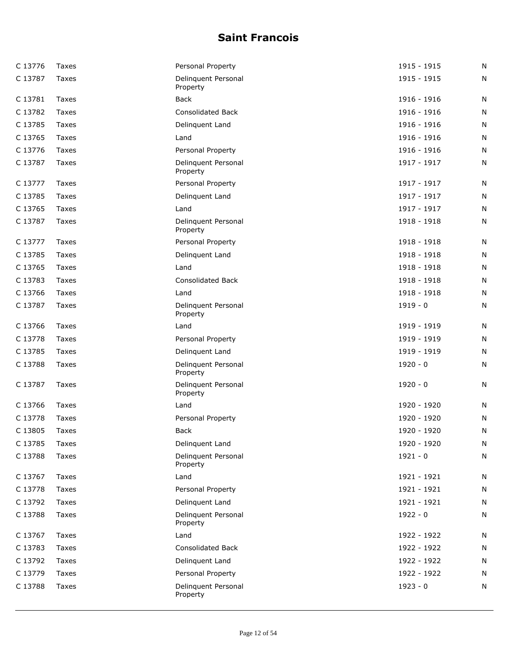| C 13776 | Taxes        | Personal Property               | 1915 - 1915 | N |
|---------|--------------|---------------------------------|-------------|---|
| C 13787 | Taxes        | Delinquent Personal<br>Property | 1915 - 1915 | Ν |
| C 13781 | Taxes        | Back                            | 1916 - 1916 | Ν |
| C 13782 | Taxes        | <b>Consolidated Back</b>        | 1916 - 1916 | Ν |
| C 13785 | Taxes        | Delinquent Land                 | 1916 - 1916 | Ν |
| C 13765 | Taxes        | Land                            | 1916 - 1916 | N |
| C 13776 | Taxes        | Personal Property               | 1916 - 1916 | N |
| C 13787 | Taxes        | Delinquent Personal<br>Property | 1917 - 1917 | N |
| C 13777 | <b>Taxes</b> | Personal Property               | 1917 - 1917 | N |
| C 13785 | Taxes        | Delinquent Land                 | 1917 - 1917 | N |
| C 13765 | Taxes        | Land                            | 1917 - 1917 | N |
| C 13787 | Taxes        | Delinquent Personal<br>Property | 1918 - 1918 | N |
| C 13777 | Taxes        | Personal Property               | 1918 - 1918 | Ν |
| C 13785 | Taxes        | Delinquent Land                 | 1918 - 1918 | Ν |
| C 13765 | Taxes        | Land                            | 1918 - 1918 | N |
| C 13783 | <b>Taxes</b> | <b>Consolidated Back</b>        | 1918 - 1918 | N |
| C 13766 | Taxes        | Land                            | 1918 - 1918 | N |
| C 13787 | Taxes        | Delinquent Personal<br>Property | $1919 - 0$  | N |
| C 13766 | Taxes        | Land                            | 1919 - 1919 | Ν |
| C 13778 | Taxes        | Personal Property               | 1919 - 1919 | N |
| C 13785 | Taxes        | Delinquent Land                 | 1919 - 1919 | N |
| C 13788 | Taxes        | Delinquent Personal<br>Property | $1920 - 0$  | N |
| C 13787 | Taxes        | Delinquent Personal<br>Property | $1920 - 0$  | Ν |
| C 13766 | Taxes        | Land                            | 1920 - 1920 | N |
| C 13778 | Taxes        | Personal Property               | 1920 - 1920 | N |
| C 13805 | Taxes        | <b>Back</b>                     | 1920 - 1920 | N |
| C 13785 | Taxes        | Delinquent Land                 | 1920 - 1920 | N |
| C 13788 | Taxes        | Delinquent Personal<br>Property | $1921 - 0$  | N |
| C 13767 | Taxes        | Land                            | 1921 - 1921 | N |
| C 13778 | Taxes        | Personal Property               | 1921 - 1921 | N |
| C 13792 | Taxes        | Delinquent Land                 | 1921 - 1921 | N |
| C 13788 | Taxes        | Delinquent Personal<br>Property | $1922 - 0$  | N |
| C 13767 | Taxes        | Land                            | 1922 - 1922 | N |
| C 13783 | Taxes        | <b>Consolidated Back</b>        | 1922 - 1922 | N |
| C 13792 | Taxes        | Delinquent Land                 | 1922 - 1922 | N |
| C 13779 | Taxes        | Personal Property               | 1922 - 1922 | N |
| C 13788 | Taxes        | Delinquent Personal<br>Property | $1923 - 0$  | N |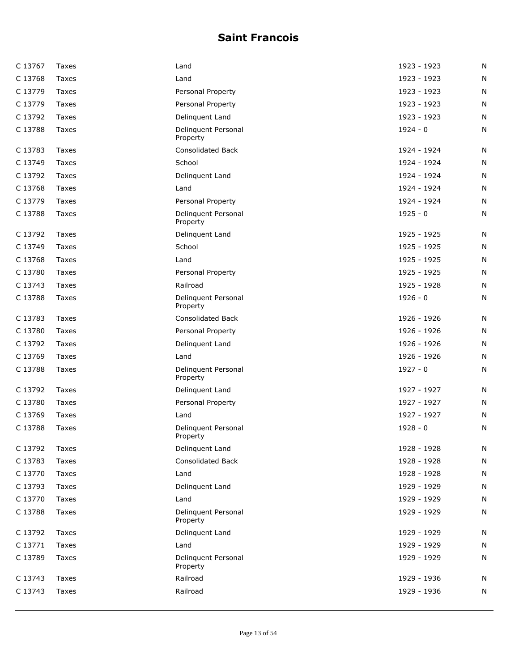| C 13767 | Taxes        | Land                            | 1923 - 1923 | N |
|---------|--------------|---------------------------------|-------------|---|
| C 13768 | Taxes        | Land                            | 1923 - 1923 | N |
| C 13779 | Taxes        | Personal Property               | 1923 - 1923 | N |
| C 13779 | Taxes        | Personal Property               | 1923 - 1923 | N |
| C 13792 | Taxes        | Delinquent Land                 | 1923 - 1923 | N |
| C 13788 | Taxes        | Delinquent Personal<br>Property | $1924 - 0$  | N |
| C 13783 | Taxes        | <b>Consolidated Back</b>        | 1924 - 1924 | N |
| C 13749 | Taxes        | School                          | 1924 - 1924 | N |
| C 13792 | Taxes        | Delinquent Land                 | 1924 - 1924 | N |
| C 13768 | Taxes        | Land                            | 1924 - 1924 | N |
| C 13779 | Taxes        | Personal Property               | 1924 - 1924 | N |
| C 13788 | Taxes        | Delinquent Personal<br>Property | $1925 - 0$  | N |
| C 13792 | Taxes        | Delinquent Land                 | 1925 - 1925 | N |
| C 13749 | Taxes        | School                          | 1925 - 1925 | N |
| C 13768 | Taxes        | Land                            | 1925 - 1925 | N |
| C 13780 | Taxes        | Personal Property               | 1925 - 1925 | N |
| C 13743 | Taxes        | Railroad                        | 1925 - 1928 | N |
| C 13788 | Taxes        | Delinquent Personal<br>Property | $1926 - 0$  | N |
| C 13783 | Taxes        | <b>Consolidated Back</b>        | 1926 - 1926 | N |
| C 13780 | Taxes        | Personal Property               | 1926 - 1926 | N |
| C 13792 | Taxes        | Delinquent Land                 | 1926 - 1926 | N |
| C 13769 | Taxes        | Land                            | 1926 - 1926 | N |
| C 13788 | Taxes        | Delinquent Personal<br>Property | $1927 - 0$  | N |
| C 13792 | Taxes        | Delinquent Land                 | 1927 - 1927 | N |
| C 13780 | Taxes        | Personal Property               | 1927 - 1927 | N |
| C 13769 | Taxes        | Land                            | 1927 - 1927 | N |
| C 13788 | Taxes        | Delinquent Personal<br>Property | $1928 - 0$  | N |
| C 13792 | <b>Taxes</b> | Delinquent Land                 | 1928 - 1928 | N |
| C 13783 | Taxes        | <b>Consolidated Back</b>        | 1928 - 1928 | N |
| C 13770 | Taxes        | Land                            | 1928 - 1928 | N |
| C 13793 | Taxes        | Delinquent Land                 | 1929 - 1929 | N |
| C 13770 | Taxes        | Land                            | 1929 - 1929 | N |
| C 13788 | Taxes        | Delinquent Personal<br>Property | 1929 - 1929 | N |
| C 13792 | Taxes        | Delinquent Land                 | 1929 - 1929 | N |
| C 13771 | Taxes        | Land                            | 1929 - 1929 | N |
| C 13789 | Taxes        | Delinquent Personal<br>Property | 1929 - 1929 | N |
| C 13743 | Taxes        | Railroad                        | 1929 - 1936 | N |
| C 13743 | Taxes        | Railroad                        | 1929 - 1936 | N |
|         |              |                                 |             |   |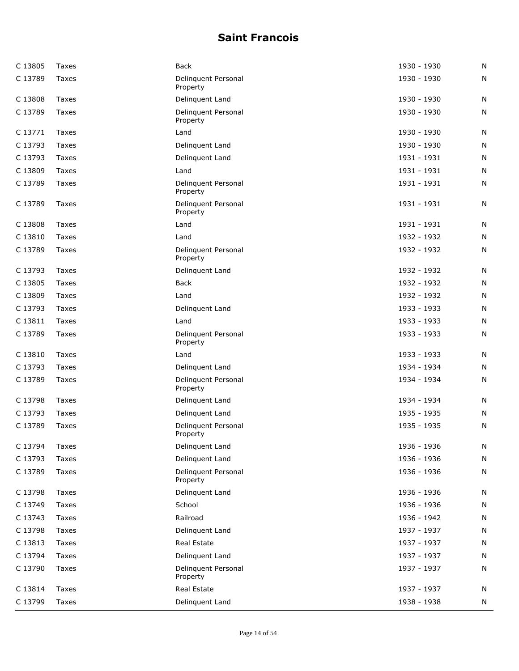| C 13805 | Taxes | Back                            | 1930 - 1930 | N |
|---------|-------|---------------------------------|-------------|---|
| C 13789 | Taxes | Delinquent Personal<br>Property | 1930 - 1930 | N |
| C 13808 | Taxes | Delinquent Land                 | 1930 - 1930 | N |
| C 13789 | Taxes | Delinquent Personal<br>Property | 1930 - 1930 | N |
| C 13771 | Taxes | Land                            | 1930 - 1930 | N |
| C 13793 | Taxes | Delinquent Land                 | 1930 - 1930 | N |
| C 13793 | Taxes | Delinquent Land                 | 1931 - 1931 | N |
| C 13809 | Taxes | Land                            | 1931 - 1931 | N |
| C 13789 | Taxes | Delinquent Personal<br>Property | 1931 - 1931 | N |
| C 13789 | Taxes | Delinquent Personal<br>Property | 1931 - 1931 | N |
| C 13808 | Taxes | Land                            | 1931 - 1931 | N |
| C 13810 | Taxes | Land                            | 1932 - 1932 | N |
| C 13789 | Taxes | Delinquent Personal<br>Property | 1932 - 1932 | N |
| C 13793 | Taxes | Delinquent Land                 | 1932 - 1932 | N |
| C 13805 | Taxes | <b>Back</b>                     | 1932 - 1932 | N |
| C 13809 | Taxes | Land                            | 1932 - 1932 | N |
| C 13793 | Taxes | Delinquent Land                 | 1933 - 1933 | N |
| C 13811 | Taxes | Land                            | 1933 - 1933 | N |
| C 13789 | Taxes | Delinquent Personal<br>Property | 1933 - 1933 | N |
| C 13810 | Taxes | Land                            | 1933 - 1933 | N |
| C 13793 | Taxes | Delinguent Land                 | 1934 - 1934 | N |
| C 13789 | Taxes | Delinquent Personal<br>Property | 1934 - 1934 | N |
| C 13798 | Taxes | Delinquent Land                 | 1934 - 1934 | N |
| C 13793 | Taxes | Delinquent Land                 | 1935 - 1935 | N |
| C 13789 | Taxes | Delinquent Personal<br>Property | 1935 - 1935 | N |
| C 13794 | Taxes | Delinquent Land                 | 1936 - 1936 | N |
| C 13793 | Taxes | Delinquent Land                 | 1936 - 1936 | N |
| C 13789 | Taxes | Delinquent Personal<br>Property | 1936 - 1936 | N |
| C 13798 | Taxes | Delinquent Land                 | 1936 - 1936 | N |
| C 13749 | Taxes | School                          | 1936 - 1936 | N |
| C 13743 | Taxes | Railroad                        | 1936 - 1942 | N |
| C 13798 | Taxes | Delinquent Land                 | 1937 - 1937 | N |
| C 13813 | Taxes | Real Estate                     | 1937 - 1937 | N |
| C 13794 | Taxes | Delinquent Land                 | 1937 - 1937 | N |
| C 13790 | Taxes | Delinquent Personal<br>Property | 1937 - 1937 | N |
| C 13814 | Taxes | Real Estate                     | 1937 - 1937 | N |
| C 13799 | Taxes | Delinquent Land                 | 1938 - 1938 | N |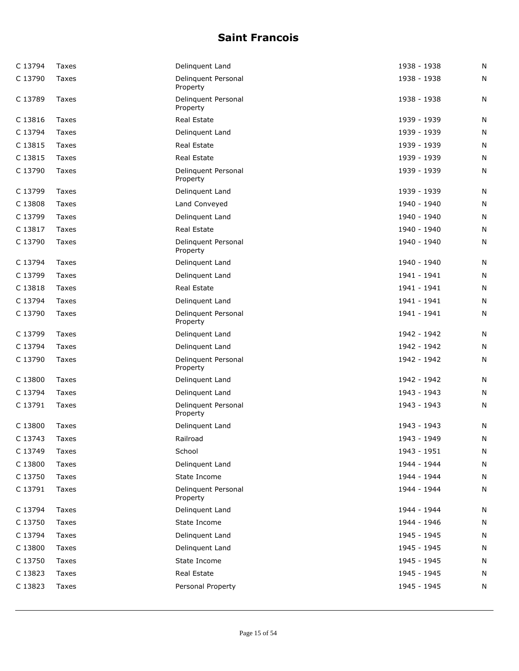| C 13794 | Taxes | Delinquent Land                 | 1938 - 1938 | N |
|---------|-------|---------------------------------|-------------|---|
| C 13790 | Taxes | Delinquent Personal<br>Property | 1938 - 1938 | N |
| C 13789 | Taxes | Delinquent Personal<br>Property | 1938 - 1938 | N |
| C 13816 | Taxes | Real Estate                     | 1939 - 1939 | N |
| C 13794 | Taxes | Delinquent Land                 | 1939 - 1939 | N |
| C 13815 | Taxes | Real Estate                     | 1939 - 1939 | N |
| C 13815 | Taxes | Real Estate                     | 1939 - 1939 | N |
| C 13790 | Taxes | Delinquent Personal<br>Property | 1939 - 1939 | N |
| C 13799 | Taxes | Delinquent Land                 | 1939 - 1939 | N |
| C 13808 | Taxes | Land Conveyed                   | 1940 - 1940 | N |
| C 13799 | Taxes | Delinquent Land                 | 1940 - 1940 | N |
| C 13817 | Taxes | Real Estate                     | 1940 - 1940 | N |
| C 13790 | Taxes | Delinquent Personal<br>Property | 1940 - 1940 | N |
| C 13794 | Taxes | Delinquent Land                 | 1940 - 1940 | N |
| C 13799 | Taxes | Delinquent Land                 | 1941 - 1941 | N |
| C 13818 | Taxes | Real Estate                     | 1941 - 1941 | N |
| C 13794 | Taxes | Delinquent Land                 | 1941 - 1941 | N |
| C 13790 | Taxes | Delinquent Personal<br>Property | 1941 - 1941 | N |
| C 13799 | Taxes | Delinquent Land                 | 1942 - 1942 | N |
| C 13794 | Taxes | Delinquent Land                 | 1942 - 1942 | N |
| C 13790 | Taxes | Delinquent Personal<br>Property | 1942 - 1942 | N |
| C 13800 | Taxes | Delinquent Land                 | 1942 - 1942 | N |
| C 13794 | Taxes | Delinquent Land                 | 1943 - 1943 | N |
| C 13791 | Taxes | Delinquent Personal<br>Property | 1943 - 1943 | N |
| C 13800 | Taxes | Delinquent Land                 | 1943 - 1943 | N |
| C 13743 | Taxes | Railroad                        | 1943 - 1949 | N |
| C 13749 | Taxes | School                          | 1943 - 1951 | N |
| C 13800 | Taxes | Delinquent Land                 | 1944 - 1944 | N |
| C 13750 | Taxes | State Income                    | 1944 - 1944 | N |
| C 13791 | Taxes | Delinquent Personal<br>Property | 1944 - 1944 | N |
| C 13794 | Taxes | Delinquent Land                 | 1944 - 1944 | N |
| C 13750 | Taxes | State Income                    | 1944 - 1946 | N |
| C 13794 | Taxes | Delinquent Land                 | 1945 - 1945 | N |
| C 13800 | Taxes | Delinquent Land                 | 1945 - 1945 | N |
| C 13750 | Taxes | State Income                    | 1945 - 1945 | N |
| C 13823 | Taxes | Real Estate                     | 1945 - 1945 | N |
| C 13823 | Taxes | Personal Property               | 1945 - 1945 | N |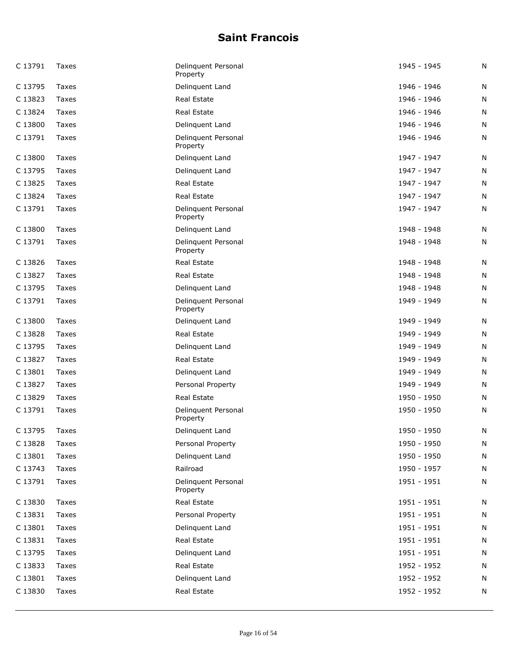| C 13791 | Taxes | Delinguent Personal<br>Property | 1945 - 1945   | Ν |
|---------|-------|---------------------------------|---------------|---|
| C 13795 | Taxes | Delinquent Land                 | 1946 - 1946   | N |
| C 13823 | Taxes | Real Estate                     | 1946 - 1946   | Ν |
| C 13824 | Taxes | Real Estate                     | 1946 - 1946   | N |
| C 13800 | Taxes | Delinguent Land                 | 1946 - 1946   | N |
| C 13791 | Taxes | Delinquent Personal<br>Property | 1946 - 1946   | N |
| C 13800 | Taxes | Delinquent Land                 | 1947 - 1947   | N |
| C 13795 | Taxes | Delinquent Land                 | 1947 - 1947   | Ν |
| C 13825 | Taxes | Real Estate                     | 1947 - 1947   | N |
| C 13824 | Taxes | Real Estate                     | 1947 - 1947   | N |
| C 13791 | Taxes | Delinquent Personal<br>Property | 1947 - 1947   | N |
| C 13800 | Taxes | Delinquent Land                 | 1948 - 1948   | N |
| C 13791 | Taxes | Delinquent Personal<br>Property | 1948 - 1948   | Ν |
| C 13826 | Taxes | Real Estate                     | 1948 - 1948   | N |
| C 13827 | Taxes | Real Estate                     | 1948 - 1948   | N |
| C 13795 | Taxes | Delinquent Land                 | 1948 - 1948   | N |
| C 13791 | Taxes | Delinquent Personal<br>Property | 1949 - 1949   | N |
| C 13800 | Taxes | Delinquent Land                 | 1949 - 1949   | Ν |
| C 13828 | Taxes | Real Estate                     | 1949 - 1949   | N |
| C 13795 | Taxes | Delinguent Land                 | 1949 - 1949   | N |
| C 13827 | Taxes | Real Estate                     | 1949 - 1949   | N |
| C 13801 | Taxes | Delinquent Land                 | 1949 - 1949   | Ν |
| C 13827 | Taxes | Personal Property               | 1949 - 1949   | N |
| C 13829 | Taxes | Real Estate                     | 1950 - 1950   | N |
| C 13791 | Taxes | Delinquent Personal<br>Property | 1950 - 1950   | N |
| C 13795 | Taxes | Delinquent Land                 | 1950 - 1950   | N |
| C 13828 | Taxes | Personal Property               | 1950 - 1950   | N |
| C 13801 | Taxes | Delinquent Land                 | 1950 - 1950   | N |
| C 13743 | Taxes | Railroad                        | 1950 - 1957   | N |
| C 13791 | Taxes | Delinquent Personal<br>Property | 1951 - 1951   | N |
| C 13830 | Taxes | Real Estate                     | $1951 - 1951$ | Ν |
| C 13831 | Taxes | Personal Property               | 1951 - 1951   | Ν |
| C 13801 | Taxes | Delinquent Land                 | 1951 - 1951   | N |
| C 13831 | Taxes | Real Estate                     | 1951 - 1951   | N |
| C 13795 | Taxes | Delinquent Land                 | 1951 - 1951   | N |
| C 13833 | Taxes | Real Estate                     | 1952 - 1952   | Ν |
| C 13801 | Taxes | Delinquent Land                 | 1952 - 1952   | N |
| C 13830 | Taxes | Real Estate                     | 1952 - 1952   | N |
|         |       |                                 |               |   |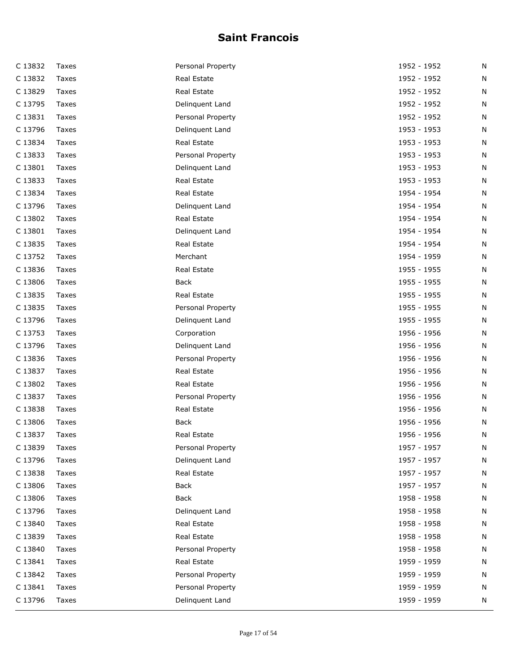| C 13832 | Taxes | Personal Property | 1952 - 1952 | Ν |
|---------|-------|-------------------|-------------|---|
| C 13832 | Taxes | Real Estate       | 1952 - 1952 | Ν |
| C 13829 | Taxes | Real Estate       | 1952 - 1952 | Ν |
| C 13795 | Taxes | Delinquent Land   | 1952 - 1952 | N |
| C 13831 | Taxes | Personal Property | 1952 - 1952 | Ν |
| C 13796 | Taxes | Delinquent Land   | 1953 - 1953 | Ν |
| C 13834 | Taxes | Real Estate       | 1953 - 1953 | N |
| C 13833 | Taxes | Personal Property | 1953 - 1953 | Ν |
| C 13801 | Taxes | Delinquent Land   | 1953 - 1953 | N |
| C 13833 | Taxes | Real Estate       | 1953 - 1953 | N |
| C 13834 | Taxes | Real Estate       | 1954 - 1954 | Ν |
| C 13796 | Taxes | Delinquent Land   | 1954 - 1954 | Ν |
| C 13802 | Taxes | Real Estate       | 1954 - 1954 | N |
| C 13801 | Taxes | Delinquent Land   | 1954 - 1954 | N |
| C 13835 | Taxes | Real Estate       | 1954 - 1954 | N |
| C 13752 | Taxes | Merchant          | 1954 - 1959 | Ν |
| C 13836 | Taxes | Real Estate       | 1955 - 1955 | Ν |
| C 13806 | Taxes | Back              | 1955 - 1955 | Ν |
| C 13835 | Taxes | Real Estate       | 1955 - 1955 | Ν |
| C 13835 | Taxes | Personal Property | 1955 - 1955 | Ν |
| C 13796 | Taxes | Delinquent Land   | 1955 - 1955 | N |
| C 13753 | Taxes | Corporation       | 1956 - 1956 | N |
| C 13796 | Taxes | Delinquent Land   | 1956 - 1956 | Ν |
| C 13836 | Taxes | Personal Property | 1956 - 1956 | N |
| C 13837 | Taxes | Real Estate       | 1956 - 1956 | Ν |
| C 13802 | Taxes | Real Estate       | 1956 - 1956 | Ν |
| C 13837 | Taxes | Personal Property | 1956 - 1956 | Ν |
| C 13838 | Taxes | Real Estate       | 1956 - 1956 | N |
| C 13806 | Taxes | Back              | 1956 - 1956 | N |
| C 13837 | Taxes | Real Estate       | 1956 - 1956 | N |
| C 13839 | Taxes | Personal Property | 1957 - 1957 | N |
| C 13796 | Taxes | Delinquent Land   | 1957 - 1957 | N |
| C 13838 | Taxes | Real Estate       | 1957 - 1957 | N |
| C 13806 | Taxes | <b>Back</b>       | 1957 - 1957 | N |
| C 13806 | Taxes | <b>Back</b>       | 1958 - 1958 | N |
| C 13796 | Taxes | Delinquent Land   | 1958 - 1958 | N |
| C 13840 | Taxes | Real Estate       | 1958 - 1958 | N |
| C 13839 | Taxes | Real Estate       | 1958 - 1958 | N |
| C 13840 | Taxes | Personal Property | 1958 - 1958 | N |
| C 13841 | Taxes | Real Estate       | 1959 - 1959 | Ν |
| C 13842 | Taxes | Personal Property | 1959 - 1959 | N |
| C 13841 | Taxes | Personal Property | 1959 - 1959 | N |
| C 13796 | Taxes | Delinquent Land   | 1959 - 1959 | N |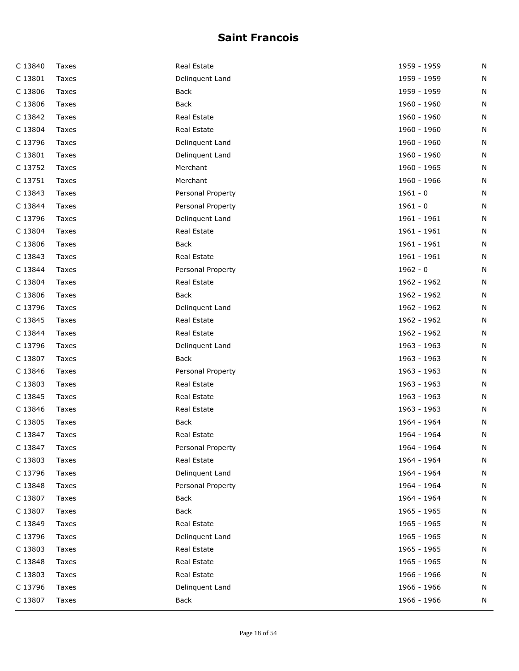| C 13840 | Taxes | Real Estate       | 1959 - 1959 | N |
|---------|-------|-------------------|-------------|---|
| C 13801 | Taxes | Delinquent Land   | 1959 - 1959 | N |
| C 13806 | Taxes | Back              | 1959 - 1959 | N |
| C 13806 | Taxes | Back              | 1960 - 1960 | N |
| C 13842 | Taxes | Real Estate       | 1960 - 1960 | N |
| C 13804 | Taxes | Real Estate       | 1960 - 1960 | N |
| C 13796 | Taxes | Delinquent Land   | 1960 - 1960 | N |
| C 13801 | Taxes | Delinquent Land   | 1960 - 1960 | N |
| C 13752 | Taxes | Merchant          | 1960 - 1965 | N |
| C 13751 | Taxes | Merchant          | 1960 - 1966 | N |
| C 13843 | Taxes | Personal Property | $1961 - 0$  | N |
| C 13844 | Taxes | Personal Property | $1961 - 0$  | N |
| C 13796 | Taxes | Delinquent Land   | 1961 - 1961 | N |
| C 13804 | Taxes | Real Estate       | 1961 - 1961 | N |
| C 13806 | Taxes | <b>Back</b>       | 1961 - 1961 | N |
| C 13843 | Taxes | Real Estate       | 1961 - 1961 | N |
| C 13844 | Taxes | Personal Property | $1962 - 0$  | N |
| C 13804 | Taxes | Real Estate       | 1962 - 1962 | N |
| C 13806 | Taxes | Back              | 1962 - 1962 | N |
| C 13796 | Taxes | Delinquent Land   | 1962 - 1962 | N |
| C 13845 | Taxes | Real Estate       | 1962 - 1962 | N |
| C 13844 | Taxes | Real Estate       | 1962 - 1962 | N |
| C 13796 | Taxes | Delinquent Land   | 1963 - 1963 | N |
| C 13807 | Taxes | Back              | 1963 - 1963 | N |
| C 13846 | Taxes | Personal Property | 1963 - 1963 | N |
| C 13803 | Taxes | Real Estate       | 1963 - 1963 | N |
| C 13845 | Taxes | Real Estate       | 1963 - 1963 | N |
| C 13846 | Taxes | Real Estate       | 1963 - 1963 | N |
| C 13805 | Taxes | <b>Back</b>       | 1964 - 1964 | N |
| C 13847 | Taxes | Real Estate       | 1964 - 1964 | N |
| C 13847 | Taxes | Personal Property | 1964 - 1964 | N |
| C 13803 | Taxes | Real Estate       | 1964 - 1964 | N |
| C 13796 | Taxes | Delinquent Land   | 1964 - 1964 | N |
| C 13848 | Taxes | Personal Property | 1964 - 1964 | N |
| C 13807 | Taxes | Back              | 1964 - 1964 | N |
| C 13807 | Taxes | Back              | 1965 - 1965 | N |
| C 13849 | Taxes | Real Estate       | 1965 - 1965 | N |
| C 13796 | Taxes | Delinquent Land   | 1965 - 1965 | N |
| C 13803 | Taxes | Real Estate       | 1965 - 1965 | N |
| C 13848 | Taxes | Real Estate       | 1965 - 1965 | N |
| C 13803 | Taxes | Real Estate       | 1966 - 1966 | N |
| C 13796 | Taxes | Delinquent Land   | 1966 - 1966 | N |
| C 13807 | Taxes | Back              | 1966 - 1966 | N |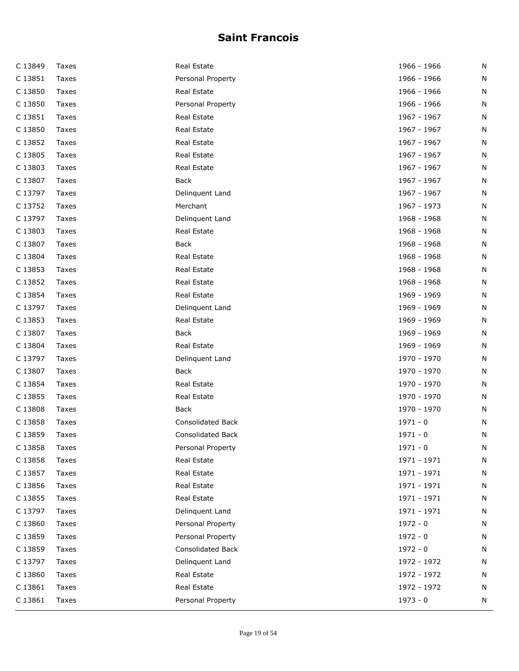| C 13849 | Taxes | Real Estate              | 1966 - 1966 | N |
|---------|-------|--------------------------|-------------|---|
| C 13851 | Taxes | Personal Property        | 1966 - 1966 | N |
| C 13850 | Taxes | Real Estate              | 1966 - 1966 | N |
| C 13850 | Taxes | Personal Property        | 1966 - 1966 | N |
| C 13851 | Taxes | Real Estate              | 1967 - 1967 | N |
| C 13850 | Taxes | Real Estate              | 1967 - 1967 | N |
| C 13852 | Taxes | Real Estate              | 1967 - 1967 | N |
| C 13805 | Taxes | Real Estate              | 1967 - 1967 | N |
| C 13803 | Taxes | Real Estate              | 1967 - 1967 | N |
| C 13807 | Taxes | Back                     | 1967 - 1967 | N |
| C 13797 | Taxes | Delinquent Land          | 1967 - 1967 | N |
| C 13752 | Taxes | Merchant                 | 1967 - 1973 | N |
| C 13797 | Taxes | Delinquent Land          | 1968 - 1968 | N |
| C 13803 | Taxes | Real Estate              | 1968 - 1968 | N |
| C 13807 | Taxes | Back                     | 1968 - 1968 | N |
| C 13804 | Taxes | Real Estate              | 1968 - 1968 | N |
| C 13853 | Taxes | Real Estate              | 1968 - 1968 | N |
| C 13852 | Taxes | Real Estate              | 1968 - 1968 | N |
| C 13854 | Taxes | Real Estate              | 1969 - 1969 | N |
| C 13797 | Taxes | Delinquent Land          | 1969 - 1969 | N |
| C 13853 | Taxes | Real Estate              | 1969 - 1969 | N |
| C 13807 | Taxes | Back                     | 1969 - 1969 | N |
| C 13804 | Taxes | Real Estate              | 1969 - 1969 | N |
| C 13797 | Taxes | Delinquent Land          | 1970 - 1970 | N |
| C 13807 | Taxes | <b>Back</b>              | 1970 - 1970 | N |
| C 13854 | Taxes | Real Estate              | 1970 - 1970 | N |
| C 13855 | Taxes | Real Estate              | 1970 - 1970 | N |
| C 13808 | Taxes | Back                     | 1970 - 1970 | N |
| C 13858 | Taxes | <b>Consolidated Back</b> | $1971 - 0$  | N |
| C 13859 | Taxes | <b>Consolidated Back</b> | $1971 - 0$  | N |
| C 13858 | Taxes | Personal Property        | $1971 - 0$  | N |
| C 13858 | Taxes | Real Estate              | 1971 - 1971 | N |
| C 13857 | Taxes | Real Estate              | 1971 - 1971 | N |
| C 13856 | Taxes | Real Estate              | 1971 - 1971 | N |
| C 13855 | Taxes | Real Estate              | 1971 - 1971 | N |
| C 13797 | Taxes | Delinquent Land          | 1971 - 1971 | N |
| C 13860 | Taxes | Personal Property        | $1972 - 0$  | N |
| C 13859 | Taxes | Personal Property        | $1972 - 0$  | N |
| C 13859 | Taxes | Consolidated Back        | $1972 - 0$  | N |
| C 13797 | Taxes | Delinquent Land          | 1972 - 1972 | N |
| C 13860 | Taxes | Real Estate              | 1972 - 1972 | N |
| C 13861 | Taxes | Real Estate              | 1972 - 1972 | N |
| C 13861 | Taxes | Personal Property        | $1973 - 0$  | N |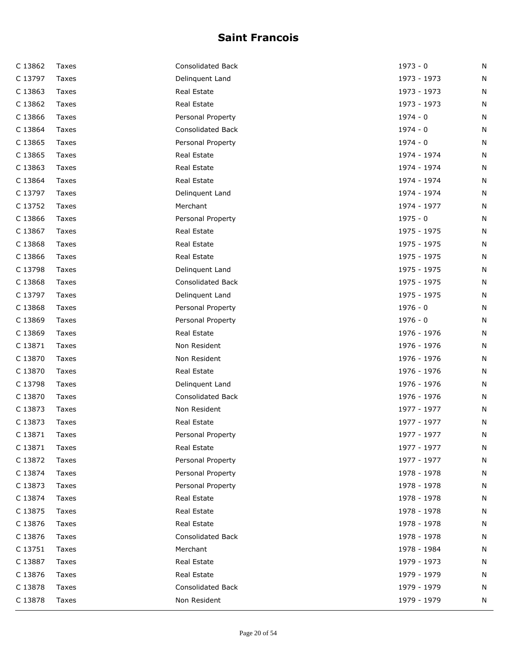| C 13862 | Taxes | Consolidated Back        | $1973 - 0$  | Ν |
|---------|-------|--------------------------|-------------|---|
| C 13797 | Taxes | Delinquent Land          | 1973 - 1973 | N |
| C 13863 | Taxes | Real Estate              | 1973 - 1973 | N |
| C 13862 | Taxes | Real Estate              | 1973 - 1973 | Ν |
| C 13866 | Taxes | Personal Property        | $1974 - 0$  | N |
| C 13864 | Taxes | <b>Consolidated Back</b> | $1974 - 0$  | N |
| C 13865 | Taxes | Personal Property        | $1974 - 0$  | N |
| C 13865 | Taxes | Real Estate              | 1974 - 1974 | N |
| C 13863 | Taxes | Real Estate              | 1974 - 1974 | N |
| C 13864 | Taxes | Real Estate              | 1974 - 1974 | N |
| C 13797 | Taxes | Delinquent Land          | 1974 - 1974 | N |
| C 13752 | Taxes | Merchant                 | 1974 - 1977 | N |
| C 13866 | Taxes | Personal Property        | $1975 - 0$  | N |
| C 13867 | Taxes | Real Estate              | 1975 - 1975 | N |
| C 13868 | Taxes | Real Estate              | 1975 - 1975 | N |
| C 13866 | Taxes | Real Estate              | 1975 - 1975 | N |
| C 13798 | Taxes | Delinquent Land          | 1975 - 1975 | N |
| C 13868 | Taxes | <b>Consolidated Back</b> | 1975 - 1975 | N |
| C 13797 | Taxes | Delinquent Land          | 1975 - 1975 | N |
| C 13868 | Taxes | Personal Property        | $1976 - 0$  | N |
| C 13869 | Taxes | Personal Property        | $1976 - 0$  | N |
| C 13869 | Taxes | Real Estate              | 1976 - 1976 | N |
| C 13871 | Taxes | Non Resident             | 1976 - 1976 | N |
| C 13870 | Taxes | Non Resident             | 1976 - 1976 | N |
| C 13870 | Taxes | Real Estate              | 1976 - 1976 | N |
| C 13798 | Taxes | Delinquent Land          | 1976 - 1976 | N |
| C 13870 | Taxes | Consolidated Back        | 1976 - 1976 | Ν |
| C 13873 | Taxes | Non Resident             | 1977 - 1977 | N |
| C 13873 | Taxes | Real Estate              | 1977 - 1977 | N |
| C 13871 | Taxes | Personal Property        | 1977 - 1977 | N |
| C 13871 | Taxes | Real Estate              | 1977 - 1977 | N |
| C 13872 | Taxes | Personal Property        | 1977 - 1977 | N |
| C 13874 | Taxes | Personal Property        | 1978 - 1978 | N |
| C 13873 | Taxes | Personal Property        | 1978 - 1978 | N |
| C 13874 | Taxes | Real Estate              | 1978 - 1978 | N |
| C 13875 | Taxes | Real Estate              | 1978 - 1978 | N |
| C 13876 | Taxes | Real Estate              | 1978 - 1978 | N |
| C 13876 | Taxes | Consolidated Back        | 1978 - 1978 | N |
| C 13751 | Taxes | Merchant                 | 1978 - 1984 | N |
| C 13887 | Taxes | Real Estate              | 1979 - 1973 | N |
| C 13876 | Taxes | Real Estate              | 1979 - 1979 | N |
| C 13878 | Taxes | Consolidated Back        | 1979 - 1979 | N |
| C 13878 | Taxes | Non Resident             | 1979 - 1979 | N |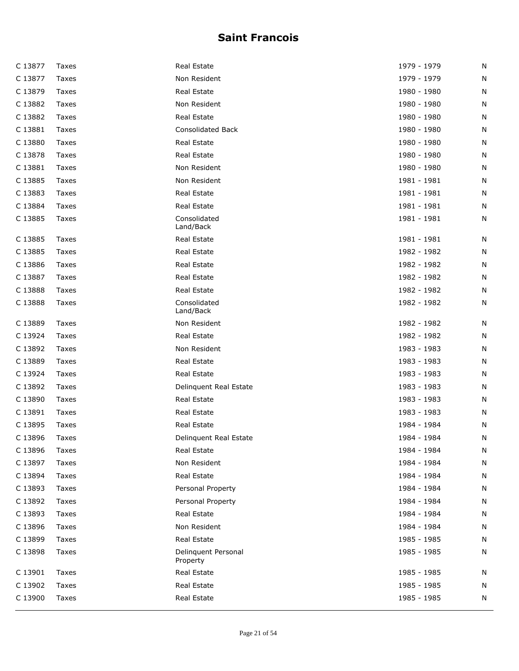| C 13877 | Taxes        | Real Estate                     | 1979 - 1979 | N |
|---------|--------------|---------------------------------|-------------|---|
| C 13877 | Taxes        | Non Resident                    | 1979 - 1979 | N |
| C 13879 | Taxes        | Real Estate                     | 1980 - 1980 | N |
| C 13882 | Taxes        | Non Resident                    | 1980 - 1980 | N |
| C 13882 | Taxes        | Real Estate                     | 1980 - 1980 | N |
| C 13881 | Taxes        | <b>Consolidated Back</b>        | 1980 - 1980 | N |
| C 13880 | Taxes        | Real Estate                     | 1980 - 1980 | N |
| C 13878 | Taxes        | Real Estate                     | 1980 - 1980 | N |
| C 13881 | Taxes        | Non Resident                    | 1980 - 1980 | N |
| C 13885 | Taxes        | Non Resident                    | 1981 - 1981 | N |
| C 13883 | Taxes        | Real Estate                     | 1981 - 1981 | N |
| C 13884 | Taxes        | Real Estate                     | 1981 - 1981 | N |
| C 13885 | Taxes        | Consolidated<br>Land/Back       | 1981 - 1981 | N |
| C 13885 | Taxes        | Real Estate                     | 1981 - 1981 | N |
| C 13885 | Taxes        | Real Estate                     | 1982 - 1982 | N |
| C 13886 | Taxes        | Real Estate                     | 1982 - 1982 | N |
| C 13887 | Taxes        | Real Estate                     | 1982 - 1982 | N |
| C 13888 | Taxes        | Real Estate                     | 1982 - 1982 | N |
| C 13888 | Taxes        | Consolidated<br>Land/Back       | 1982 - 1982 | N |
| C 13889 | Taxes        | Non Resident                    | 1982 - 1982 | N |
| C 13924 | Taxes        | Real Estate                     | 1982 - 1982 | N |
| C 13892 | Taxes        | Non Resident                    | 1983 - 1983 | N |
| C 13889 | Taxes        | Real Estate                     | 1983 - 1983 | N |
| C 13924 | Taxes        | Real Estate                     | 1983 - 1983 | N |
| C 13892 | Taxes        | Delinquent Real Estate          | 1983 - 1983 | N |
| C 13890 | Taxes        | Real Estate                     | 1983 - 1983 | N |
| C 13891 | Taxes        | Real Estate                     | 1983 - 1983 | N |
| C 13895 | Taxes        | Real Estate                     | 1984 - 1984 | N |
| C 13896 | Taxes        | Delinguent Real Estate          | 1984 - 1984 | N |
| C 13896 | Taxes        | Real Estate                     | 1984 - 1984 | N |
| C 13897 | Taxes        | Non Resident                    | 1984 - 1984 | N |
| C 13894 | Taxes        | Real Estate                     | 1984 - 1984 | N |
| C 13893 | Taxes        | Personal Property               | 1984 - 1984 | N |
| C 13892 | <b>Taxes</b> | Personal Property               | 1984 - 1984 | N |
| C 13893 | Taxes        | Real Estate                     | 1984 - 1984 | N |
| C 13896 | Taxes        | Non Resident                    | 1984 - 1984 | N |
| C 13899 | Taxes        | Real Estate                     | 1985 - 1985 | N |
| C 13898 | Taxes        | Delinquent Personal<br>Property | 1985 - 1985 | N |
| C 13901 | Taxes        | Real Estate                     | 1985 - 1985 | N |
| C 13902 | Taxes        | Real Estate                     | 1985 - 1985 | N |
| C 13900 | Taxes        | Real Estate                     | 1985 - 1985 | N |
|         |              |                                 |             |   |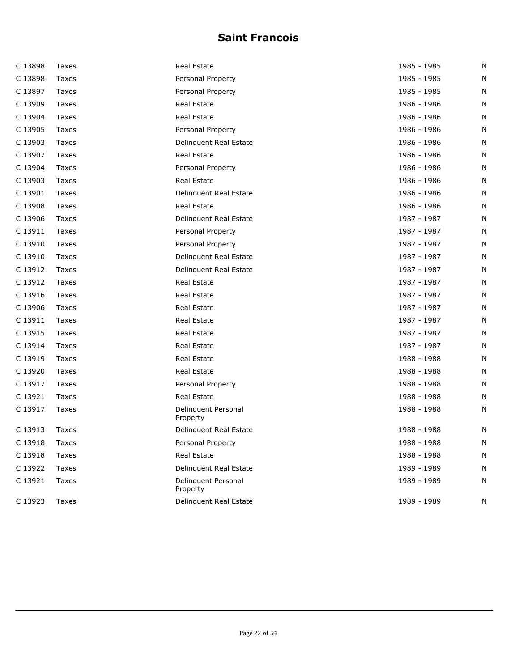| C 13898 | Taxes | Real Estate                     | 1985 - 1985 | N |
|---------|-------|---------------------------------|-------------|---|
| C 13898 | Taxes | Personal Property               | 1985 - 1985 | N |
| C 13897 | Taxes | Personal Property               | 1985 - 1985 | N |
| C 13909 | Taxes | Real Estate                     | 1986 - 1986 | N |
| C 13904 | Taxes | Real Estate                     | 1986 - 1986 | N |
| C 13905 | Taxes | Personal Property               | 1986 - 1986 | N |
| C 13903 | Taxes | Delinquent Real Estate          | 1986 - 1986 | N |
| C 13907 | Taxes | Real Estate                     | 1986 - 1986 | N |
| C 13904 | Taxes | Personal Property               | 1986 - 1986 | N |
| C 13903 | Taxes | Real Estate                     | 1986 - 1986 | N |
| C 13901 | Taxes | Delinquent Real Estate          | 1986 - 1986 | N |
| C 13908 | Taxes | Real Estate                     | 1986 - 1986 | N |
| C 13906 | Taxes | Delinquent Real Estate          | 1987 - 1987 | N |
| C 13911 | Taxes | Personal Property               | 1987 - 1987 | N |
| C 13910 | Taxes | Personal Property               | 1987 - 1987 | N |
| C 13910 | Taxes | Delinquent Real Estate          | 1987 - 1987 | N |
| C 13912 | Taxes | Delinquent Real Estate          | 1987 - 1987 | N |
| C 13912 | Taxes | Real Estate                     | 1987 - 1987 | N |
| C 13916 | Taxes | Real Estate                     | 1987 - 1987 | N |
| C 13906 | Taxes | Real Estate                     | 1987 - 1987 | N |
| C 13911 | Taxes | Real Estate                     | 1987 - 1987 | N |
| C 13915 | Taxes | Real Estate                     | 1987 - 1987 | N |
| C 13914 | Taxes | Real Estate                     | 1987 - 1987 | N |
| C 13919 | Taxes | Real Estate                     | 1988 - 1988 | N |
| C 13920 | Taxes | Real Estate                     | 1988 - 1988 | N |
| C 13917 | Taxes | Personal Property               | 1988 - 1988 | N |
| C 13921 | Taxes | Real Estate                     | 1988 - 1988 | N |
| C 13917 | Taxes | Delinquent Personal<br>Property | 1988 - 1988 | N |
| C 13913 | Taxes | Delinquent Real Estate          | 1988 - 1988 | N |
| C 13918 | Taxes | Personal Property               | 1988 - 1988 | N |
| C 13918 | Taxes | Real Estate                     | 1988 - 1988 | N |
| C 13922 | Taxes | Delinquent Real Estate          | 1989 - 1989 | N |
| C 13921 | Taxes | Delinquent Personal<br>Property | 1989 - 1989 | N |
| C 13923 | Taxes | Delinquent Real Estate          | 1989 - 1989 | N |
|         |       |                                 |             |   |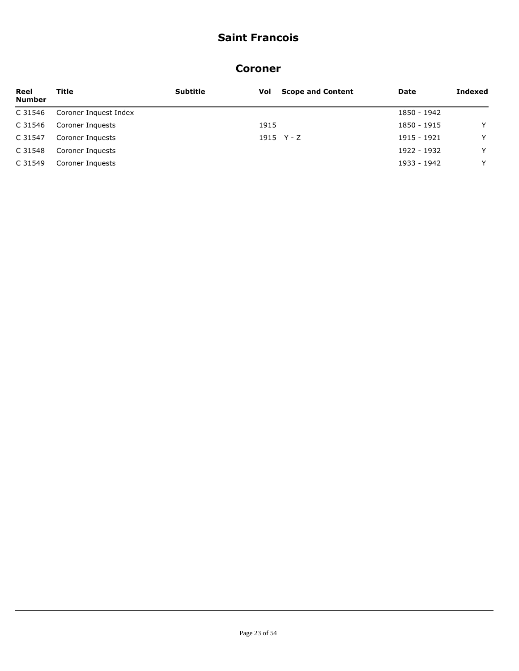#### **Coroner**

| Reel<br><b>Number</b> | Title                 | <b>Subtitle</b> | Vol  | <b>Scope and Content</b> | Date        | Indexed |
|-----------------------|-----------------------|-----------------|------|--------------------------|-------------|---------|
| C 31546               | Coroner Inquest Index |                 |      |                          | 1850 - 1942 |         |
| C 31546               | Coroner Inquests      |                 | 1915 |                          | 1850 - 1915 | Y       |
| C 31547               | Coroner Inquests      |                 |      | 1915 $Y - Z$             | 1915 - 1921 | Y       |
| C 31548               | Coroner Inquests      |                 |      |                          | 1922 - 1932 | Y       |
| C 31549               | Coroner Inquests      |                 |      |                          | 1933 - 1942 | Y       |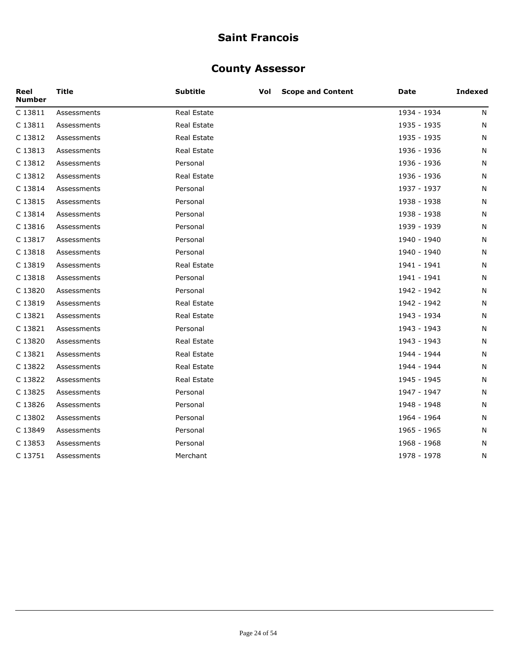#### **County Assessor**

| Reel<br><b>Number</b> | <b>Title</b> | <b>Subtitle</b>    | Vol | <b>Scope and Content</b> | Date        | <b>Indexed</b> |
|-----------------------|--------------|--------------------|-----|--------------------------|-------------|----------------|
| C 13811               | Assessments  | Real Estate        |     |                          | 1934 - 1934 | N              |
| C 13811               | Assessments  | Real Estate        |     |                          | 1935 - 1935 | N              |
| C 13812               | Assessments  | Real Estate        |     |                          | 1935 - 1935 | N              |
| C 13813               | Assessments  | <b>Real Estate</b> |     |                          | 1936 - 1936 | N              |
| C 13812               | Assessments  | Personal           |     |                          | 1936 - 1936 | N              |
| C 13812               | Assessments  | Real Estate        |     |                          | 1936 - 1936 | N              |
| C 13814               | Assessments  | Personal           |     |                          | 1937 - 1937 | N              |
| C 13815               | Assessments  | Personal           |     |                          | 1938 - 1938 | N              |
| C 13814               | Assessments  | Personal           |     |                          | 1938 - 1938 | N              |
| C 13816               | Assessments  | Personal           |     |                          | 1939 - 1939 | N              |
| C 13817               | Assessments  | Personal           |     |                          | 1940 - 1940 | N              |
| C 13818               | Assessments  | Personal           |     |                          | 1940 - 1940 | N              |
| C 13819               | Assessments  | Real Estate        |     |                          | 1941 - 1941 | N              |
| C 13818               | Assessments  | Personal           |     |                          | 1941 - 1941 | N              |
| C 13820               | Assessments  | Personal           |     |                          | 1942 - 1942 | N              |
| C 13819               | Assessments  | Real Estate        |     |                          | 1942 - 1942 | N              |
| C 13821               | Assessments  | Real Estate        |     |                          | 1943 - 1934 | N              |
| C 13821               | Assessments  | Personal           |     |                          | 1943 - 1943 | N              |
| C 13820               | Assessments  | Real Estate        |     |                          | 1943 - 1943 | N              |
| C 13821               | Assessments  | Real Estate        |     |                          | 1944 - 1944 | N              |
| C 13822               | Assessments  | <b>Real Estate</b> |     |                          | 1944 - 1944 | N              |
| C 13822               | Assessments  | Real Estate        |     |                          | 1945 - 1945 | N              |
| C 13825               | Assessments  | Personal           |     |                          | 1947 - 1947 | N              |
| C 13826               | Assessments  | Personal           |     |                          | 1948 - 1948 | N              |
| C 13802               | Assessments  | Personal           |     |                          | 1964 - 1964 | N              |
| C 13849               | Assessments  | Personal           |     |                          | 1965 - 1965 | N              |
| C 13853               | Assessments  | Personal           |     |                          | 1968 - 1968 | N              |
| C 13751               | Assessments  | Merchant           |     |                          | 1978 - 1978 | N              |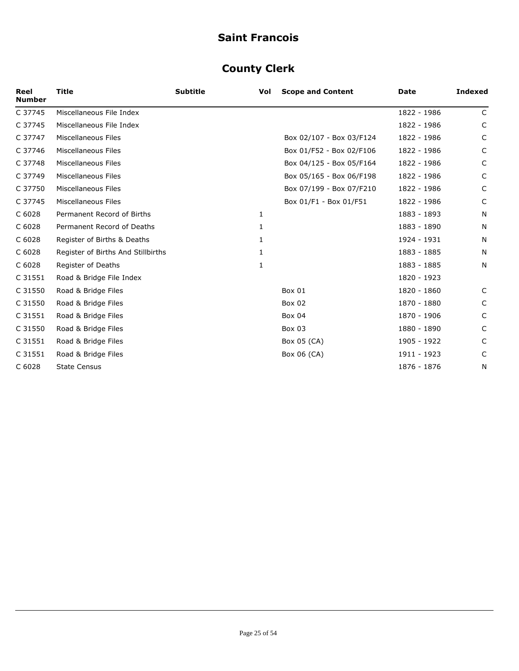# **County Clerk**

| Reel<br><b>Number</b> | <b>Title</b>                       | <b>Subtitle</b> | Vol | <b>Scope and Content</b> | Date        | <b>Indexed</b> |
|-----------------------|------------------------------------|-----------------|-----|--------------------------|-------------|----------------|
| C 37745               | Miscellaneous File Index           |                 |     |                          | 1822 - 1986 | $\mathsf{C}$   |
| C 37745               | Miscellaneous File Index           |                 |     |                          | 1822 - 1986 | C              |
| C 37747               | Miscellaneous Files                |                 |     | Box 02/107 - Box 03/F124 | 1822 - 1986 | C              |
| C 37746               | Miscellaneous Files                |                 |     | Box 01/F52 - Box 02/F106 | 1822 - 1986 | C              |
| C 37748               | Miscellaneous Files                |                 |     | Box 04/125 - Box 05/F164 | 1822 - 1986 | C              |
| C 37749               | Miscellaneous Files                |                 |     | Box 05/165 - Box 06/F198 | 1822 - 1986 | C              |
| C 37750               | Miscellaneous Files                |                 |     | Box 07/199 - Box 07/F210 | 1822 - 1986 | C              |
| C 37745               | Miscellaneous Files                |                 |     | Box 01/F1 - Box 01/F51   | 1822 - 1986 | C              |
| C 6028                | Permanent Record of Births         |                 | 1   |                          | 1883 - 1893 | N              |
| C 6028                | Permanent Record of Deaths         |                 | 1   |                          | 1883 - 1890 | N              |
| C 6028                | Register of Births & Deaths        |                 | 1   |                          | 1924 - 1931 | N              |
| C 6028                | Register of Births And Stillbirths |                 | 1   |                          | 1883 - 1885 | N              |
| C 6028                | Register of Deaths                 |                 | 1   |                          | 1883 - 1885 | N              |
| C 31551               | Road & Bridge File Index           |                 |     |                          | 1820 - 1923 |                |
| C 31550               | Road & Bridge Files                |                 |     | Box 01                   | 1820 - 1860 | C              |
| C 31550               | Road & Bridge Files                |                 |     | Box 02                   | 1870 - 1880 | C              |
| C 31551               | Road & Bridge Files                |                 |     | <b>Box 04</b>            | 1870 - 1906 | C              |
| C 31550               | Road & Bridge Files                |                 |     | Box 03                   | 1880 - 1890 | C              |
| C 31551               | Road & Bridge Files                |                 |     | Box 05 (CA)              | 1905 - 1922 | C              |
| C 31551               | Road & Bridge Files                |                 |     | Box 06 (CA)              | 1911 - 1923 | C              |
| C 6028                | <b>State Census</b>                |                 |     |                          | 1876 - 1876 | N              |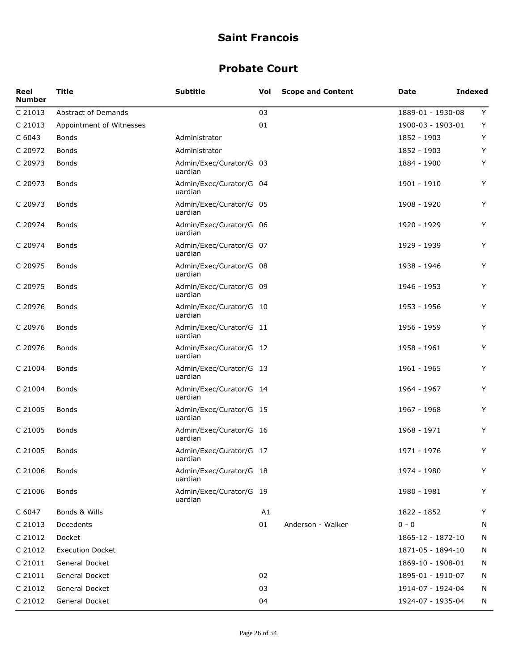#### **Probate Court**

| Reel<br><b>Number</b> | <b>Title</b>               | <b>Subtitle</b>                    | Vol | <b>Scope and Content</b> | Date              | <b>Indexed</b> |
|-----------------------|----------------------------|------------------------------------|-----|--------------------------|-------------------|----------------|
| C 21013               | <b>Abstract of Demands</b> |                                    | 03  |                          | 1889-01 - 1930-08 | Y              |
| C 21013               | Appointment of Witnesses   |                                    | 01  |                          | 1900-03 - 1903-01 | Y              |
| C 6043                | <b>Bonds</b>               | Administrator                      |     |                          | 1852 - 1903       | Y              |
| C 20972               | <b>Bonds</b>               | Administrator                      |     |                          | 1852 - 1903       | Y              |
| C 20973               | Bonds                      | Admin/Exec/Curator/G 03<br>uardian |     |                          | 1884 - 1900       | Y              |
| C 20973               | Bonds                      | Admin/Exec/Curator/G 04<br>uardian |     |                          | 1901 - 1910       | Y              |
| C 20973               | Bonds                      | Admin/Exec/Curator/G 05<br>uardian |     |                          | 1908 - 1920       | Y              |
| C 20974               | Bonds                      | Admin/Exec/Curator/G 06<br>uardian |     |                          | 1920 - 1929       | Y              |
| C 20974               | <b>Bonds</b>               | Admin/Exec/Curator/G 07<br>uardian |     |                          | 1929 - 1939       | Y              |
| C 20975               | <b>Bonds</b>               | Admin/Exec/Curator/G 08<br>uardian |     |                          | 1938 - 1946       | Y              |
| C 20975               | <b>Bonds</b>               | Admin/Exec/Curator/G 09<br>uardian |     |                          | 1946 - 1953       | Y              |
| C 20976               | <b>Bonds</b>               | Admin/Exec/Curator/G 10<br>uardian |     |                          | 1953 - 1956       | Y              |
| C 20976               | <b>Bonds</b>               | Admin/Exec/Curator/G 11<br>uardian |     |                          | 1956 - 1959       | Y              |
| C 20976               | Bonds                      | Admin/Exec/Curator/G 12<br>uardian |     |                          | 1958 - 1961       | Υ              |
| C 21004               | Bonds                      | Admin/Exec/Curator/G 13<br>uardian |     |                          | 1961 - 1965       | Y              |
| C 21004               | <b>Bonds</b>               | Admin/Exec/Curator/G 14<br>uardian |     |                          | 1964 - 1967       | Y              |
| C 21005               | <b>Bonds</b>               | Admin/Exec/Curator/G 15<br>uardian |     |                          | 1967 - 1968       | Y              |
| C 21005               | Bonds                      | Admin/Exec/Curator/G 16<br>uardian |     |                          | 1968 - 1971       | Y              |
| C 21005               | Bonds                      | Admin/Exec/Curator/G 17<br>uardian |     |                          | 1971 - 1976       | Υ              |
| C 21006               | <b>Bonds</b>               | Admin/Exec/Curator/G 18<br>uardian |     |                          | 1974 - 1980       | Y              |
| C 21006               | <b>Bonds</b>               | Admin/Exec/Curator/G 19<br>uardian |     |                          | 1980 - 1981       | Y              |
| C 6047                | Bonds & Wills              |                                    | A1  |                          | 1822 - 1852       | Y              |
| C 21013               | Decedents                  |                                    | 01  | Anderson - Walker        | $0 - 0$           | N              |
| C 21012               | Docket                     |                                    |     |                          | 1865-12 - 1872-10 | N              |
| C 21012               | <b>Execution Docket</b>    |                                    |     |                          | 1871-05 - 1894-10 | N              |
| C 21011               | General Docket             |                                    |     |                          | 1869-10 - 1908-01 | N              |
| C 21011               | General Docket             |                                    | 02  |                          | 1895-01 - 1910-07 | N              |
| C 21012               | General Docket             |                                    | 03  |                          | 1914-07 - 1924-04 | N              |
| C 21012               | General Docket             |                                    | 04  |                          | 1924-07 - 1935-04 | N              |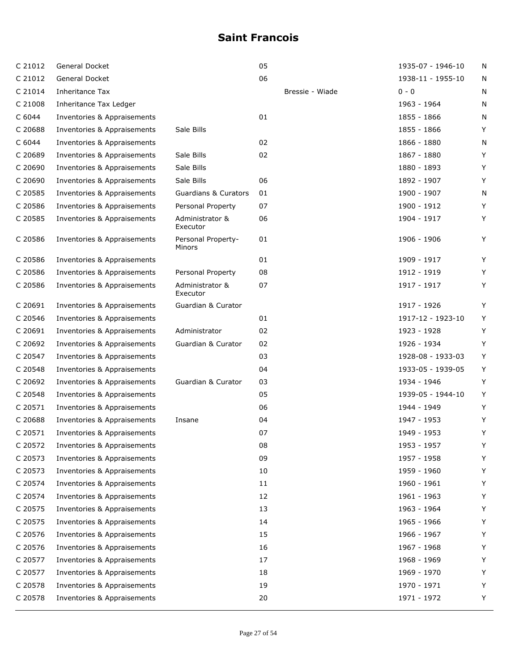| C 21012 | General Docket              |                                 | 05 |                 | 1935-07 - 1946-10 | N |
|---------|-----------------------------|---------------------------------|----|-----------------|-------------------|---|
| C 21012 | <b>General Docket</b>       |                                 | 06 |                 | 1938-11 - 1955-10 | N |
| C 21014 | Inheritance Tax             |                                 |    | Bressie - Wiade | $0 - 0$           | N |
| C 21008 | Inheritance Tax Ledger      |                                 |    |                 | 1963 - 1964       | N |
| C 6044  | Inventories & Appraisements |                                 | 01 |                 | 1855 - 1866       | N |
| C 20688 | Inventories & Appraisements | Sale Bills                      |    |                 | 1855 - 1866       | Υ |
| C 6044  | Inventories & Appraisements |                                 | 02 |                 | 1866 - 1880       | N |
| C 20689 | Inventories & Appraisements | Sale Bills                      | 02 |                 | 1867 - 1880       | Y |
| C 20690 | Inventories & Appraisements | Sale Bills                      |    |                 | 1880 - 1893       | Y |
| C 20690 | Inventories & Appraisements | Sale Bills                      | 06 |                 | 1892 - 1907       | Υ |
| C 20585 | Inventories & Appraisements | <b>Guardians &amp; Curators</b> | 01 |                 | 1900 - 1907       | N |
| C 20586 | Inventories & Appraisements | Personal Property               | 07 |                 | 1900 - 1912       | Y |
| C 20585 | Inventories & Appraisements | Administrator &<br>Executor     | 06 |                 | 1904 - 1917       | Y |
| C 20586 | Inventories & Appraisements | Personal Property-<br>Minors    | 01 |                 | 1906 - 1906       | Y |
| C 20586 | Inventories & Appraisements |                                 | 01 |                 | 1909 - 1917       | Y |
| C 20586 | Inventories & Appraisements | Personal Property               | 08 |                 | 1912 - 1919       | Y |
| C 20586 | Inventories & Appraisements | Administrator &<br>Executor     | 07 |                 | 1917 - 1917       | Y |
| C 20691 | Inventories & Appraisements | Guardian & Curator              |    |                 | 1917 - 1926       | Y |
| C 20546 | Inventories & Appraisements |                                 | 01 |                 | 1917-12 - 1923-10 | Y |
| C 20691 | Inventories & Appraisements | Administrator                   | 02 |                 | 1923 - 1928       | Y |
| C 20692 | Inventories & Appraisements | Guardian & Curator              | 02 |                 | 1926 - 1934       | Y |
| C 20547 | Inventories & Appraisements |                                 | 03 |                 | 1928-08 - 1933-03 | Y |
| C 20548 | Inventories & Appraisements |                                 | 04 |                 | 1933-05 - 1939-05 | Y |
| C 20692 | Inventories & Appraisements | Guardian & Curator              | 03 |                 | 1934 - 1946       | Y |
| C 20548 | Inventories & Appraisements |                                 | 05 |                 | 1939-05 - 1944-10 | Y |
| C 20571 | Inventories & Appraisements |                                 | 06 |                 | 1944 - 1949       | Y |
| C 20688 | Inventories & Appraisements | Insane                          | 04 |                 | 1947 - 1953       | Y |
| C 20571 | Inventories & Appraisements |                                 | 07 |                 | 1949 - 1953       | Y |
| C 20572 | Inventories & Appraisements |                                 | 08 |                 | 1953 - 1957       | Y |
| C 20573 | Inventories & Appraisements |                                 | 09 |                 | 1957 - 1958       | Y |
| C 20573 | Inventories & Appraisements |                                 | 10 |                 | 1959 - 1960       | Y |
| C 20574 | Inventories & Appraisements |                                 | 11 |                 | 1960 - 1961       | Y |
| C 20574 | Inventories & Appraisements |                                 | 12 |                 | 1961 - 1963       | Υ |
| C 20575 | Inventories & Appraisements |                                 | 13 |                 | 1963 - 1964       | Y |
| C 20575 | Inventories & Appraisements |                                 | 14 |                 | 1965 - 1966       | Y |
| C 20576 | Inventories & Appraisements |                                 | 15 |                 | 1966 - 1967       | Y |
| C 20576 | Inventories & Appraisements |                                 | 16 |                 | 1967 - 1968       | Y |
| C 20577 | Inventories & Appraisements |                                 | 17 |                 | 1968 - 1969       | Y |
| C 20577 | Inventories & Appraisements |                                 | 18 |                 | 1969 - 1970       | Y |
| C 20578 | Inventories & Appraisements |                                 | 19 |                 | 1970 - 1971       | Y |
| C 20578 | Inventories & Appraisements |                                 | 20 |                 | 1971 - 1972       | Y |
|         |                             |                                 |    |                 |                   |   |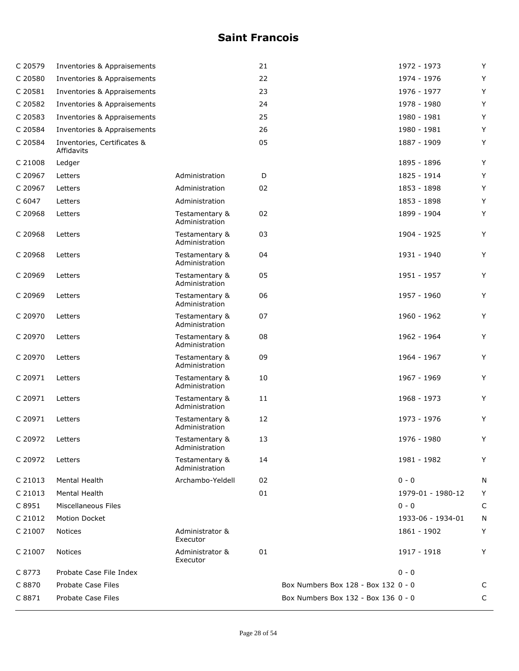| C 20579 | Inventories & Appraisements               |                                  | 21 |                                     | 1972 - 1973       | Y |
|---------|-------------------------------------------|----------------------------------|----|-------------------------------------|-------------------|---|
| C 20580 | Inventories & Appraisements               |                                  | 22 |                                     | 1974 - 1976       | Υ |
| C 20581 | Inventories & Appraisements               |                                  | 23 |                                     | 1976 - 1977       | Υ |
| C 20582 | Inventories & Appraisements               |                                  | 24 |                                     | 1978 - 1980       | Υ |
| C 20583 | Inventories & Appraisements               |                                  | 25 |                                     | 1980 - 1981       | Υ |
| C 20584 | Inventories & Appraisements               |                                  | 26 |                                     | 1980 - 1981       | Υ |
| C 20584 | Inventories, Certificates &<br>Affidavits |                                  | 05 |                                     | 1887 - 1909       | Y |
| C 21008 | Ledger                                    |                                  |    |                                     | 1895 - 1896       | Υ |
| C 20967 | Letters                                   | Administration                   | D  |                                     | 1825 - 1914       | Υ |
| C 20967 | Letters                                   | Administration                   | 02 |                                     | 1853 - 1898       | Y |
| C 6047  | Letters                                   | Administration                   |    |                                     | 1853 - 1898       | Y |
| C 20968 | Letters                                   | Testamentary &<br>Administration | 02 |                                     | 1899 - 1904       | Y |
| C 20968 | Letters                                   | Testamentary &<br>Administration | 03 |                                     | 1904 - 1925       | Y |
| C 20968 | Letters                                   | Testamentary &<br>Administration | 04 |                                     | 1931 - 1940       | Υ |
| C 20969 | Letters                                   | Testamentary &<br>Administration | 05 |                                     | 1951 - 1957       | Y |
| C 20969 | Letters                                   | Testamentary &<br>Administration | 06 |                                     | 1957 - 1960       | Y |
| C 20970 | Letters                                   | Testamentary &<br>Administration | 07 |                                     | 1960 - 1962       | Y |
| C 20970 | Letters                                   | Testamentary &<br>Administration | 08 |                                     | 1962 - 1964       | Υ |
| C 20970 | Letters                                   | Testamentary &<br>Administration | 09 |                                     | 1964 - 1967       | Υ |
| C 20971 | Letters                                   | Testamentary &<br>Administration | 10 |                                     | 1967 - 1969       | Υ |
| C 20971 | Letters                                   | Testamentary &<br>Administration | 11 |                                     | 1968 - 1973       | Υ |
| C 20971 | Letters                                   | Testamentary &<br>Administration | 12 |                                     | 1973 - 1976       | Υ |
| C 20972 | Letters                                   | Testamentary &<br>Administration | 13 |                                     | 1976 - 1980       | Y |
| C 20972 | Letters                                   | Testamentary &<br>Administration | 14 |                                     | 1981 - 1982       | Y |
| C 21013 | Mental Health                             | Archambo-Yeldell                 | 02 |                                     | $0 - 0$           | N |
| C 21013 | Mental Health                             |                                  | 01 |                                     | 1979-01 - 1980-12 | Y |
| C 8951  | <b>Miscellaneous Files</b>                |                                  |    |                                     | $0 - 0$           | C |
| C 21012 | Motion Docket                             |                                  |    |                                     | 1933-06 - 1934-01 | N |
| C 21007 | Notices                                   | Administrator &<br>Executor      |    |                                     | 1861 - 1902       | Y |
| C 21007 | Notices                                   | Administrator &<br>Executor      | 01 |                                     | 1917 - 1918       | Υ |
| C 8773  | Probate Case File Index                   |                                  |    |                                     | $0 - 0$           |   |
| C 8870  | Probate Case Files                        |                                  |    | Box Numbers Box 128 - Box 132 0 - 0 |                   | С |
| C 8871  | Probate Case Files                        |                                  |    | Box Numbers Box 132 - Box 136 0 - 0 |                   | C |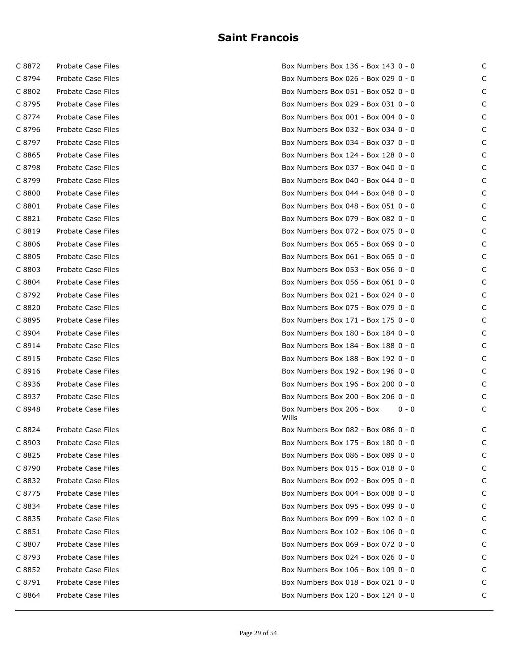| C 8872 | Probate Case Files |
|--------|--------------------|
| C 8794 | Probate Case Files |
| C 8802 | Probate Case Files |
| C 8795 | Probate Case Files |
| C 8774 | Probate Case Files |
| C 8796 | Probate Case Files |
| C 8797 | Probate Case Files |
| C 8865 | Probate Case Files |
| C 8798 | Probate Case Files |
| C 8799 | Probate Case Files |
| C 8800 | Probate Case Files |
| C 8801 | Probate Case Files |
| C 8821 | Probate Case Files |
| C 8819 | Probate Case Files |
| C 8806 | Probate Case Files |
| C 8805 | Probate Case Files |
| C 8803 | Probate Case Files |
| C 8804 | Probate Case Files |
| C 8792 | Probate Case Files |
| C 8820 | Probate Case Files |
| C 8895 | Probate Case Files |
| C 8904 | Probate Case Files |
| C 8914 | Probate Case Files |
| C 8915 | Probate Case Files |
| C 8916 | Probate Case Files |
| C 8936 | Probate Case Files |
| C 8937 | Probate Case Files |
| C 8948 | Probate Case Files |
| C 8824 | Probate Case Files |
| C 8903 | Probate Case Files |
| C 8825 | Probate Case Files |
| C 8790 | Probate Case Files |
| C 8832 | Probate Case Files |
| C 8775 | Probate Case Files |
| C 8834 | Probate Case Files |
| C 8835 | Probate Case Files |
| C 8851 | Probate Case Files |
| C 8807 | Probate Case Files |
| C 8793 | Probate Case Files |
| C 8852 | Probate Case Files |
| C 8791 | Probate Case Files |
| C 8864 | Probate Case Files |

| C 8872 | Probate Case Files        | Box Numbers Box 136 - Box 143 0 - 0           | C |
|--------|---------------------------|-----------------------------------------------|---|
| C 8794 | Probate Case Files        | Box Numbers Box 026 - Box 029 0 - 0           | C |
| C 8802 | Probate Case Files        | Box Numbers Box 051 - Box 052 0 - 0           | C |
| C 8795 | <b>Probate Case Files</b> | Box Numbers Box 029 - Box 031 0 - 0           | C |
| C 8774 | Probate Case Files        | Box Numbers Box 001 - Box 004 0 - 0           | C |
| C 8796 | Probate Case Files        | Box Numbers Box 032 - Box 034 0 - 0           | C |
| C 8797 | Probate Case Files        | Box Numbers Box 034 - Box 037 0 - 0           | C |
| C 8865 | Probate Case Files        | Box Numbers Box 124 - Box 128 0 - 0           | C |
| C 8798 | Probate Case Files        | Box Numbers Box 037 - Box 040 0 - 0           | C |
| C 8799 | Probate Case Files        | Box Numbers Box 040 - Box 044 0 - 0           | C |
| C 8800 | Probate Case Files        | Box Numbers Box 044 - Box 048 0 - 0           | C |
| C 8801 | Probate Case Files        | Box Numbers Box 048 - Box 051 0 - 0           | C |
| C 8821 | Probate Case Files        | Box Numbers Box 079 - Box 082 0 - 0           | C |
| C 8819 | Probate Case Files        | Box Numbers Box 072 - Box 075 0 - 0           | C |
| C 8806 | Probate Case Files        | Box Numbers Box 065 - Box 069 0 - 0           | C |
| C 8805 | Probate Case Files        | Box Numbers Box 061 - Box 065 0 - 0           | C |
| C 8803 | Probate Case Files        | Box Numbers Box 053 - Box 056 0 - 0           | C |
| C 8804 | Probate Case Files        | Box Numbers Box 056 - Box 061 0 - 0           | C |
| C 8792 | Probate Case Files        | Box Numbers Box 021 - Box 024 0 - 0           | C |
| C 8820 | Probate Case Files        | Box Numbers Box 075 - Box 079 0 - 0           | C |
| C 8895 | Probate Case Files        | Box Numbers Box 171 - Box 175 0 - 0           | C |
| C 8904 | Probate Case Files        | Box Numbers Box 180 - Box 184 0 - 0           | C |
| C 8914 | Probate Case Files        | Box Numbers Box 184 - Box 188 0 - 0           | C |
| C 8915 | Probate Case Files        | Box Numbers Box 188 - Box 192 0 - 0           | C |
| C 8916 | Probate Case Files        | Box Numbers Box 192 - Box 196 0 - 0           | C |
| C 8936 | Probate Case Files        | Box Numbers Box 196 - Box 200 0 - 0           | C |
| C 8937 | Probate Case Files        | Box Numbers Box 200 - Box 206 0 - 0           | C |
| C 8948 | Probate Case Files        | Box Numbers Box 206 - Box<br>$0 - 0$<br>Wills | C |
| C 8824 | Probate Case Files        | Box Numbers Box 082 - Box 086 0 - 0           | C |
| C 8903 | Probate Case Files        | Box Numbers Box 175 - Box 180 0 - 0           |   |
| C 8825 | Probate Case Files        | Box Numbers Box 086 - Box 089 0 - 0           |   |
| C 8790 | Probate Case Files        | Box Numbers Box 015 - Box 018 0 - 0           | C |
| C 8832 | Probate Case Files        | Box Numbers Box 092 - Box 095 0 - 0           | C |
| C 8775 | Probate Case Files        | Box Numbers Box 004 - Box 008 0 - 0           |   |
| C 8834 | Probate Case Files        | Box Numbers Box 095 - Box 099 0 - 0           |   |
| C 8835 | Probate Case Files        | Box Numbers Box 099 - Box 102 0 - 0           |   |
| C 8851 | Probate Case Files        | Box Numbers Box 102 - Box 106 0 - 0           | C |
| C 8807 | Probate Case Files        | Box Numbers Box 069 - Box 072 0 - 0           |   |
| C 8793 | Probate Case Files        | Box Numbers Box 024 - Box 026 0 - 0           |   |
| C 8852 | Probate Case Files        | Box Numbers Box 106 - Box 109 0 - 0           |   |
| C 8791 | Probate Case Files        | Box Numbers Box 018 - Box 021 0 - 0           | C |
| C 8864 | Probate Case Files        | Box Numbers Box 120 - Box 124 0 - 0           | C |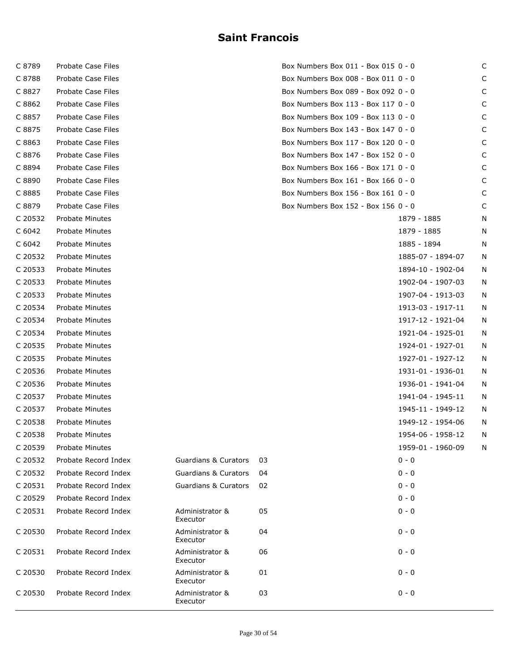| C 8789  | Probate Case Files     |                                 |    | Box Numbers Box 011 - Box 015 0 - 0 |                   |   |
|---------|------------------------|---------------------------------|----|-------------------------------------|-------------------|---|
| C 8788  | Probate Case Files     |                                 |    | Box Numbers Box 008 - Box 011 0 - 0 |                   | C |
| C 8827  | Probate Case Files     |                                 |    | Box Numbers Box 089 - Box 092 0 - 0 |                   | C |
| C 8862  | Probate Case Files     |                                 |    | Box Numbers Box 113 - Box 117 0 - 0 |                   | C |
| C 8857  | Probate Case Files     |                                 |    | Box Numbers Box 109 - Box 113 0 - 0 |                   | C |
| C 8875  | Probate Case Files     |                                 |    | Box Numbers Box 143 - Box 147 0 - 0 |                   | C |
| C 8863  | Probate Case Files     |                                 |    | Box Numbers Box 117 - Box 120 0 - 0 |                   | C |
| C 8876  | Probate Case Files     |                                 |    | Box Numbers Box 147 - Box 152 0 - 0 |                   | C |
| C 8894  | Probate Case Files     |                                 |    | Box Numbers Box 166 - Box 171 0 - 0 |                   | C |
| C 8890  | Probate Case Files     |                                 |    | Box Numbers Box 161 - Box 166 0 - 0 |                   | C |
| C 8885  | Probate Case Files     |                                 |    | Box Numbers Box 156 - Box 161 0 - 0 |                   | C |
| C 8879  | Probate Case Files     |                                 |    | Box Numbers Box 152 - Box 156 0 - 0 |                   | C |
| C 20532 | Probate Minutes        |                                 |    |                                     | 1879 - 1885       | N |
| C 6042  | Probate Minutes        |                                 |    |                                     | 1879 - 1885       | N |
| C 6042  | Probate Minutes        |                                 |    |                                     | 1885 - 1894       | N |
| C 20532 | Probate Minutes        |                                 |    |                                     | 1885-07 - 1894-07 | N |
| C 20533 | <b>Probate Minutes</b> |                                 |    |                                     | 1894-10 - 1902-04 | N |
| C 20533 | <b>Probate Minutes</b> |                                 |    |                                     | 1902-04 - 1907-03 | N |
| C 20533 | Probate Minutes        |                                 |    |                                     | 1907-04 - 1913-03 | N |
| C 20534 | Probate Minutes        |                                 |    |                                     | 1913-03 - 1917-11 | N |
| C 20534 | Probate Minutes        |                                 |    |                                     | 1917-12 - 1921-04 | N |
| C 20534 | Probate Minutes        |                                 |    |                                     | 1921-04 - 1925-01 | N |
| C 20535 | Probate Minutes        |                                 |    |                                     | 1924-01 - 1927-01 | N |
| C 20535 | Probate Minutes        |                                 |    |                                     | 1927-01 - 1927-12 | N |
| C 20536 | Probate Minutes        |                                 |    |                                     | 1931-01 - 1936-01 | N |
| C 20536 | Probate Minutes        |                                 |    |                                     | 1936-01 - 1941-04 | N |
| C 20537 | <b>Probate Minutes</b> |                                 |    |                                     | 1941-04 - 1945-11 | N |
| C 20537 | Probate Minutes        |                                 |    |                                     | 1945-11 - 1949-12 | N |
| C 20538 | Probate Minutes        |                                 |    |                                     | 1949-12 - 1954-06 | N |
| C 20538 | Probate Minutes        |                                 |    |                                     | 1954-06 - 1958-12 | N |
| C 20539 | Probate Minutes        |                                 |    |                                     | 1959-01 - 1960-09 | N |
| C 20532 | Probate Record Index   | <b>Guardians &amp; Curators</b> | 03 |                                     | $0 - 0$           |   |
| C 20532 | Probate Record Index   | <b>Guardians &amp; Curators</b> | 04 |                                     | 0 - 0             |   |
| C 20531 | Probate Record Index   | <b>Guardians &amp; Curators</b> | 02 |                                     | $0 - 0$           |   |
| C 20529 | Probate Record Index   |                                 |    |                                     | $0 - 0$           |   |
| C 20531 | Probate Record Index   | Administrator &<br>Executor     | 05 |                                     | $0 - 0$           |   |
| C 20530 | Probate Record Index   | Administrator &<br>Executor     | 04 |                                     | $0 - 0$           |   |
| C 20531 | Probate Record Index   | Administrator &<br>Executor     | 06 |                                     | $0 - 0$           |   |
| C 20530 | Probate Record Index   | Administrator &<br>Executor     | 01 |                                     | $0 - 0$           |   |
| C 20530 | Probate Record Index   | Administrator &<br>Executor     | 03 |                                     | $0 - 0$           |   |
|         |                        |                                 |    |                                     |                   |   |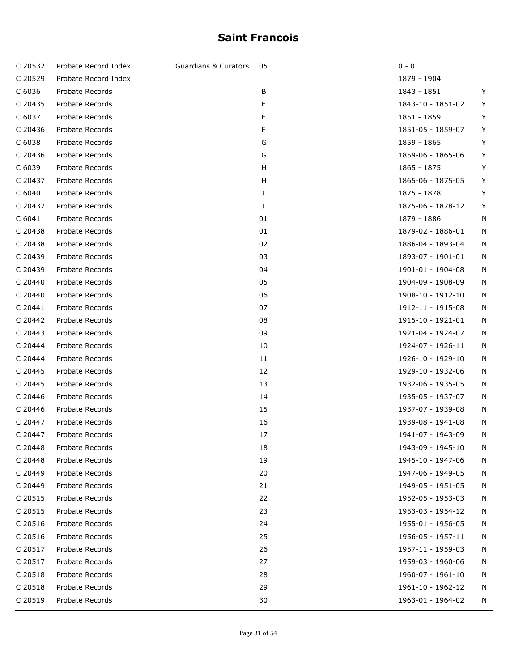| C 20532           | Probate Record Index | <b>Guardians &amp; Curators</b> | 05 | $0 - 0$           |   |
|-------------------|----------------------|---------------------------------|----|-------------------|---|
| C 20529           | Probate Record Index |                                 |    | 1879 - 1904       |   |
| C 6036            | Probate Records      |                                 | B  | 1843 - 1851       | Y |
| C 20435           | Probate Records      |                                 | Е  | 1843-10 - 1851-02 | Y |
| C 6037            | Probate Records      |                                 | F  | 1851 - 1859       | Y |
| C 20436           | Probate Records      |                                 | F  | 1851-05 - 1859-07 | Y |
| C 6038            | Probate Records      |                                 | G  | 1859 - 1865       | Y |
| C 20436           | Probate Records      |                                 | G  | 1859-06 - 1865-06 | Y |
| C 6039            | Probate Records      |                                 | H  | 1865 - 1875       | Y |
| C 20437           | Probate Records      |                                 | H  | 1865-06 - 1875-05 | Y |
| C <sub>6040</sub> | Probate Records      |                                 | J  | 1875 - 1878       | Y |
| C 20437           | Probate Records      |                                 | J  | 1875-06 - 1878-12 | Y |
| C <sub>6041</sub> | Probate Records      |                                 | 01 | 1879 - 1886       | N |
| C 20438           | Probate Records      |                                 | 01 | 1879-02 - 1886-01 | N |
| C 20438           | Probate Records      |                                 | 02 | 1886-04 - 1893-04 | N |
| C 20439           | Probate Records      |                                 | 03 | 1893-07 - 1901-01 | N |
| C 20439           | Probate Records      |                                 | 04 | 1901-01 - 1904-08 | N |
| C 20440           | Probate Records      |                                 | 05 | 1904-09 - 1908-09 | N |
| C 20440           | Probate Records      |                                 | 06 | 1908-10 - 1912-10 | N |
| C 20441           | Probate Records      |                                 | 07 | 1912-11 - 1915-08 | N |
| C 20442           | Probate Records      |                                 | 08 | 1915-10 - 1921-01 | N |
| C 20443           | Probate Records      |                                 | 09 | 1921-04 - 1924-07 | N |
| C 20444           | Probate Records      |                                 | 10 | 1924-07 - 1926-11 | N |
| C 20444           | Probate Records      |                                 | 11 | 1926-10 - 1929-10 | N |
| C 20445           | Probate Records      |                                 | 12 | 1929-10 - 1932-06 | N |
| C 20445           | Probate Records      |                                 | 13 | 1932-06 - 1935-05 | N |
| C 20446           | Probate Records      |                                 | 14 | 1935-05 - 1937-07 | N |
| C 20446           | Probate Records      |                                 | 15 | 1937-07 - 1939-08 | N |
| C 20447           | Probate Records      |                                 | 16 | 1939-08 - 1941-08 | N |
| C 20447           | Probate Records      |                                 | 17 | 1941-07 - 1943-09 | N |
| C 20448           | Probate Records      |                                 | 18 | 1943-09 - 1945-10 | N |
| C 20448           | Probate Records      |                                 | 19 | 1945-10 - 1947-06 | N |
| C 20449           | Probate Records      |                                 | 20 | 1947-06 - 1949-05 | N |
| C 20449           | Probate Records      |                                 | 21 | 1949-05 - 1951-05 | N |
| C 20515           | Probate Records      |                                 | 22 | 1952-05 - 1953-03 | N |
| C 20515           | Probate Records      |                                 | 23 | 1953-03 - 1954-12 | N |
| C 20516           | Probate Records      |                                 | 24 | 1955-01 - 1956-05 | N |
| C 20516           | Probate Records      |                                 | 25 | 1956-05 - 1957-11 | N |
| C 20517           | Probate Records      |                                 | 26 | 1957-11 - 1959-03 | N |
| C 20517           | Probate Records      |                                 | 27 | 1959-03 - 1960-06 | N |
| C 20518           | Probate Records      |                                 | 28 | 1960-07 - 1961-10 | N |
| C 20518           | Probate Records      |                                 | 29 | 1961-10 - 1962-12 | N |
| C 20519           | Probate Records      |                                 | 30 | 1963-01 - 1964-02 | N |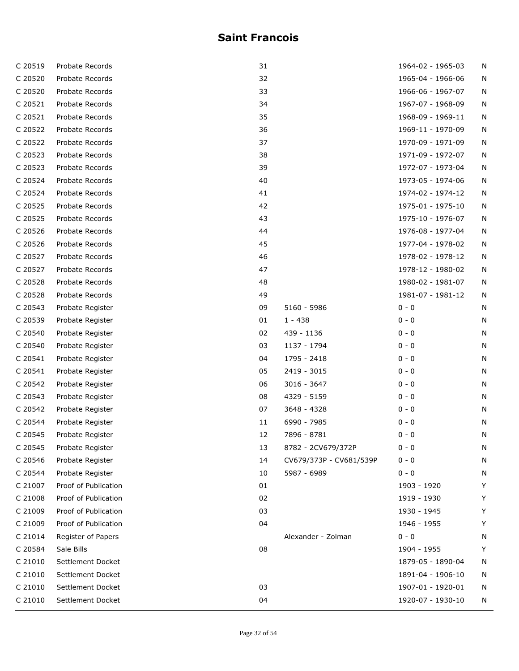| C 20519 | Probate Records      | 31 |                         | 1964-02 - 1965-03 | N |
|---------|----------------------|----|-------------------------|-------------------|---|
| C 20520 | Probate Records      | 32 |                         | 1965-04 - 1966-06 | N |
| C 20520 | Probate Records      | 33 |                         | 1966-06 - 1967-07 | N |
| C 20521 | Probate Records      | 34 |                         | 1967-07 - 1968-09 | N |
| C 20521 | Probate Records      | 35 |                         | 1968-09 - 1969-11 | N |
| C 20522 | Probate Records      | 36 |                         | 1969-11 - 1970-09 | N |
| C 20522 | Probate Records      | 37 |                         | 1970-09 - 1971-09 | N |
| C 20523 | Probate Records      | 38 |                         | 1971-09 - 1972-07 | N |
| C 20523 | Probate Records      | 39 |                         | 1972-07 - 1973-04 | N |
| C 20524 | Probate Records      | 40 |                         | 1973-05 - 1974-06 | N |
| C 20524 | Probate Records      | 41 |                         | 1974-02 - 1974-12 | N |
| C 20525 | Probate Records      | 42 |                         | 1975-01 - 1975-10 | N |
| C 20525 | Probate Records      | 43 |                         | 1975-10 - 1976-07 | N |
| C 20526 | Probate Records      | 44 |                         | 1976-08 - 1977-04 | N |
| C 20526 | Probate Records      | 45 |                         | 1977-04 - 1978-02 | N |
| C 20527 | Probate Records      | 46 |                         | 1978-02 - 1978-12 | N |
| C 20527 | Probate Records      | 47 |                         | 1978-12 - 1980-02 | N |
| C 20528 | Probate Records      | 48 |                         | 1980-02 - 1981-07 | N |
| C 20528 | Probate Records      | 49 |                         | 1981-07 - 1981-12 | N |
| C 20543 | Probate Register     | 09 | 5160 - 5986             | $0 - 0$           | N |
| C 20539 | Probate Register     | 01 | $1 - 438$               | $0 - 0$           | N |
| C 20540 | Probate Register     | 02 | 439 - 1136              | $0 - 0$           | N |
| C 20540 | Probate Register     | 03 | 1137 - 1794             | $0 - 0$           | N |
| C 20541 | Probate Register     | 04 | 1795 - 2418             | $0 - 0$           | N |
| C 20541 | Probate Register     | 05 | 2419 - 3015             | $0 - 0$           | N |
| C 20542 | Probate Register     | 06 | 3016 - 3647             | $0 - 0$           | N |
| C 20543 | Probate Register     | 08 | 4329 - 5159             | $0 - 0$           | N |
| C 20542 | Probate Register     | 07 | 3648 - 4328             | $0 - 0$           | N |
| C 20544 | Probate Register     | 11 | 6990 - 7985             | $0 - 0$           | N |
| C 20545 | Probate Register     | 12 | 7896 - 8781             | $0 - 0$           | N |
| C 20545 | Probate Register     | 13 | 8782 - 2CV679/372P      | $0 - 0$           | N |
| C 20546 | Probate Register     | 14 | CV679/373P - CV681/539P | $0 - 0$           | N |
| C 20544 | Probate Register     | 10 | 5987 - 6989             | $0 - 0$           | N |
| C 21007 | Proof of Publication | 01 |                         | 1903 - 1920       | Y |
| C 21008 | Proof of Publication | 02 |                         | 1919 - 1930       | Y |
| C 21009 | Proof of Publication | 03 |                         | 1930 - 1945       | Υ |
| C 21009 | Proof of Publication | 04 |                         | 1946 - 1955       | Υ |
| C 21014 | Register of Papers   |    | Alexander - Zolman      | $0 - 0$           | N |
| C 20584 | Sale Bills           | 08 |                         | 1904 - 1955       | Υ |
| C 21010 | Settlement Docket    |    |                         | 1879-05 - 1890-04 | N |
| C 21010 | Settlement Docket    |    |                         | 1891-04 - 1906-10 | N |
| C 21010 | Settlement Docket    | 03 |                         | 1907-01 - 1920-01 | N |
| C 21010 | Settlement Docket    | 04 |                         | 1920-07 - 1930-10 | N |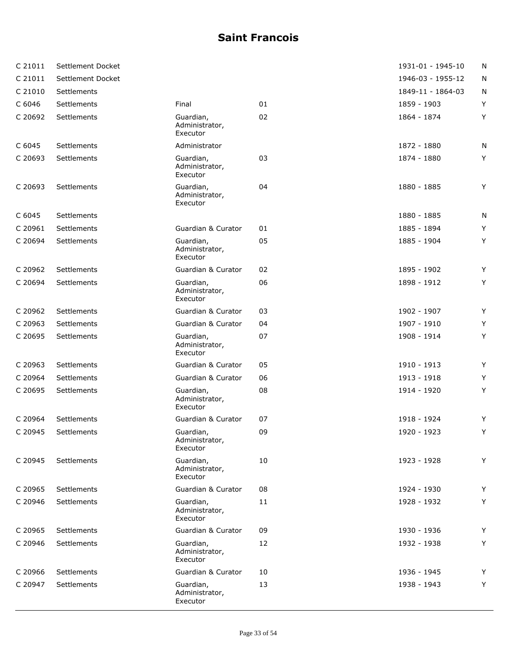| C 21011 | Settlement Docket |                                         |    | 1931-01 - 1945-10 | N |
|---------|-------------------|-----------------------------------------|----|-------------------|---|
| C 21011 | Settlement Docket |                                         |    | 1946-03 - 1955-12 | N |
| C 21010 | Settlements       |                                         |    | 1849-11 - 1864-03 | N |
| C 6046  | Settlements       | Final                                   | 01 | 1859 - 1903       | Y |
| C 20692 | Settlements       | Guardian,<br>Administrator,<br>Executor | 02 | 1864 - 1874       | Υ |
| C 6045  | Settlements       | Administrator                           |    | 1872 - 1880       | N |
| C 20693 | Settlements       | Guardian,<br>Administrator,<br>Executor | 03 | 1874 - 1880       | Υ |
| C 20693 | Settlements       | Guardian,<br>Administrator,<br>Executor | 04 | 1880 - 1885       | Y |
| C 6045  | Settlements       |                                         |    | 1880 - 1885       | N |
| C 20961 | Settlements       | Guardian & Curator                      | 01 | 1885 - 1894       | Υ |
| C 20694 | Settlements       | Guardian,<br>Administrator,<br>Executor | 05 | 1885 - 1904       | Y |
| C 20962 | Settlements       | Guardian & Curator                      | 02 | 1895 - 1902       | Y |
| C 20694 | Settlements       | Guardian,<br>Administrator,<br>Executor | 06 | 1898 - 1912       | Y |
| C 20962 | Settlements       | Guardian & Curator                      | 03 | 1902 - 1907       | Y |
| C 20963 | Settlements       | Guardian & Curator                      | 04 | 1907 - 1910       | Y |
| C 20695 | Settlements       | Guardian,<br>Administrator,<br>Executor | 07 | 1908 - 1914       | Υ |
| C 20963 | Settlements       | Guardian & Curator                      | 05 | 1910 - 1913       | Y |
| C 20964 | Settlements       | Guardian & Curator                      | 06 | 1913 - 1918       | Y |
| C 20695 | Settlements       | Guardian,<br>Administrator,<br>Executor | 08 | 1914 - 1920       | Υ |
| C 20964 | Settlements       | Guardian & Curator                      | 07 | 1918 - 1924       | Y |
| C 20945 | Settlements       | Guardian,<br>Administrator,<br>Executor | 09 | 1920 - 1923       | Y |
| C 20945 | Settlements       | Guardian,<br>Administrator,<br>Executor | 10 | 1923 - 1928       | Y |
| C 20965 | Settlements       | Guardian & Curator                      | 08 | 1924 - 1930       | Y |
| C 20946 | Settlements       | Guardian,<br>Administrator,<br>Executor | 11 | 1928 - 1932       | Υ |
| C 20965 | Settlements       | Guardian & Curator                      | 09 | 1930 - 1936       | Y |
| C 20946 | Settlements       | Guardian,<br>Administrator,<br>Executor | 12 | 1932 - 1938       | Y |
| C 20966 | Settlements       | Guardian & Curator                      | 10 | 1936 - 1945       | Y |
| C 20947 | Settlements       | Guardian,<br>Administrator,<br>Executor | 13 | 1938 - 1943       | Y |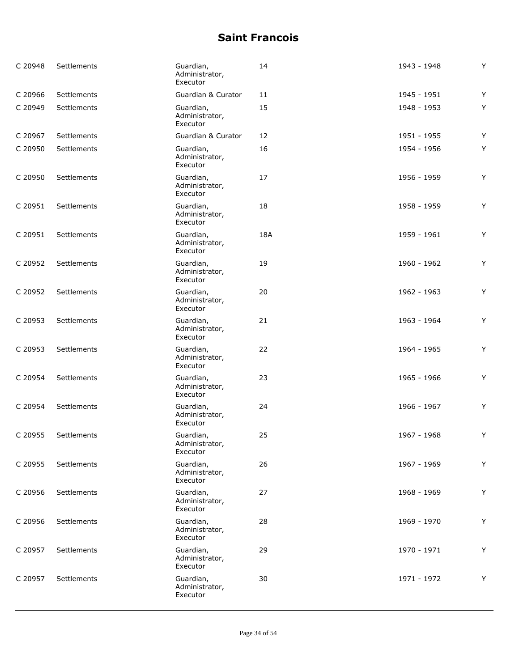| C 20948 | Settlements | Guardian,<br>Administrator,<br>Executor | 14  | 1943 - 1948 | Y |
|---------|-------------|-----------------------------------------|-----|-------------|---|
| C 20966 | Settlements | Guardian & Curator                      | 11  | 1945 - 1951 | Y |
| C 20949 | Settlements | Guardian,<br>Administrator,<br>Executor | 15  | 1948 - 1953 | Y |
| C 20967 | Settlements | Guardian & Curator                      | 12  | 1951 - 1955 | Y |
| C 20950 | Settlements | Guardian,<br>Administrator,<br>Executor | 16  | 1954 - 1956 | Y |
| C 20950 | Settlements | Guardian,<br>Administrator,<br>Executor | 17  | 1956 - 1959 | Y |
| C 20951 | Settlements | Guardian,<br>Administrator,<br>Executor | 18  | 1958 - 1959 | Y |
| C 20951 | Settlements | Guardian,<br>Administrator,<br>Executor | 18A | 1959 - 1961 | Y |
| C 20952 | Settlements | Guardian,<br>Administrator,<br>Executor | 19  | 1960 - 1962 | Y |
| C 20952 | Settlements | Guardian,<br>Administrator,<br>Executor | 20  | 1962 - 1963 | Y |
| C 20953 | Settlements | Guardian,<br>Administrator,<br>Executor | 21  | 1963 - 1964 | Y |
| C 20953 | Settlements | Guardian,<br>Administrator,<br>Executor | 22  | 1964 - 1965 | Y |
| C 20954 | Settlements | Guardian,<br>Administrator,<br>Executor | 23  | 1965 - 1966 | Y |
| C 20954 | Settlements | Guardian,<br>Administrator,<br>Executor | 24  | 1966 - 1967 | Y |
| C 20955 | Settlements | Guardian,<br>Administrator,<br>Executor | 25  | 1967 - 1968 | Y |
| C 20955 | Settlements | Guardian,<br>Administrator,<br>Executor | 26  | 1967 - 1969 | Y |
| C 20956 | Settlements | Guardian,<br>Administrator,<br>Executor | 27  | 1968 - 1969 | Y |
| C 20956 | Settlements | Guardian,<br>Administrator,<br>Executor | 28  | 1969 - 1970 | Y |
| C 20957 | Settlements | Guardian,<br>Administrator,<br>Executor | 29  | 1970 - 1971 | Y |
| C 20957 | Settlements | Guardian,<br>Administrator,<br>Executor | 30  | 1971 - 1972 | Y |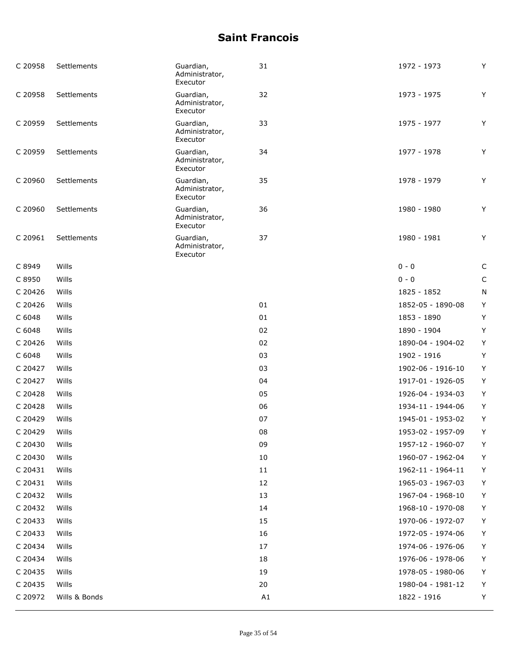| C 20958 | Settlements   | Guardian,<br>Administrator,<br>Executor | 31 | 1972 - 1973       | Y           |
|---------|---------------|-----------------------------------------|----|-------------------|-------------|
| C 20958 | Settlements   | Guardian,<br>Administrator,<br>Executor | 32 | 1973 - 1975       | Υ           |
| C 20959 | Settlements   | Guardian,<br>Administrator,<br>Executor | 33 | 1975 - 1977       | Y           |
| C 20959 | Settlements   | Guardian,<br>Administrator,<br>Executor | 34 | 1977 - 1978       | Y           |
| C 20960 | Settlements   | Guardian,<br>Administrator,<br>Executor | 35 | 1978 - 1979       | Υ           |
| C 20960 | Settlements   | Guardian,<br>Administrator,<br>Executor | 36 | 1980 - 1980       | Υ           |
| C 20961 | Settlements   | Guardian,<br>Administrator,<br>Executor | 37 | 1980 - 1981       | Y           |
| C 8949  | Wills         |                                         |    | $0 - 0$           | $\mathsf C$ |
| C 8950  | Wills         |                                         |    | $0 - 0$           | $\mathsf C$ |
| C 20426 | Wills         |                                         |    | 1825 - 1852       | N           |
| C 20426 | Wills         |                                         | 01 | 1852-05 - 1890-08 | Y           |
| C 6048  | Wills         |                                         | 01 | 1853 - 1890       | Υ           |
| C 6048  | Wills         |                                         | 02 | 1890 - 1904       | Υ           |
| C 20426 | Wills         |                                         | 02 | 1890-04 - 1904-02 | Υ           |
| C 6048  | Wills         |                                         | 03 | 1902 - 1916       | Y           |
| C 20427 | Wills         |                                         | 03 | 1902-06 - 1916-10 | Y           |
| C 20427 | Wills         |                                         | 04 | 1917-01 - 1926-05 | Υ           |
| C 20428 | Wills         |                                         | 05 | 1926-04 - 1934-03 | Υ           |
| C 20428 | Wills         |                                         | 06 | 1934-11 - 1944-06 | Υ           |
| C 20429 | Wills         |                                         | 07 | 1945-01 - 1953-02 | Υ           |
| C 20429 | Wills         |                                         | 08 | 1953-02 - 1957-09 | Υ           |
| C 20430 | Wills         |                                         | 09 | 1957-12 - 1960-07 | Y           |
| C 20430 | Wills         |                                         | 10 | 1960-07 - 1962-04 | Y           |
| C 20431 | Wills         |                                         | 11 | 1962-11 - 1964-11 | Υ           |
| C 20431 | Wills         |                                         | 12 | 1965-03 - 1967-03 | Υ           |
| C 20432 | Wills         |                                         | 13 | 1967-04 - 1968-10 | Υ           |
| C 20432 | Wills         |                                         | 14 | 1968-10 - 1970-08 | Υ           |
| C 20433 | Wills         |                                         | 15 | 1970-06 - 1972-07 | Υ           |
| C 20433 | Wills         |                                         | 16 | 1972-05 - 1974-06 | Υ           |
| C 20434 | Wills         |                                         | 17 | 1974-06 - 1976-06 | Υ           |
| C 20434 | Wills         |                                         | 18 | 1976-06 - 1978-06 | Υ           |
| C 20435 | Wills         |                                         | 19 | 1978-05 - 1980-06 | Υ           |
| C 20435 | Wills         |                                         | 20 | 1980-04 - 1981-12 | Υ           |
| C 20972 | Wills & Bonds |                                         | A1 | 1822 - 1916       | Υ           |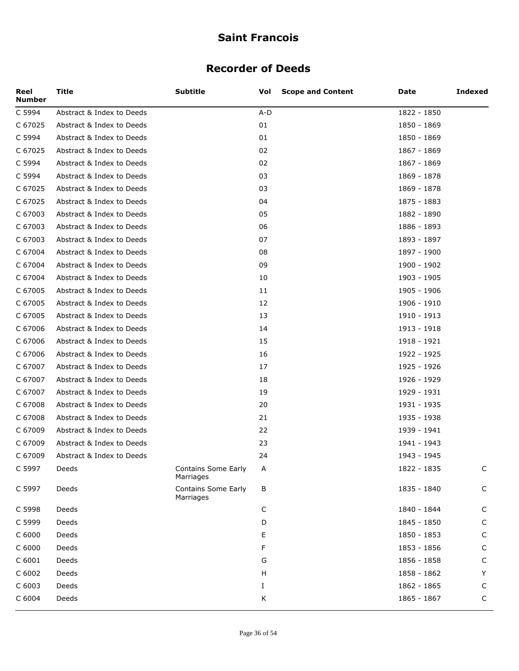#### **Recorder of Deeds**

| Reel<br><b>Number</b> | Title                     | <b>Subtitle</b>                         | Vol   | <b>Scope and Content</b> | Date        | <b>Indexed</b> |
|-----------------------|---------------------------|-----------------------------------------|-------|--------------------------|-------------|----------------|
| C 5994                | Abstract & Index to Deeds |                                         | $A-D$ |                          | 1822 - 1850 |                |
| C 67025               | Abstract & Index to Deeds |                                         | 01    |                          | 1850 - 1869 |                |
| C 5994                | Abstract & Index to Deeds |                                         | 01    |                          | 1850 - 1869 |                |
| C 67025               | Abstract & Index to Deeds |                                         | 02    |                          | 1867 - 1869 |                |
| C 5994                | Abstract & Index to Deeds |                                         | 02    |                          | 1867 - 1869 |                |
| C 5994                | Abstract & Index to Deeds |                                         | 03    |                          | 1869 - 1878 |                |
| C 67025               | Abstract & Index to Deeds |                                         | 03    |                          | 1869 - 1878 |                |
| C 67025               | Abstract & Index to Deeds |                                         | 04    |                          | 1875 - 1883 |                |
| C 67003               | Abstract & Index to Deeds |                                         | 05    |                          | 1882 - 1890 |                |
| C 67003               | Abstract & Index to Deeds |                                         | 06    |                          | 1886 - 1893 |                |
| C 67003               | Abstract & Index to Deeds |                                         | 07    |                          | 1893 - 1897 |                |
| C 67004               | Abstract & Index to Deeds |                                         | 08    |                          | 1897 - 1900 |                |
| C 67004               | Abstract & Index to Deeds |                                         | 09    |                          | 1900 - 1902 |                |
| C 67004               | Abstract & Index to Deeds |                                         | 10    |                          | 1903 - 1905 |                |
| C 67005               | Abstract & Index to Deeds |                                         | 11    |                          | 1905 - 1906 |                |
| C 67005               | Abstract & Index to Deeds |                                         | 12    |                          | 1906 - 1910 |                |
| C 67005               | Abstract & Index to Deeds |                                         | 13    |                          | 1910 - 1913 |                |
| C 67006               | Abstract & Index to Deeds |                                         | 14    |                          | 1913 - 1918 |                |
| C 67006               | Abstract & Index to Deeds |                                         | 15    |                          | 1918 - 1921 |                |
| C 67006               | Abstract & Index to Deeds |                                         | 16    |                          | 1922 - 1925 |                |
| C 67007               | Abstract & Index to Deeds |                                         | 17    |                          | 1925 - 1926 |                |
| C 67007               | Abstract & Index to Deeds |                                         | 18    |                          | 1926 - 1929 |                |
| C 67007               | Abstract & Index to Deeds |                                         | 19    |                          | 1929 - 1931 |                |
| C 67008               | Abstract & Index to Deeds |                                         | 20    |                          | 1931 - 1935 |                |
| C 67008               | Abstract & Index to Deeds |                                         | 21    |                          | 1935 - 1938 |                |
| C 67009               | Abstract & Index to Deeds |                                         | 22    |                          | 1939 - 1941 |                |
| C 67009               | Abstract & Index to Deeds |                                         | 23    |                          | 1941 - 1943 |                |
| C 67009               | Abstract & Index to Deeds |                                         | 24    |                          | 1943 - 1945 |                |
| C 5997                | Deeds                     | Contains Some Early<br>Marriages        | Α     |                          | 1822 - 1835 | C              |
| C 5997                | Deeds                     | <b>Contains Some Early</b><br>Marriages | В     |                          | 1835 - 1840 | $\mathsf C$    |
| C 5998                | Deeds                     |                                         | С     |                          | 1840 - 1844 | $\mathsf C$    |
| C 5999                | Deeds                     |                                         | D     |                          | 1845 - 1850 | $\mathsf C$    |
| C 6000                | Deeds                     |                                         | Е     |                          | 1850 - 1853 | $\mathsf C$    |
| C 6000                | Deeds                     |                                         | F     |                          | 1853 - 1856 | $\mathsf C$    |
| C 6001                | Deeds                     |                                         | G     |                          | 1856 - 1858 | $\mathsf C$    |
| C 6002                | Deeds                     |                                         | н     |                          | 1858 - 1862 | Y              |
| C 6003                | Deeds                     |                                         | Ι.    |                          | 1862 - 1865 | C              |
| C 6004                | Deeds                     |                                         | Κ     |                          | 1865 - 1867 | C              |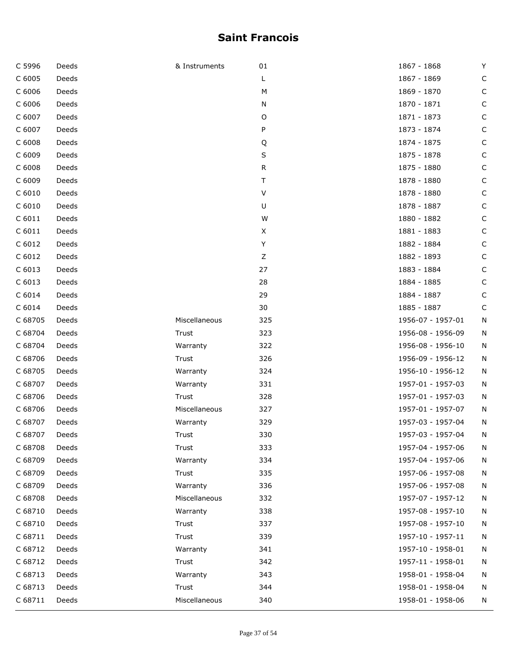| C 5996            | Deeds | & Instruments | 01      | 1867 - 1868       | Y |
|-------------------|-------|---------------|---------|-------------------|---|
| C 6005            | Deeds |               | L       | 1867 - 1869       | C |
| C 6006            | Deeds |               | M       | 1869 - 1870       | С |
| C 6006            | Deeds |               | N       | 1870 - 1871       | C |
| C 6007            | Deeds |               | O       | 1871 - 1873       | C |
| C 6007            | Deeds |               | P       | 1873 - 1874       | C |
| C 6008            | Deeds |               | Q       | 1874 - 1875       | С |
| C 6009            | Deeds |               | S       | 1875 - 1878       | C |
| C 6008            | Deeds |               | R       | 1875 - 1880       | C |
| C 6009            | Deeds |               | т       | 1878 - 1880       | C |
| C 6010            | Deeds |               | $\sf V$ | 1878 - 1880       | С |
| C 6010            | Deeds |               | U       | 1878 - 1887       | C |
| C <sub>6011</sub> | Deeds |               | W       | 1880 - 1882       | C |
| $C$ 6011          | Deeds |               | X       | 1881 - 1883       | C |
| C 6012            | Deeds |               | Υ       | 1882 - 1884       | C |
| C 6012            | Deeds |               | Z       | 1882 - 1893       | C |
| C 6013            | Deeds |               | 27      | 1883 - 1884       | C |
| C 6013            | Deeds |               | 28      | 1884 - 1885       | C |
| C 6014            | Deeds |               | 29      | 1884 - 1887       | C |
| C 6014            | Deeds |               | 30      | 1885 - 1887       | С |
| C 68705           | Deeds | Miscellaneous | 325     | 1956-07 - 1957-01 | Ν |
| C 68704           | Deeds | Trust         | 323     | 1956-08 - 1956-09 | Ν |
| C 68704           | Deeds | Warranty      | 322     | 1956-08 - 1956-10 | N |
| C 68706           | Deeds | Trust         | 326     | 1956-09 - 1956-12 | N |
| C 68705           | Deeds | Warranty      | 324     | 1956-10 - 1956-12 | N |
| C 68707           | Deeds | Warranty      | 331     | 1957-01 - 1957-03 | Ν |
| C 68706           | Deeds | Trust         | 328     | 1957-01 - 1957-03 | N |
| C 68706           | Deeds | Miscellaneous | 327     | 1957-01 - 1957-07 | Ν |
| C 68707           | Deeds | Warranty      | 329     | 1957-03 - 1957-04 | N |
| C 68707           | Deeds | Trust         | 330     | 1957-03 - 1957-04 | N |
| C 68708           | Deeds | Trust         | 333     | 1957-04 - 1957-06 | N |
| C 68709           | Deeds | Warranty      | 334     | 1957-04 - 1957-06 | N |
| C 68709           | Deeds | Trust         | 335     | 1957-06 - 1957-08 | Ν |
| C 68709           | Deeds | Warranty      | 336     | 1957-06 - 1957-08 | N |
| C 68708           | Deeds | Miscellaneous | 332     | 1957-07 - 1957-12 | N |
| C 68710           | Deeds | Warranty      | 338     | 1957-08 - 1957-10 | N |
| C 68710           | Deeds | Trust         | 337     | 1957-08 - 1957-10 | N |
| C 68711           | Deeds | Trust         | 339     | 1957-10 - 1957-11 | N |
| C 68712           | Deeds | Warranty      | 341     | 1957-10 - 1958-01 | N |
| C 68712           | Deeds | Trust         | 342     | 1957-11 - 1958-01 | N |
| C 68713           | Deeds | Warranty      | 343     | 1958-01 - 1958-04 | N |
| C 68713           | Deeds | Trust         | 344     | 1958-01 - 1958-04 | N |
| C 68711           | Deeds | Miscellaneous | 340     | 1958-01 - 1958-06 | N |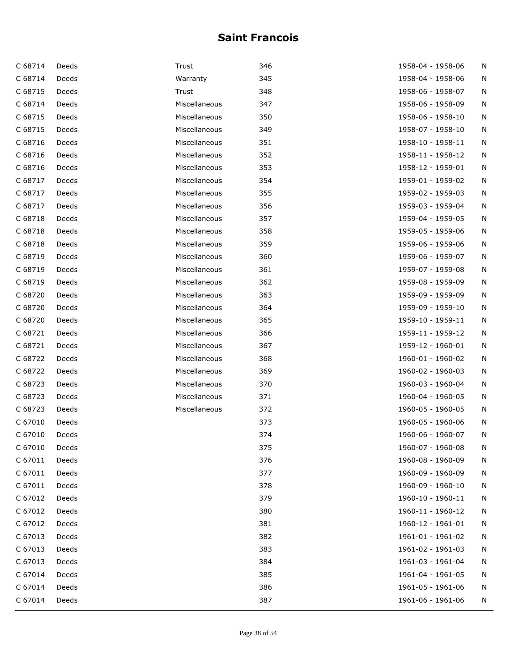| C 68714 | Deeds | Trust         | 346 | 1958-04 - 1958-06 | N |
|---------|-------|---------------|-----|-------------------|---|
| C 68714 | Deeds | Warranty      | 345 | 1958-04 - 1958-06 | N |
| C 68715 | Deeds | Trust         | 348 | 1958-06 - 1958-07 | N |
| C 68714 | Deeds | Miscellaneous | 347 | 1958-06 - 1958-09 | N |
| C 68715 | Deeds | Miscellaneous | 350 | 1958-06 - 1958-10 | N |
| C 68715 | Deeds | Miscellaneous | 349 | 1958-07 - 1958-10 | N |
| C 68716 | Deeds | Miscellaneous | 351 | 1958-10 - 1958-11 | N |
| C 68716 | Deeds | Miscellaneous | 352 | 1958-11 - 1958-12 | N |
| C 68716 | Deeds | Miscellaneous | 353 | 1958-12 - 1959-01 | N |
| C 68717 | Deeds | Miscellaneous | 354 | 1959-01 - 1959-02 | N |
| C 68717 | Deeds | Miscellaneous | 355 | 1959-02 - 1959-03 | N |
| C 68717 | Deeds | Miscellaneous | 356 | 1959-03 - 1959-04 | N |
| C 68718 | Deeds | Miscellaneous | 357 | 1959-04 - 1959-05 | N |
| C 68718 | Deeds | Miscellaneous | 358 | 1959-05 - 1959-06 | N |
| C 68718 | Deeds | Miscellaneous | 359 | 1959-06 - 1959-06 | N |
| C 68719 | Deeds | Miscellaneous | 360 | 1959-06 - 1959-07 | N |
| C 68719 | Deeds | Miscellaneous | 361 | 1959-07 - 1959-08 | N |
| C 68719 | Deeds | Miscellaneous | 362 | 1959-08 - 1959-09 | N |
| C 68720 | Deeds | Miscellaneous | 363 | 1959-09 - 1959-09 | N |
| C 68720 | Deeds | Miscellaneous | 364 | 1959-09 - 1959-10 | N |
| C 68720 | Deeds | Miscellaneous | 365 | 1959-10 - 1959-11 | N |
| C 68721 | Deeds | Miscellaneous | 366 | 1959-11 - 1959-12 | N |
| C 68721 | Deeds | Miscellaneous | 367 | 1959-12 - 1960-01 | N |
| C 68722 | Deeds | Miscellaneous | 368 | 1960-01 - 1960-02 | N |
| C 68722 | Deeds | Miscellaneous | 369 | 1960-02 - 1960-03 | N |
| C 68723 | Deeds | Miscellaneous | 370 | 1960-03 - 1960-04 | N |
| C 68723 | Deeds | Miscellaneous | 371 | 1960-04 - 1960-05 | N |
| C 68723 | Deeds | Miscellaneous | 372 | 1960-05 - 1960-05 | N |
| C 67010 | Deeds |               | 373 | 1960-05 - 1960-06 | N |
| C 67010 | Deeds |               | 374 | 1960-06 - 1960-07 | N |
| C 67010 | Deeds |               | 375 | 1960-07 - 1960-08 | Ν |
| C 67011 | Deeds |               | 376 | 1960-08 - 1960-09 | N |
| C 67011 | Deeds |               | 377 | 1960-09 - 1960-09 | Ν |
| C 67011 | Deeds |               | 378 | 1960-09 - 1960-10 | N |
| C 67012 | Deeds |               | 379 | 1960-10 - 1960-11 | N |
| C 67012 | Deeds |               | 380 | 1960-11 - 1960-12 | N |
| C 67012 | Deeds |               | 381 | 1960-12 - 1961-01 | N |
| C 67013 | Deeds |               | 382 | 1961-01 - 1961-02 | N |
| C 67013 | Deeds |               | 383 | 1961-02 - 1961-03 | N |
| C 67013 | Deeds |               | 384 | 1961-03 - 1961-04 | N |
| C 67014 | Deeds |               | 385 | 1961-04 - 1961-05 | N |
| C 67014 | Deeds |               | 386 | 1961-05 - 1961-06 | N |
| C 67014 | Deeds |               | 387 | 1961-06 - 1961-06 | N |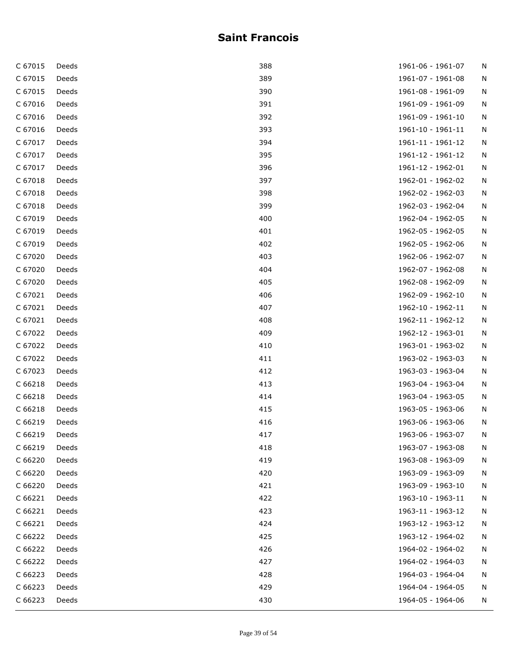| C 67015 | Deeds | 388 | 1961-06 - 1961-07 | N |
|---------|-------|-----|-------------------|---|
| C 67015 | Deeds | 389 | 1961-07 - 1961-08 | N |
| C 67015 | Deeds | 390 | 1961-08 - 1961-09 | N |
| C 67016 | Deeds | 391 | 1961-09 - 1961-09 | N |
| C 67016 | Deeds | 392 | 1961-09 - 1961-10 | N |
| C 67016 | Deeds | 393 | 1961-10 - 1961-11 | N |
| C 67017 | Deeds | 394 | 1961-11 - 1961-12 | N |
| C 67017 | Deeds | 395 | 1961-12 - 1961-12 | N |
| C 67017 | Deeds | 396 | 1961-12 - 1962-01 | N |
| C 67018 | Deeds | 397 | 1962-01 - 1962-02 | N |
| C 67018 | Deeds | 398 | 1962-02 - 1962-03 | N |
| C 67018 | Deeds | 399 | 1962-03 - 1962-04 | N |
| C 67019 | Deeds | 400 | 1962-04 - 1962-05 | N |
| C 67019 | Deeds | 401 | 1962-05 - 1962-05 | N |
| C 67019 | Deeds | 402 | 1962-05 - 1962-06 | N |
| C 67020 | Deeds | 403 | 1962-06 - 1962-07 | N |
| C 67020 | Deeds | 404 | 1962-07 - 1962-08 | N |
| C 67020 | Deeds | 405 | 1962-08 - 1962-09 | N |
| C 67021 | Deeds | 406 | 1962-09 - 1962-10 | N |
| C 67021 | Deeds | 407 | 1962-10 - 1962-11 | N |
| C 67021 | Deeds | 408 | 1962-11 - 1962-12 | N |
| C 67022 | Deeds | 409 | 1962-12 - 1963-01 | N |
| C 67022 | Deeds | 410 | 1963-01 - 1963-02 | N |
| C 67022 | Deeds | 411 | 1963-02 - 1963-03 | N |
| C 67023 | Deeds | 412 | 1963-03 - 1963-04 | N |
| C 66218 | Deeds | 413 | 1963-04 - 1963-04 | N |
| C 66218 | Deeds | 414 | 1963-04 - 1963-05 | N |
| C 66218 | Deeds | 415 | 1963-05 - 1963-06 | N |
| C 66219 | Deeds | 416 | 1963-06 - 1963-06 | N |
| C 66219 | Deeds | 417 | 1963-06 - 1963-07 | Ν |
| C 66219 | Deeds | 418 | 1963-07 - 1963-08 | N |
| C 66220 | Deeds | 419 | 1963-08 - 1963-09 | N |
| C 66220 | Deeds | 420 | 1963-09 - 1963-09 | N |
| C 66220 | Deeds | 421 | 1963-09 - 1963-10 | N |
| C 66221 | Deeds | 422 | 1963-10 - 1963-11 | N |
| C 66221 | Deeds | 423 | 1963-11 - 1963-12 | N |
| C 66221 | Deeds | 424 | 1963-12 - 1963-12 | N |
| C 66222 | Deeds | 425 | 1963-12 - 1964-02 | N |
| C 66222 | Deeds | 426 | 1964-02 - 1964-02 | N |
| C 66222 | Deeds | 427 | 1964-02 - 1964-03 | N |
| C 66223 | Deeds | 428 | 1964-03 - 1964-04 | N |
| C 66223 | Deeds | 429 | 1964-04 - 1964-05 | N |
| C 66223 | Deeds | 430 | 1964-05 - 1964-06 | N |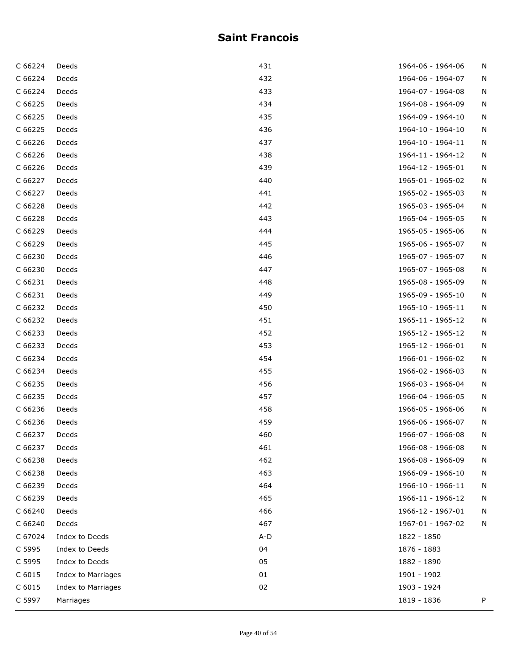| C 66224 | Deeds              | 431 | 1964-06 - 1964-06 | N |
|---------|--------------------|-----|-------------------|---|
| C 66224 | Deeds              | 432 | 1964-06 - 1964-07 | N |
| C 66224 | Deeds              | 433 | 1964-07 - 1964-08 | N |
| C 66225 | Deeds              | 434 | 1964-08 - 1964-09 | N |
| C 66225 | Deeds              | 435 | 1964-09 - 1964-10 | N |
| C 66225 | Deeds              | 436 | 1964-10 - 1964-10 | N |
| C 66226 | Deeds              | 437 | 1964-10 - 1964-11 | N |
| C 66226 | Deeds              | 438 | 1964-11 - 1964-12 | N |
| C 66226 | Deeds              | 439 | 1964-12 - 1965-01 | N |
| C 66227 | Deeds              | 440 | 1965-01 - 1965-02 | N |
| C 66227 | Deeds              | 441 | 1965-02 - 1965-03 | N |
| C 66228 | Deeds              | 442 | 1965-03 - 1965-04 | N |
| C 66228 | Deeds              | 443 | 1965-04 - 1965-05 | N |
| C 66229 | Deeds              | 444 | 1965-05 - 1965-06 | N |
| C 66229 | Deeds              | 445 | 1965-06 - 1965-07 | N |
| C 66230 | Deeds              | 446 | 1965-07 - 1965-07 | N |
| C 66230 | Deeds              | 447 | 1965-07 - 1965-08 | N |
| C 66231 | Deeds              | 448 | 1965-08 - 1965-09 | N |
| C 66231 | Deeds              | 449 | 1965-09 - 1965-10 | N |
| C 66232 | Deeds              | 450 | 1965-10 - 1965-11 | N |
| C 66232 | Deeds              | 451 | 1965-11 - 1965-12 | N |
| C 66233 | Deeds              | 452 | 1965-12 - 1965-12 | N |
| C 66233 | Deeds              | 453 | 1965-12 - 1966-01 | N |
| C 66234 | Deeds              | 454 | 1966-01 - 1966-02 | N |
| C 66234 | Deeds              | 455 | 1966-02 - 1966-03 | N |
| C 66235 | Deeds              | 456 | 1966-03 - 1966-04 | N |
| C 66235 | Deeds              | 457 | 1966-04 - 1966-05 | N |
| C 66236 | Deeds              | 458 | 1966-05 - 1966-06 | N |
| C 66236 | Deeds              | 459 | 1966-06 - 1966-07 | N |
| C 66237 | Deeds              | 460 | 1966-07 - 1966-08 | N |
| C 66237 | Deeds              | 461 | 1966-08 - 1966-08 | N |
| C 66238 | Deeds              | 462 | 1966-08 - 1966-09 | N |
| C 66238 | Deeds              | 463 | 1966-09 - 1966-10 | N |
| C 66239 | Deeds              | 464 | 1966-10 - 1966-11 | N |
| C 66239 | Deeds              | 465 | 1966-11 - 1966-12 | N |
| C 66240 | Deeds              | 466 | 1966-12 - 1967-01 | N |
| C 66240 | Deeds              | 467 | 1967-01 - 1967-02 | N |
| C 67024 | Index to Deeds     | A-D | 1822 - 1850       |   |
| C 5995  | Index to Deeds     | 04  | 1876 - 1883       |   |
| C 5995  | Index to Deeds     | 05  | 1882 - 1890       |   |
| C 6015  | Index to Marriages | 01  | 1901 - 1902       |   |
| C 6015  | Index to Marriages | 02  | 1903 - 1924       |   |
| C 5997  | Marriages          |     | 1819 - 1836       | P |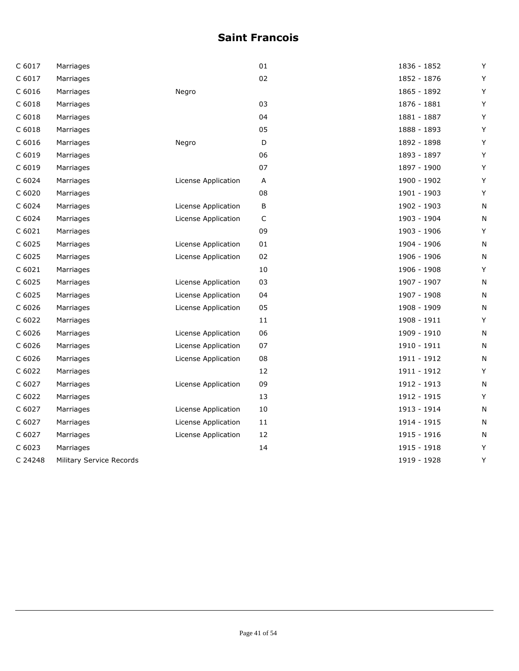| C 6017  | Marriages                |                     | 01          | 1836 - 1852 | Υ |
|---------|--------------------------|---------------------|-------------|-------------|---|
| C 6017  | Marriages                |                     | 02          | 1852 - 1876 | Υ |
| C 6016  | Marriages                | Negro               |             | 1865 - 1892 | Υ |
| C 6018  | Marriages                |                     | 03          | 1876 - 1881 | Υ |
| C 6018  | Marriages                |                     | 04          | 1881 - 1887 | Υ |
| C 6018  | Marriages                |                     | 05          | 1888 - 1893 | Υ |
| C 6016  | Marriages                | Negro               | $\mathsf D$ | 1892 - 1898 | Υ |
| C 6019  | Marriages                |                     | 06          | 1893 - 1897 | Y |
| C 6019  | Marriages                |                     | 07          | 1897 - 1900 | Υ |
| C 6024  | Marriages                | License Application | Α           | 1900 - 1902 | Υ |
| C 6020  | Marriages                |                     | 08          | 1901 - 1903 | Υ |
| C 6024  | Marriages                | License Application | $\sf B$     | 1902 - 1903 | Ν |
| C 6024  | Marriages                | License Application | C           | 1903 - 1904 | N |
| C 6021  | Marriages                |                     | 09          | 1903 - 1906 | Υ |
| C 6025  | Marriages                | License Application | 01          | 1904 - 1906 | N |
| C 6025  | Marriages                | License Application | 02          | 1906 - 1906 | N |
| C 6021  | Marriages                |                     | 10          | 1906 - 1908 | Y |
| C 6025  | Marriages                | License Application | 03          | 1907 - 1907 | Ν |
| C 6025  | Marriages                | License Application | 04          | 1907 - 1908 | N |
| C 6026  | Marriages                | License Application | 05          | 1908 - 1909 | N |
| C 6022  | Marriages                |                     | 11          | 1908 - 1911 | Υ |
| C 6026  | Marriages                | License Application | 06          | 1909 - 1910 | Ν |
| C 6026  | Marriages                | License Application | 07          | 1910 - 1911 | Ν |
| C 6026  | Marriages                | License Application | 08          | 1911 - 1912 | Ν |
| C 6022  | Marriages                |                     | 12          | 1911 - 1912 | Y |
| C 6027  | Marriages                | License Application | 09          | 1912 - 1913 | N |
| C 6022  | Marriages                |                     | 13          | 1912 - 1915 | Y |
| C 6027  | Marriages                | License Application | 10          | 1913 - 1914 | N |
| C 6027  | Marriages                | License Application | 11          | 1914 - 1915 | N |
| C 6027  | Marriages                | License Application | 12          | 1915 - 1916 | N |
| C 6023  | Marriages                |                     | 14          | 1915 - 1918 | Υ |
| C 24248 | Military Service Records |                     |             | 1919 - 1928 | Υ |
|         |                          |                     |             |             |   |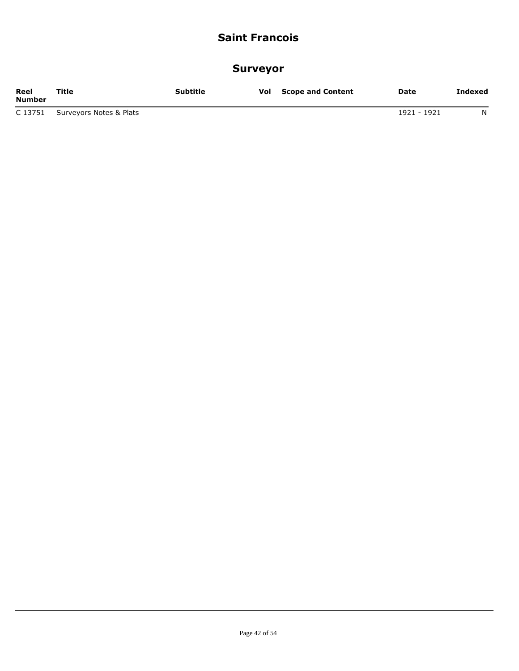#### **Surveyor**

| Reel<br><b>Number</b> | Title                   | Subtitle | Vol | <b>Scope and Content</b> | Date        | Indexed |
|-----------------------|-------------------------|----------|-----|--------------------------|-------------|---------|
| C 13751               | Surveyors Notes & Plats |          |     |                          | 1921 - 1921 | N       |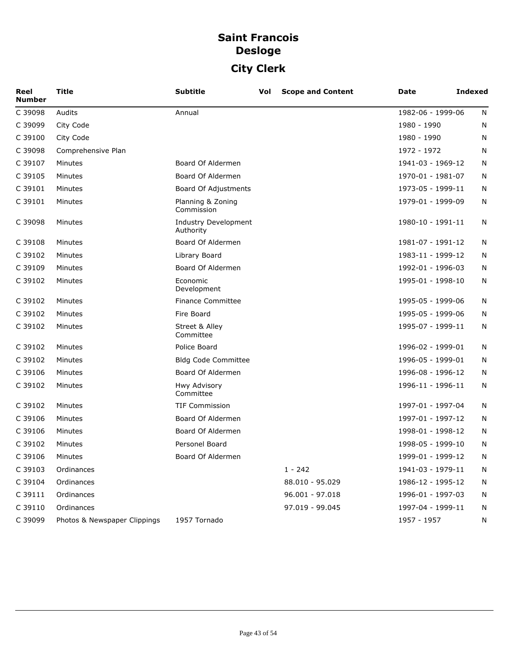# **Saint Francois Desloge City Clerk**

| Reel<br><b>Number</b> | <b>Title</b>                 | <b>Subtitle</b>                          | Vol | <b>Scope and Content</b> | Date              | <b>Indexed</b> |
|-----------------------|------------------------------|------------------------------------------|-----|--------------------------|-------------------|----------------|
| C 39098               | Audits                       | Annual                                   |     |                          | 1982-06 - 1999-06 | N              |
| C 39099               | City Code                    |                                          |     |                          | 1980 - 1990       | N              |
| C 39100               | City Code                    |                                          |     |                          | 1980 - 1990       | N              |
| C 39098               | Comprehensive Plan           |                                          |     |                          | 1972 - 1972       | N              |
| C 39107               | Minutes                      | Board Of Aldermen                        |     |                          | 1941-03 - 1969-12 | N              |
| C 39105               | Minutes                      | Board Of Aldermen                        |     |                          | 1970-01 - 1981-07 | N              |
| C 39101               | Minutes                      | Board Of Adjustments                     |     |                          | 1973-05 - 1999-11 | N              |
| C 39101               | Minutes                      | Planning & Zoning<br>Commission          |     |                          | 1979-01 - 1999-09 | N              |
| C 39098               | Minutes                      | <b>Industry Development</b><br>Authority |     |                          | 1980-10 - 1991-11 | N              |
| C 39108               | Minutes                      | Board Of Aldermen                        |     |                          | 1981-07 - 1991-12 | N              |
| C 39102               | Minutes                      | Library Board                            |     |                          | 1983-11 - 1999-12 | N              |
| C 39109               | Minutes                      | Board Of Aldermen                        |     |                          | 1992-01 - 1996-03 | N              |
| C 39102               | Minutes                      | Economic<br>Development                  |     |                          | 1995-01 - 1998-10 | N              |
| C 39102               | Minutes                      | <b>Finance Committee</b>                 |     |                          | 1995-05 - 1999-06 | N              |
| C 39102               | Minutes                      | Fire Board                               |     |                          | 1995-05 - 1999-06 | N              |
| C 39102               | Minutes                      | Street & Alley<br>Committee              |     |                          | 1995-07 - 1999-11 | N              |
| C 39102               | Minutes                      | Police Board                             |     |                          | 1996-02 - 1999-01 | N              |
| C 39102               | Minutes                      | <b>Bldg Code Committee</b>               |     |                          | 1996-05 - 1999-01 | N              |
| C 39106               | Minutes                      | Board Of Aldermen                        |     |                          | 1996-08 - 1996-12 | N              |
| C 39102               | Minutes                      | Hwy Advisory<br>Committee                |     |                          | 1996-11 - 1996-11 | N              |
| C 39102               | Minutes                      | <b>TIF Commission</b>                    |     |                          | 1997-01 - 1997-04 | N              |
| C 39106               | Minutes                      | Board Of Aldermen                        |     |                          | 1997-01 - 1997-12 | N              |
| C 39106               | Minutes                      | Board Of Aldermen                        |     |                          | 1998-01 - 1998-12 | N              |
| C 39102               | Minutes                      | Personel Board                           |     |                          | 1998-05 - 1999-10 | N              |
| C 39106               | Minutes                      | Board Of Aldermen                        |     |                          | 1999-01 - 1999-12 | N              |
| C 39103               | Ordinances                   |                                          |     | $1 - 242$                | 1941-03 - 1979-11 | N              |
| C 39104               | Ordinances                   |                                          |     | 88.010 - 95.029          | 1986-12 - 1995-12 | N              |
| C 39111               | Ordinances                   |                                          |     | 96.001 - 97.018          | 1996-01 - 1997-03 | N              |
| C 39110               | Ordinances                   |                                          |     | 97.019 - 99.045          | 1997-04 - 1999-11 | N              |
| C 39099               | Photos & Newspaper Clippings | 1957 Tornado                             |     |                          | 1957 - 1957       | N              |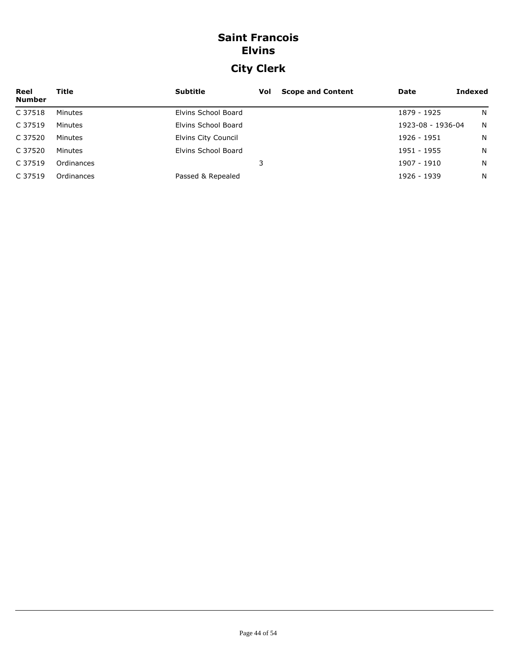# **Saint Francois Elvins City Clerk**

| Reel<br><b>Number</b> | Title      | <b>Subtitle</b>     | Vol | <b>Scope and Content</b> | Date              | Indexed |
|-----------------------|------------|---------------------|-----|--------------------------|-------------------|---------|
| C 37518               | Minutes    | Elvins School Board |     |                          | 1879 - 1925       | N       |
| C 37519               | Minutes    | Elvins School Board |     |                          | 1923-08 - 1936-04 | N       |
| C 37520               | Minutes    | Elvins City Council |     |                          | 1926 - 1951       | N.      |
| C 37520               | Minutes    | Elvins School Board |     |                          | 1951 - 1955       | N       |
| C 37519               | Ordinances |                     |     |                          | 1907 - 1910       | N       |
| C 37519               | Ordinances | Passed & Repealed   |     |                          | 1926 - 1939       | N       |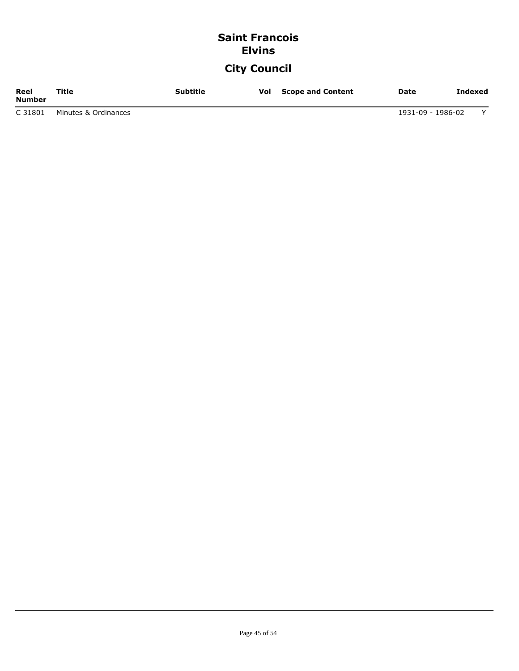# **Saint Francois Elvins**

# **City Council**

| Reel<br><b>Number</b> | Title                | <b>Subtitle</b> | Vol | <b>Scope and Content</b> | <b>Date</b>       | Indexed |
|-----------------------|----------------------|-----------------|-----|--------------------------|-------------------|---------|
| C 31801               | Minutes & Ordinances |                 |     |                          | 1931-09 - 1986-02 |         |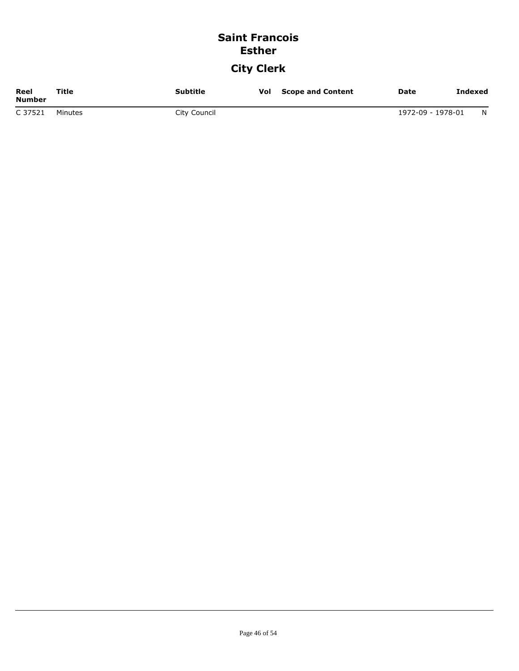### **Saint Francois Esther City Clerk**

| Reel<br>Number | Title   | <b>Subtitle</b> | Vol | <b>Scope and Content</b> | Date              | <b>Indexed</b> |
|----------------|---------|-----------------|-----|--------------------------|-------------------|----------------|
| C 37521        | Minutes | City Council    |     |                          | 1972-09 - 1978-01 | N              |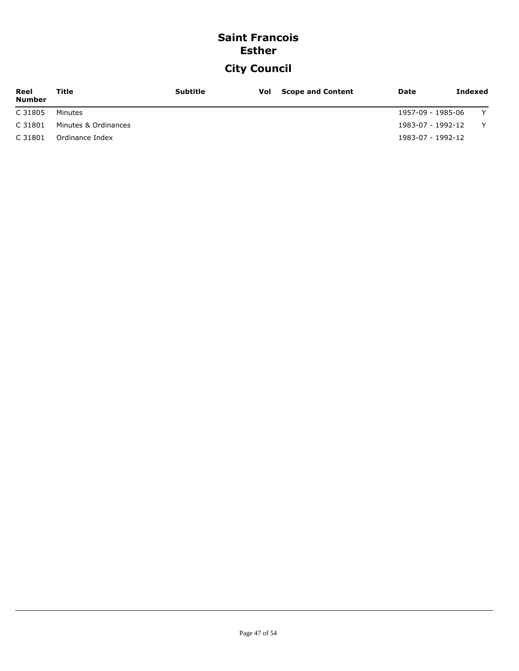### **Saint Francois Esther**

# **City Council**

| Reel<br><b>Number</b> | Title                | <b>Subtitle</b> | <b>Vol</b> Scope and Content | Date              | Indexed |   |
|-----------------------|----------------------|-----------------|------------------------------|-------------------|---------|---|
| C 31805               | Minutes              |                 |                              | 1957-09 - 1985-06 |         | Y |
| C 31801               | Minutes & Ordinances |                 |                              | 1983-07 - 1992-12 |         | Y |
| C 31801               | Ordinance Index      |                 |                              | 1983-07 - 1992-12 |         |   |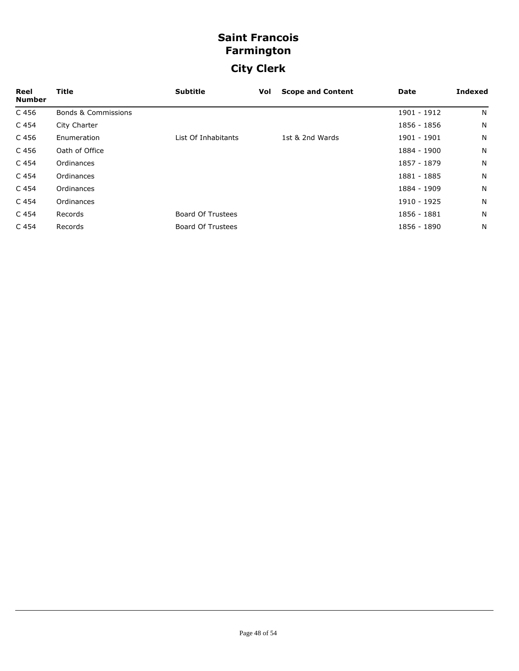# **Saint Francois Farmington City Clerk**

| Reel<br><b>Number</b> | Title                          | <b>Subtitle</b>          | Vol | <b>Scope and Content</b> | Date        | Indexed |
|-----------------------|--------------------------------|--------------------------|-----|--------------------------|-------------|---------|
| C 456                 | <b>Bonds &amp; Commissions</b> |                          |     |                          | 1901 - 1912 | N       |
| C 454                 | City Charter                   |                          |     |                          | 1856 - 1856 | N       |
| C 456                 | Enumeration                    | List Of Inhabitants      |     | 1st & 2nd Wards          | 1901 - 1901 | N       |
| C 456                 | Oath of Office                 |                          |     |                          | 1884 - 1900 | N       |
| C 454                 | Ordinances                     |                          |     |                          | 1857 - 1879 | N       |
| C 454                 | Ordinances                     |                          |     |                          | 1881 - 1885 | N       |
| C 454                 | Ordinances                     |                          |     |                          | 1884 - 1909 | N       |
| C 454                 | Ordinances                     |                          |     |                          | 1910 - 1925 | N       |
| C <sub>454</sub>      | Records                        | <b>Board Of Trustees</b> |     |                          | 1856 - 1881 | N       |
| C <sub>454</sub>      | Records                        | <b>Board Of Trustees</b> |     |                          | 1856 - 1890 | N       |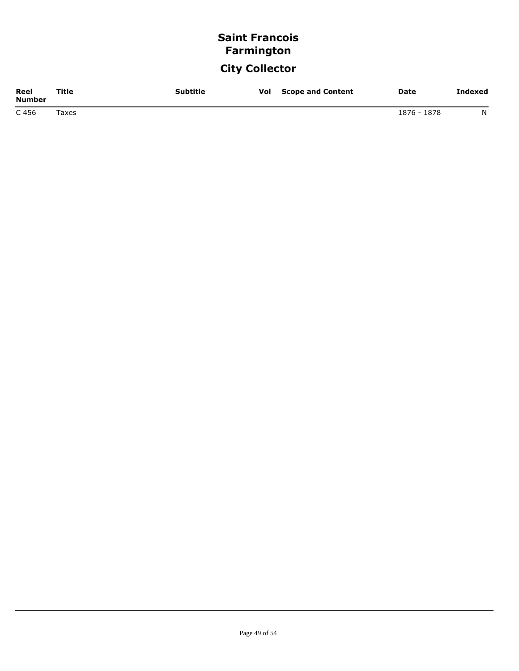# **Saint Francois Farmington**

# **City Collector**

| Reel<br>Number | Title       | <b>Subtitle</b> | Vol | <b>Scope and Content</b> | <b>Date</b> | <b>Indexed</b> |
|----------------|-------------|-----------------|-----|--------------------------|-------------|----------------|
| C 456          | $\tau$ axes |                 |     |                          | 1876 - 1878 | N              |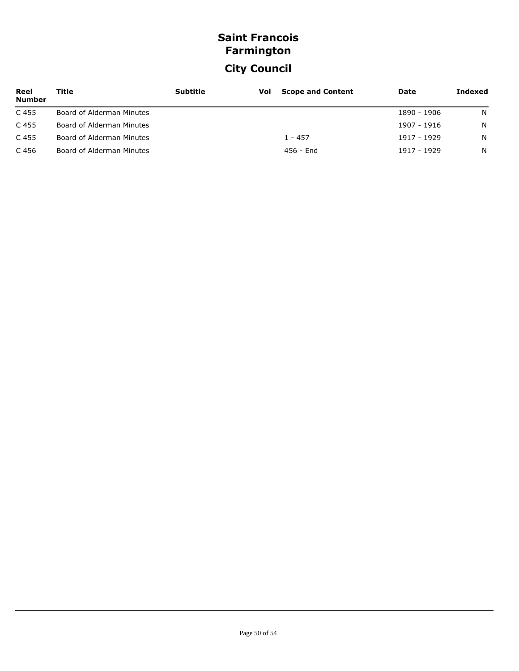# **Saint Francois Farmington City Council**

| Reel<br><b>Number</b> | Title                     | <b>Subtitle</b> | Vol | <b>Scope and Content</b> | Date        | Indexed |
|-----------------------|---------------------------|-----------------|-----|--------------------------|-------------|---------|
| C 455                 | Board of Alderman Minutes |                 |     |                          | 1890 - 1906 | N.      |
| C 455                 | Board of Alderman Minutes |                 |     |                          | 1907 - 1916 | N.      |
| C 455                 | Board of Alderman Minutes |                 |     | $1 - 457$                | 1917 - 1929 | N.      |
| C 456                 | Board of Alderman Minutes |                 |     | 456 - End                | 1917 - 1929 | N       |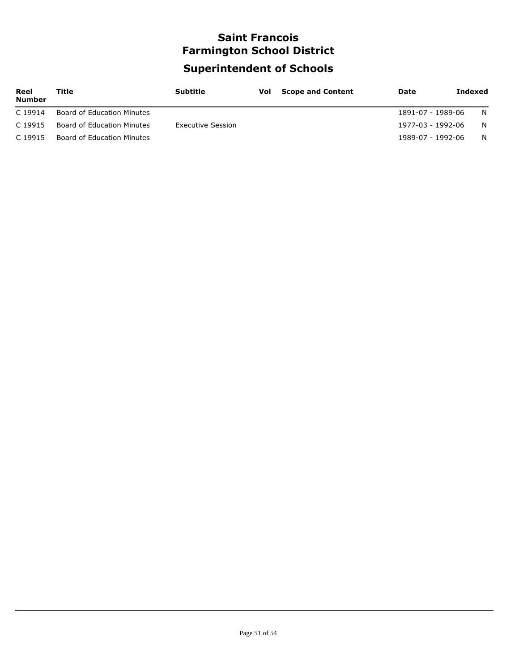# **Saint Francois Farmington School District Superintendent of Schools**

| Reel<br><b>Number</b> | Title                      | <b>Subtitle</b>   | <b>Vol</b> Scope and Content | Date              | <b>Indexed</b> |
|-----------------------|----------------------------|-------------------|------------------------------|-------------------|----------------|
| C 19914               | Board of Education Minutes |                   |                              | 1891-07 - 1989-06 | N.             |
| C 19915               | Board of Education Minutes | Executive Session |                              | 1977-03 - 1992-06 | N.             |
| C 19915               | Board of Education Minutes |                   |                              | 1989-07 - 1992-06 | N.             |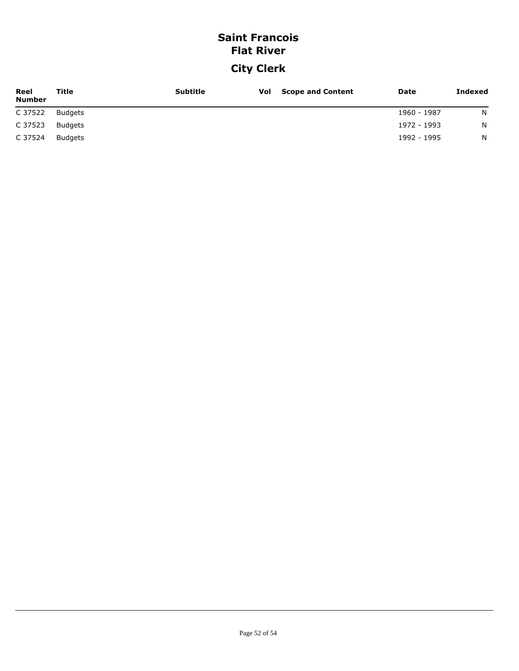# **Saint Francois Flat River**

# **City Clerk**

| Reel<br><b>Number</b> | Title   | <b>Subtitle</b> | <b>Vol</b> Scope and Content | Date        | Indexed |
|-----------------------|---------|-----------------|------------------------------|-------------|---------|
| C 37522               | Budgets |                 |                              | 1960 - 1987 | N       |
| C 37523               | Budgets |                 |                              | 1972 - 1993 | N       |
| C 37524               | Budgets |                 |                              | 1992 - 1995 | N       |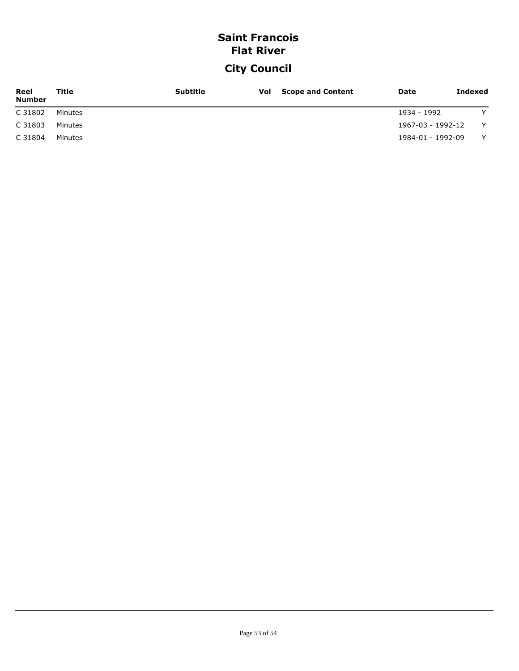### **Saint Francois Flat River**

# **City Council**

| Reel<br><b>Number</b> | Title   | <b>Subtitle</b> | <b>Vol</b> Scope and Content | <b>Date</b>       | Indexed      |
|-----------------------|---------|-----------------|------------------------------|-------------------|--------------|
| C 31802               | Minutes |                 |                              | 1934 - 1992       | $\checkmark$ |
| C 31803               | Minutes |                 |                              | 1967-03 - 1992-12 | Y            |
| C 31804               | Minutes |                 |                              | 1984-01 - 1992-09 | $\checkmark$ |